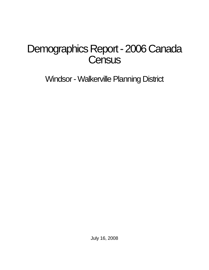# Demographics Report - 2006 Canada **Census**

Windsor - Walkerville Planning District

July 16, 2008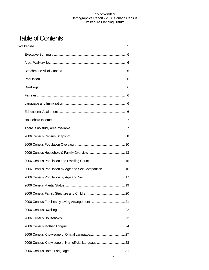## Table of Contents

| 2006 Census Population by Age and Sex Comparison 16 |  |
|-----------------------------------------------------|--|
|                                                     |  |
|                                                     |  |
|                                                     |  |
|                                                     |  |
|                                                     |  |
|                                                     |  |
|                                                     |  |
|                                                     |  |
| 2006 Census Knowledge of Non-official Language  28  |  |
|                                                     |  |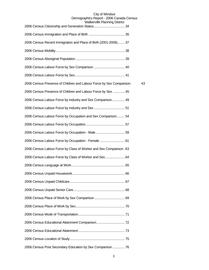| <b><i>I</i></b> Valner VIIIE FIGHTING DISTING                       |    |
|---------------------------------------------------------------------|----|
|                                                                     |    |
| 2006 Census Recent Immigration and Place of Birth (2001-2006) 37    |    |
|                                                                     |    |
|                                                                     |    |
|                                                                     |    |
|                                                                     |    |
| 2006 Census Presence of Children and Labour Force by Sex Comparison | 43 |
| 2006 Census Presence of Children and Labour Force by Sex  45        |    |
| 2006 Census Labour Force by Industry and Sex Comparison 49          |    |
|                                                                     |    |
| 2006 Census Labour Force by Occupation and Sex Comparison 54        |    |
|                                                                     |    |
|                                                                     |    |
| 2006 Census Labour Force by Occupation - Female  61                 |    |
| 2006 Census Labour Force by Class of Worker and Sex Comparison. 63  |    |
| 2006 Census Labour Force by Class of Worker and Sex 64              |    |
|                                                                     |    |
|                                                                     |    |
|                                                                     |    |
|                                                                     |    |
|                                                                     |    |
|                                                                     |    |
|                                                                     |    |
|                                                                     |    |
|                                                                     |    |
|                                                                     |    |
| 2006 Census Post Secondary Education by Sex Comparison  76          |    |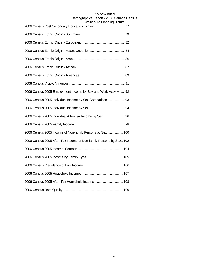| <sub>r</sub> ivilic i laililing District                           |
|--------------------------------------------------------------------|
|                                                                    |
|                                                                    |
|                                                                    |
|                                                                    |
|                                                                    |
|                                                                    |
|                                                                    |
| 2006 Census 2005 Employment Income by Sex and Work Activity  92    |
| 2006 Census 2005 Individual Income by Sex Comparison  93           |
|                                                                    |
| 2006 Census 2005 Individual After-Tax Income by Sex 96             |
|                                                                    |
| 2006 Census 2005 Income of Non-family Persons by Sex  100          |
| 2006 Census 2005 After-Tax Income of Non-family Persons by Sex 102 |
|                                                                    |
|                                                                    |
|                                                                    |
|                                                                    |
| 2006 Census 2005 After-Tax Household Income  108                   |
|                                                                    |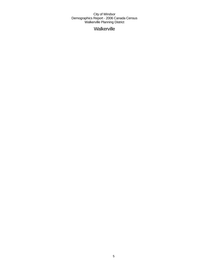**Walkerville**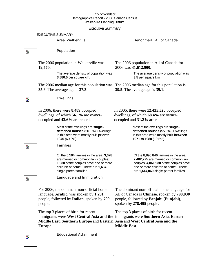### Executive Summary

#### EXECUTIVE SUMMARY

#### Area: Walkerville Benchmark: All of Canada

 $\overline{\mathbf{z}}$ 

Z.

### Population

The 2006 population in Walkerville was **19,770**.

> The average density of population was **3,880.6** per square km.

The 2006 median age for this population was The 2006 median age for this population is **35.6**. The average age is **37.3**.

The 2006 population in All of Canada for 2006 was **31,612,900**.

> The average density of population was **3.5** per square km.

**39.5**. The average age is **39.1**.

#### Dwellings

In 2006, there were **8,489** occupied dwellings, of which **56.1%** are owneroccupied and **43.6%** are rented.

> Most of the dwellings are **singledetached houses** (50.1%). Dwellings in this area were mostly built **prior to 1946** (60.2%).

#### Families

Of the **5,194** families in the area, **3,628**  are married or common law couples; **1,930** of the couples have one or more children at home. There are **1,494**  single-parent families.

In 2006, there were **12,435,520** occupied dwellings, of which **68.4%** are owneroccupied and **31.2%** are rented.

> Most of the dwellings are **singledetached houses** (55.3%). Dwellings in this area were mostly built **between 1971 to 1980** (19.5%).

Of the **8,896,840** families in the area, **7,482,775** are married or common law couples; **4,061,930** of the couples have one or more children at home. There are **1,414,060** single-parent families.

Z.

Language and Immigration

For 2006, the dominant non-official home language, **Arabic**, was spoken by **1,231** people, followed by **Italian**, spoken by **709** people.

The top 3 places of birth for recent immigrants were **West Central Asia and the**  immigrants were **Southern Asia**, **Eastern Middle East**, **Southern Europe** and **Eastern Asia** and **West Central Asia and the Europe**.

Educational Attainment

The dominant non-official home language for All of Canada is **Chinese**, spoken by **790,030** people, followed by **Panjabi (Punjabi)**, spoken by **278,495** people.

The top 3 places of birth for recent **Middle East**.

 $\overline{\phantom{a}}$ 

Þ.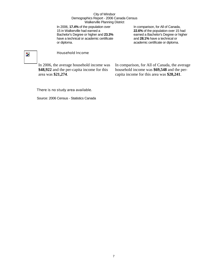In 2006, **17.4%** of the population over 15 in Walkerville had earned a Bachelor's Degree or higher and **23.3%** have a technical or academic certificate or diploma.

In comparison, for All of Canada, **22.6%** of the population over 15 had earned a Bachelor's Degree or higher and **28.1%** have a technical or academic certificate or diploma.

## $\overline{\mathbf{z}}$

#### Household Income

In 2006, the average household income was **\$48,922** and the per-capita income for this area was **\$21,274**.

In comparison, for All of Canada, the average household income was **\$69,548** and the percapita income for this area was **\$28,241**.

#### There is no study area available.

Source: 2006 Census - Statistics Canada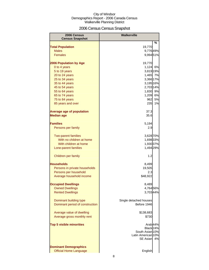## 2006 Census Census Snapshot

| 2006 Census<br><b>Census Snapshot</b>                         | <b>Walkerville</b>                                                                                  |    |
|---------------------------------------------------------------|-----------------------------------------------------------------------------------------------------|----|
|                                                               |                                                                                                     | %  |
| <b>Total Population</b>                                       | 19,770                                                                                              |    |
| <b>Males</b>                                                  | 9,77649%                                                                                            |    |
| <b>Females</b>                                                | 9,994 51%                                                                                           |    |
| 2006 Population by Age                                        | 19,770                                                                                              |    |
| 0 to 4 years                                                  | 1,124 6%                                                                                            |    |
| 5 to 19 years                                                 | 3,819 19%                                                                                           |    |
| 20 to 24 years                                                | 1,465 7%                                                                                            |    |
| 25 to 34 years                                                | 3,366 17%                                                                                           |    |
| 35 to 44 years                                                | 3,195 16%                                                                                           |    |
| 45 to 54 years                                                | 2,703 14%                                                                                           |    |
| 55 to 64 years                                                | 1,830 9%                                                                                            |    |
| 65 to 74 years                                                | 1,209                                                                                               | 6% |
| 75 to 84 years                                                | 962                                                                                                 | 5% |
| 85 years and over                                             | 235                                                                                                 | 1% |
| <b>Average age of population</b>                              | 37.3                                                                                                |    |
| <b>Median age</b>                                             | 35.6                                                                                                |    |
| <b>Families</b>                                               | 5,194                                                                                               |    |
| Persons per family                                            | 2.9                                                                                                 |    |
| <b>Two-parent families</b>                                    | 3,628 70%                                                                                           |    |
| With no children at home                                      | 1,698 33%                                                                                           |    |
| With children at home                                         | 1,930 37%                                                                                           |    |
| Lone-parent families                                          | 1,494 29%                                                                                           |    |
| Children per family                                           | 1.2                                                                                                 |    |
| <b>Households</b>                                             | 8,499                                                                                               |    |
| Persons in private households                                 | 19,505                                                                                              |    |
| Persons per household                                         | 2.3                                                                                                 |    |
| Average household income                                      | \$48,922                                                                                            |    |
| <b>Occupied Dwellings</b>                                     | 8,489                                                                                               |    |
| <b>Owned Dwellings</b>                                        | 4,764 56%                                                                                           |    |
| <b>Rented Dwellings</b>                                       | 3,703 44%                                                                                           |    |
| Dominant building type                                        | Single detached houses                                                                              |    |
| Dominant period of construction                               | Before 1946                                                                                         |    |
| Average value of dwelling                                     | \$138,683                                                                                           |    |
| Average gross monthly rent                                    | \$730                                                                                               |    |
| <b>Top 5 visible minorities</b>                               | Arab <sub>44%</sub><br>Black <sub>24%</sub><br>South Asian 10%<br>Latin American 10%<br>SE Asian 4% |    |
| <b>Dominant Demographics</b><br><b>Official Home Language</b> | English                                                                                             |    |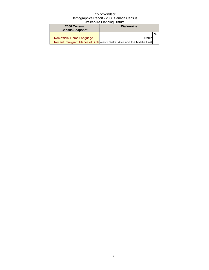| 2006 Census                | Walkerville                                                            |   |
|----------------------------|------------------------------------------------------------------------|---|
| <b>Census Snapshot</b>     |                                                                        |   |
|                            |                                                                        | % |
| Non-official Home Language | Arabic                                                                 |   |
|                            | Recent Immigrant Places of Birth West Central Asia and the Middle East |   |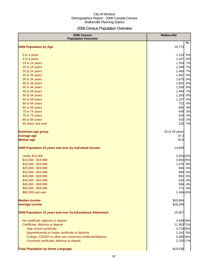## 2006 Census Population Overview

| 2006 Census<br><b>Population Overview</b>                   | Walkerville    |
|-------------------------------------------------------------|----------------|
| 2006 Population by Age                                      | %<br>19,770    |
|                                                             |                |
| 0 to 4 years                                                | 6%<br>1,124    |
| 5 to 9 years                                                | 1,167<br>6%    |
| 10 to 14 years                                              | 1,354 7%       |
| 15 to 19 years                                              | 1,298<br>7%    |
| 20 to 24 years                                              | 1,465<br>7%    |
| 25 to 29 years                                              | 1,691<br>9%    |
| 30 to 34 years                                              | 1,675<br>8%    |
| 35 to 39 years                                              | 1,601<br>8%    |
| 40 to 44 years                                              | 1,594<br>8%    |
| 45 to 49 years                                              | 1,440 7%       |
| 50 to 54 years                                              | 1,263<br>6%    |
| 55 to 59 years                                              | 1,107<br>6%    |
| 60 to 64 years                                              | 722<br>4%      |
| 65 to 69 years                                              | 3%<br>660      |
| 70 to 74 years                                              | 549<br>3%      |
| 75 to 79 years                                              | 529<br>3%      |
| 80 to 84 years                                              | 433<br>2%      |
| 85 years and over                                           | 235<br>1%      |
| <b>Dominant age group</b>                                   | 25 to 29 years |
| <b>Average age</b>                                          | 37.3           |
| <b>Median age</b>                                           | 35.6           |
| 2006 Population 15 years and over by Individual Income      | 14,859         |
| <b>Under \$10,000</b>                                       | 3,353 23%      |
| \$10,000 - \$19,999                                         | 3,692 25%      |
| \$20,000 - \$24,999                                         | 1,275 9%       |
| \$25,000 - \$29,999                                         | 946 6%         |
| \$30,000 - \$34,999                                         | 894<br>6%      |
| \$35,000 - \$39,999                                         | 891<br>6%      |
| \$40,000 - \$44,999                                         | 635<br>4%      |
| \$45,000 - \$49,999                                         | 594<br>4%      |
| \$50,000 - \$59,999                                         | 5%<br>771      |
| \$60,000 and over                                           | 1,494 10%      |
| <b>Median income</b>                                        | \$20,894       |
| <b>Average income</b>                                       | \$28,209       |
| 2006 Population 15 years and over by Educational Attainment | 15,907         |
| No certificate, diploma or degree                           | 4,539 29%      |
| Certificate, diploma or degree                              | 11,363 71%     |
| High school certificate                                     | 4,723 30%      |
| Apprenticeship or trades certificate or diploma             | 1,243 8%       |
| College, CEGEP or other non-university certificate/diploma  | 2,466 16%      |
| University certificate, diploma or degree                   | 2,765 17%      |
| <b>Total Population by Home Language</b>                    | \$19,538       |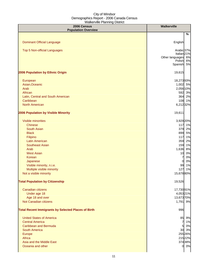| 2006 Census<br><b>Population Overview</b>                  | <b>Walkerville</b>                 |
|------------------------------------------------------------|------------------------------------|
|                                                            | %                                  |
|                                                            |                                    |
| <b>Dominant Official Language</b>                          | English                            |
| <b>Top 5 Non-official Languages</b>                        | Arabic 37%                         |
|                                                            | Italian <sub>21%</sub>             |
|                                                            | Other languages 6%<br>Polish<br>6% |
|                                                            | Spanish 5%                         |
| 2006 Population by Ethnic Origin                           | 19,615                             |
| European                                                   | 18,27393%                          |
| Asian, Oceanic                                             | 1,002 5%                           |
| Arab                                                       | 2,056 10%                          |
| African                                                    | 592 3%                             |
| Latin, Central and South American                          | 364 2%                             |
| Caribbean                                                  | 108 1%                             |
| <b>North American</b>                                      | 6,21232%                           |
| 2006 Population by Visible Minority                        | 19,611                             |
| <b>Visible minorities</b>                                  | 3,929 20%                          |
| <b>Chinese</b>                                             | 117 1%                             |
| <b>South Asian</b>                                         | 379 2%                             |
| <b>Black</b>                                               | 899<br>5%                          |
| Filipino                                                   | 117<br>1%                          |
| <b>Latin American</b>                                      | 359<br>2%                          |
| <b>Southeast Asian</b>                                     | 159<br>1%                          |
| Arab                                                       | 1,636<br>8%                        |
| <b>West Asian</b>                                          | 0%<br>10                           |
| Korean                                                     | 0%<br>7                            |
| Japanese                                                   | 0%<br>0                            |
| Visible minority, n.i.e.                                   | 1%<br>99                           |
| Multiple visible minority                                  | 127<br>1%                          |
| Not a visible minority                                     | 15,67880%                          |
| <b>Total Population by Citizenship</b>                     | 19,526                             |
| Canadian citizens                                          | 17,73091%                          |
| Under age 18                                               | 4,05321%                           |
| Age 18 and over                                            | 13,673 70%                         |
| Not Canadian citizens                                      | 1,791 9%                           |
| <b>Total Recent Immigrants by Selected Places of Birth</b> | 996                                |
| <b>United States of America</b>                            | 85 9%                              |
| <b>Central America</b>                                     | 1%<br>$\overline{7}$               |
| <b>Caribbean and Bermuda</b>                               | 5 0%                               |
| <b>South America</b>                                       | 30 3%                              |
| Europe                                                     | 255 26%                            |
| Africa                                                     | 215 22%                            |
| Asia and the Middle East                                   | 374 38%                            |
| Oceania and other                                          | 0 0%                               |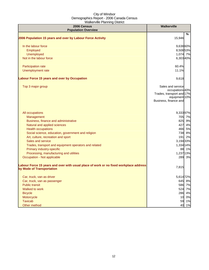| 2006 Census<br><b>Population Overview</b>                                                                          | <b>Walkerville</b>                                                                                          |
|--------------------------------------------------------------------------------------------------------------------|-------------------------------------------------------------------------------------------------------------|
|                                                                                                                    | %                                                                                                           |
| 2006 Population 15 years and over by Labour Force Activity                                                         | 15,946                                                                                                      |
| In the labour force                                                                                                | 9,638 60%                                                                                                   |
| Employed                                                                                                           | 8,508 53%                                                                                                   |
| Unemployed                                                                                                         | 1,074 7%                                                                                                    |
| Not in the labour force                                                                                            | 6,303 40%                                                                                                   |
| Participation rate                                                                                                 | 60.4%                                                                                                       |
| Unemployment rate                                                                                                  | 11.1%                                                                                                       |
| <b>Labour Force 15 years and over by Occupation</b>                                                                | 9,618                                                                                                       |
| Top 3 major group                                                                                                  | Sales and service<br>occupations 40%<br>Trades, transport and 17%<br>equipment 10%<br>Business, finance and |
| All occupations                                                                                                    | 9,33397%                                                                                                    |
| Management                                                                                                         | 705 7%                                                                                                      |
| Business, finance and administrative                                                                               | 825 9%                                                                                                      |
| Natural and applied sciences                                                                                       | 427 4%                                                                                                      |
| <b>Health occupations</b>                                                                                          | 466 5%                                                                                                      |
| Social science, education, government and religion                                                                 | 738 8%                                                                                                      |
| Art, culture, recreation and sport                                                                                 | 191 2%                                                                                                      |
| Sales and service                                                                                                  | 3,194 33%                                                                                                   |
| Trades, transport and equipment operators and related                                                              | 1,334 14%                                                                                                   |
| Primary industry-specific                                                                                          | 88 1%                                                                                                       |
| Processing, manufacturing and utilities                                                                            | 1,237 13%                                                                                                   |
| Occupation - Not applicable                                                                                        | 289 3%                                                                                                      |
| Labour Force 15 years and over with usual place of work or no fixed workplace address<br>by Mode of Transportation | 7,815                                                                                                       |
| Car, truck, van as driver                                                                                          | 5,614 72%                                                                                                   |
| Car, truck, van as passenger                                                                                       | 645 8%                                                                                                      |
| <b>Public transit</b>                                                                                              | 586 7%                                                                                                      |
| Walked to work                                                                                                     | 524 7%                                                                                                      |
| <b>Bicycle</b>                                                                                                     | 286 4%                                                                                                      |
| Motorcycle                                                                                                         | 10 0%                                                                                                       |
| <b>Taxicab</b>                                                                                                     | 1%<br>59                                                                                                    |
| Other method                                                                                                       | 40<br>1%                                                                                                    |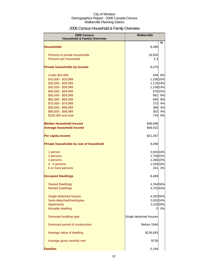## 2006 Census Household & Family Overview

| 2006 Census<br><b>Household &amp; Family Overview</b> | <b>Walkerville</b>     |         |
|-------------------------------------------------------|------------------------|---------|
|                                                       |                        | $\%$    |
| <b>Households</b>                                     | 8,499                  |         |
| Persons in private households                         | 19,505                 |         |
| Persons per household                                 | 2.3                    |         |
| <b>Private households by Income</b>                   | 8,479                  |         |
| <b>Under \$10,000</b>                                 | 649                    | 8%      |
| \$10,000 - \$19,999                                   | 1,336 16%              |         |
| \$20,000 - \$29,999                                   | 1,178 14%              |         |
| \$30,000 - \$39,999                                   | 1,158 14%              |         |
| \$40,000 - \$49,999                                   |                        | 876 10% |
| \$50,000 - \$59,999                                   | 681                    | 8%      |
| \$60,000 - \$69,999                                   | 685                    | 8%      |
| \$70,000 - \$79,999                                   | 373                    | 4%      |
| \$80,000 - \$89,999                                   | 366                    | 4%      |
| \$90,000 - \$99,999                                   | 303                    | 4%      |
| \$100,000 and over                                    | 734                    | 9%      |
| <b>Median Household Income</b>                        | \$38,696               |         |
| <b>Average household income</b>                       | \$48,922               |         |
| Per capita income                                     | \$21,267               |         |
| Private households by size of household               | 8,499                  |         |
| 1 person                                              | 2,920 34%              |         |
| 2 persons                                             | 2,759 32%              |         |
| 3 persons                                             | 1,268 15%              |         |
| 4 - 5 persons                                         | 1,329 16%              |         |
| 6 or more persons                                     | 241                    | 3%      |
| <b>Occupied Dwellings</b>                             | 8,489                  |         |
| <b>Owned Dwellings</b>                                | 4,764 56%              |         |
| <b>Rented Dwellings</b>                               | 3,703 44%              |         |
|                                                       | 4,282 50%              |         |
| Single detached houses<br>Semi-detached/row/duplex    | 2,033 24%              |         |
| <b>Apartments</b>                                     | 2,229 26%              |         |
| Movable dwelling                                      | 0                      | 0%      |
|                                                       |                        |         |
| Dominant building type                                | Single detached houses |         |
| Dominant period of construction                       | Before 1946            |         |
| Average value of dwelling                             | \$138,683              |         |
| Average gross monthly rent                            | \$730                  |         |
| <b>Families</b>                                       | 5,194                  |         |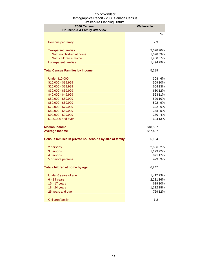| 2006 Census<br><b>Household &amp; Family Overview</b>   | <b>Walkerville</b> |         |  |
|---------------------------------------------------------|--------------------|---------|--|
|                                                         |                    | ℅       |  |
|                                                         |                    |         |  |
| Persons per family                                      | 2.9                |         |  |
| <b>Two-parent families</b>                              | 3,628 70%          |         |  |
| With no children at home                                | 1,698 33%          |         |  |
| With children at home                                   | 1,930 37%          |         |  |
| Lone-parent families                                    | 1,494 29%          |         |  |
| <b>Total Census Families by Income</b>                  | 5,289              |         |  |
| <b>Under \$10,000</b>                                   |                    | 308 6%  |  |
| \$10,000 - \$19,999                                     |                    | 509 10% |  |
| \$20,000 - \$29,999                                     |                    | 664 13% |  |
| \$30,000 - \$39,999                                     |                    | 630 12% |  |
| \$40,000 - \$49,999                                     |                    | 56311%  |  |
| \$50,000 - \$59,999                                     |                    | 529 10% |  |
| \$60,000 - \$69,999                                     | 502                | 9%      |  |
| \$70,000 - \$79,999                                     | 322                | 6%      |  |
| \$80,000 - \$89,999                                     | 238                | 5%      |  |
| \$90,000 - \$99,999                                     | 230                | 4%      |  |
| \$100,000 and over                                      |                    | 694 13% |  |
| <b>Median income</b>                                    | \$48,587           |         |  |
| <b>Average income</b>                                   | \$57,487           |         |  |
| Census families in private households by size of family | 5,194              |         |  |
| 2 persons                                               | 2,686 52%          |         |  |
| 3 persons                                               | 1,123 22%          |         |  |
| 4 persons                                               |                    | 891 17% |  |
| 5 or more persons                                       | 479                | 9%      |  |
| Total children at home by age                           | 6,247              |         |  |
| Under 6 years of age                                    | 1,417 23%          |         |  |
| 6 - 14 years                                            | 2,231 36%          |         |  |
| 15 - 17 years                                           |                    | 61910%  |  |
| 18 - 24 years                                           | 1,112 18%          |         |  |
| 25 years and over                                       |                    | 76912%  |  |
| Children/family                                         | 1.2                |         |  |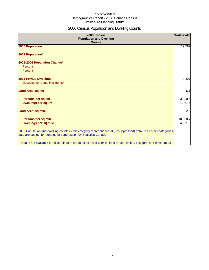## 2006 Census Population and Dwelling Counts

| 2006 Census<br><b>Population and Dwelling</b><br><b>Counts</b>                                                                                                                           | Walkerville         |
|------------------------------------------------------------------------------------------------------------------------------------------------------------------------------------------|---------------------|
| 2006 Population                                                                                                                                                                          | 19,797              |
| 2001 Population*                                                                                                                                                                         |                     |
| 2001-2006 Population Change*<br>Persons<br>Percent                                                                                                                                       |                     |
| <b>2006 Private Dwellings</b><br>Occupied by Usual Residents*                                                                                                                            | 9,497               |
| Land Area, sq km                                                                                                                                                                         | 5.1                 |
| Persons per sq km<br>Dwellings per sq km                                                                                                                                                 | 3,880.6<br>1,861.6  |
| <b>Land Area, sq mile</b>                                                                                                                                                                | 2.0                 |
| Persons per sq mile<br><b>Dwellings per sq mile</b>                                                                                                                                      | 10,050.7<br>4,821.5 |
| 2006 Population and dwelling counts in this category represent actual (unsuppressed) data. In all other categories,<br>data are subject to rounding or suppression by Statistics Canada. |                     |
| * Data is not available for dissemination areas, blocks and user-defined areas (circles, polygons and drive-times)                                                                       |                     |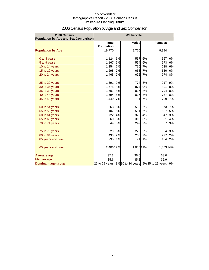| 2006 Census<br>Population by Age and Sex Comparison |                                   | <b>Walkerville</b> |              |    |                                                  |    |
|-----------------------------------------------------|-----------------------------------|--------------------|--------------|----|--------------------------------------------------|----|
|                                                     | <b>Total</b><br><b>Population</b> |                    | <b>Males</b> |    | <b>Females</b>                                   |    |
| <b>Population by Age</b>                            | 19,770                            |                    | 9,776        |    | 9,994                                            |    |
| 0 to 4 years                                        | 1,124                             | 6%                 | 557          | 6% | 567                                              | 6% |
| 5 to 9 years                                        | 1,167                             | 6%                 | 594          | 6% | 573                                              | 6% |
| 10 to 14 years                                      | 1,354                             | 7%                 | 715          | 7% | 638                                              | 6% |
| 15 to 19 years                                      | 1,298                             | 7%                 | 668          | 7% | 630                                              | 6% |
| 20 to 24 years                                      | 1,465                             | 7%                 | 692          | 7% | 774                                              | 8% |
| 25 to 29 years                                      | 1,691                             | 9%                 | 774          | 8% | 917                                              | 9% |
| 30 to 34 years                                      | 1,675                             | 8%                 | 874          | 9% | 801                                              | 8% |
| 35 to 39 years                                      | 1,601                             | 8%                 | 807          | 8% | 794                                              | 8% |
| 40 to 44 years                                      | 1,594                             | 8%                 | 807          | 8% | 787                                              | 8% |
| 45 to 49 years                                      | 1,440                             | 7%                 | 731          | 7% | 709                                              | 7% |
| 50 to 54 years                                      | 1,263                             | 6%                 | 590          | 6% | 673                                              | 7% |
| 55 to 59 years                                      | 1,107                             | 6%                 | 581          | 6% | 527                                              | 5% |
| 60 to 64 years                                      | 722                               | 4%                 | 376          | 4% | 347                                              | 3% |
| 65 to 69 years                                      | 660                               | 3%                 | 310          | 3% | 351                                              | 4% |
| 70 to 74 years                                      | 549                               | 3%                 | 242          | 2% | 307                                              | 3% |
| 75 to 79 years                                      | 529                               | 3%                 | 225          | 2% | 304                                              | 3% |
| 80 to 84 years                                      | 433                               | 2%                 | 206          | 2% | 227                                              | 2% |
| 85 years and over                                   | 235                               | 1%                 | 71           | 1% | 164                                              | 2% |
| 65 years and over                                   | 2,406 12%                         |                    | 1,053 11%    |    | 1,353 14%                                        |    |
| <b>Average age</b>                                  | 37.3                              |                    | 36.6         |    | 38.0                                             |    |
| <b>Median age</b>                                   | 35.6                              |                    | 35.2         |    | 35.9                                             |    |
| Dominant age group                                  |                                   |                    |              |    | 25 to 29 years 8%30 to 34 years 9%25 to 29 years | 9% |

## 2006 Census Population by Age and Sex Comparison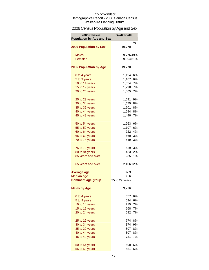## 2006 Census Population by Age and Sex

| 2006 Census<br><b>Population by Age and Sex</b> | <b>Walkerville</b> |           |
|-------------------------------------------------|--------------------|-----------|
| <b>2006 Population by Sex</b>                   | 19,770             | %         |
| <b>Males</b>                                    | 9,77649%           |           |
| <b>Females</b>                                  | 9,994 51%          |           |
|                                                 |                    |           |
| <b>2006 Population by Age</b>                   | 19,770             |           |
| 0 to 4 years                                    | 1,124              | 6%        |
| 5 to 9 years                                    | 1,167              | 6%        |
| 10 to 14 years                                  | 1,354              | 7%        |
| 15 to 19 years                                  | 1,298              | 7%        |
| 20 to 24 years                                  | 1,465              | 7%        |
| 25 to 29 years                                  | 1,691              | 9%        |
| 30 to 34 years                                  | 1,675              | 8%        |
| 35 to 39 years                                  | 1,601              | 8%        |
| 40 to 44 years                                  | 1,594              | <b>8%</b> |
| 45 to 49 years                                  | 1,440              | 7%        |
| 50 to 54 years                                  | 1,263              | 6%        |
| 55 to 59 years                                  | 1,107              | 6%        |
| 60 to 64 years                                  | 722                | 4%        |
| 65 to 69 years                                  | 660                | 3%        |
| 70 to 74 years                                  | 549                | 3%        |
| 75 to 79 years                                  |                    | 529 3%    |
| 80 to 84 years                                  | 433                | 2%        |
| 85 years and over                               | 235                | 1%        |
| 65 years and over                               | 2,406 12%          |           |
| <b>Average age</b>                              | 37.3               |           |
| <b>Median age</b>                               | 35.6               |           |
| <b>Dominant age group</b>                       | 25 to 29 years     |           |
| <b>Males by Age</b>                             | 9,776              |           |
| 0 to 4 years                                    | 557                | 6%        |
| 5 to 9 years                                    | 594                | 6%        |
| 10 to 14 years                                  | 715                | 7%        |
| 15 to 19 years                                  | 668                | 7%        |
| 20 to 24 years                                  | 692                | 7%        |
| 25 to 29 years                                  | 774                | 8%        |
| 30 to 34 years                                  | 874                | 9%        |
| 35 to 39 years                                  | 807                | 8%        |
| 40 to 44 years                                  | 807                | 8%        |
| 45 to 49 years                                  | 731                | 7%        |
| 50 to 54 years                                  | 590                | 6%        |
| 55 to 59 years                                  | 581                | 6%        |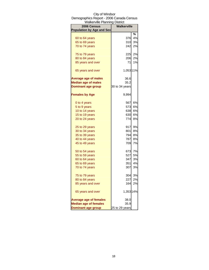| <b>Walkerville Planning District</b> |                |    |
|--------------------------------------|----------------|----|
| 2006 Census                          | Walkerville    |    |
| <b>Population by Age and Sex</b>     |                |    |
|                                      |                | %  |
| 60 to 64 years                       | 376            | 4% |
| 65 to 69 years                       | 310            | 3% |
| 70 to 74 years                       | 242            | 2% |
| 75 to 79 years                       | 225            | 2% |
| 80 to 84 years                       | 206            | 2% |
| 85 years and over                    | 71             | 1% |
| 65 years and over                    | 1,053 11%      |    |
| <b>Average age of males</b>          | 36.6           |    |
| <b>Median age of males</b>           | 35.2           |    |
| <b>Dominant age group</b>            | 30 to 34 years |    |
| <b>Females by Age</b>                | 9,994          |    |
| 0 to 4 years                         | 567            | 6% |
| 5 to 9 years                         | 573            | 6% |
| 10 to 14 years                       | 638            | 6% |
| 15 to 19 years                       | 630            | 6% |
| 20 to 24 years                       | 774            | 8% |
| 25 to 29 years                       | 917            | 9% |
| 30 to 34 years                       | 801            | 8% |
| 35 to 39 years                       | 794            | 8% |
| 40 to 44 years                       | 787            | 8% |
| 45 to 49 years                       | 709            | 7% |
| 50 to 54 years                       | 673            | 7% |
| 55 to 59 years                       | 527            | 5% |
| 60 to 64 years                       | 347            | 3% |
| 65 to 69 years                       | 351            | 4% |
| 70 to 74 years                       | 307            | 3% |
| 75 to 79 years                       | 304            | 3% |
| 80 to 84 years                       | 227            | 2% |
| 85 years and over                    | 164            | 2% |
| 65 years and over                    | 1,353 14%      |    |
| <b>Average age of females</b>        | 38.0           |    |
| <b>Median age of females</b>         | 35.9           |    |
| <b>Dominant age group</b>            | 25 to 29 years |    |

## City of Windsor Demographics Report - 2006 Canada Census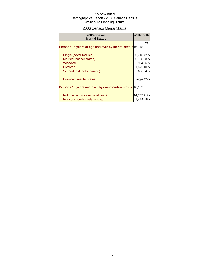## 2006 Census Marital Status

| 2006 Census<br><b>Marital Status</b>                      | <b>Walkerville</b>    |        |
|-----------------------------------------------------------|-----------------------|--------|
| Persons 15 years of age and over by marital status 16,148 |                       | %      |
| Single (never married)                                    | 6,71542%              |        |
| Married (not separated)                                   | 6,13838%              |        |
| Widowed                                                   |                       | 984 6% |
| <b>Divorced</b>                                           | 1,623 10%             |        |
| Separated (legally married)                               | 666                   | 4%     |
| Dominant marital status                                   | Single <sup>42%</sup> |        |
| Persons 15 years and over by common-law status            | 16,169                |        |
|                                                           |                       |        |
| Not in a common-law relationship                          | 14,73591%             |        |
| In a common-law relationship                              | 1,424                 | 9%     |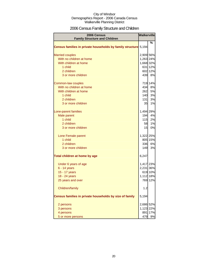## 2006 Census Family Structure and Children

| <b>2006 Census</b><br><b>Family Structure and Children</b>      |           | <b>Walkerville</b> |
|-----------------------------------------------------------------|-----------|--------------------|
|                                                                 |           | ℅                  |
| Census families in private households by family structure 5,194 |           |                    |
|                                                                 |           |                    |
| <b>Married couples</b>                                          | 2,909 56% |                    |
| With no children at home                                        | 1,263 24% |                    |
| With children at home                                           | 1,668 32% |                    |
| 1 child                                                         |           | 631 12%            |
| 2 children                                                      |           | 602 12%            |
| 3 or more children                                              | 439       | 8%                 |
| Common-law couples                                              |           | 719 14%            |
| With no children at home                                        | 434       | 8%                 |
| With children at home                                           | 262       | 5%                 |
| 1 child                                                         | 140       | 3%                 |
| 2 children                                                      | 131       | 3%                 |
| 3 or more children                                              | 35        | 1%                 |
| Lone-parent families                                            | 1,494 29% |                    |
| Male parent                                                     | 194       | 4%                 |
| 1 child                                                         | 115       | 2%                 |
| 2 children                                                      | 58        | 1%                 |
| 3 or more children                                              | 15        | 0%                 |
| Lone Female parent                                              | 1,322 25% |                    |
| 1 child                                                         |           | 805 15%            |
| 2 children                                                      | 336       | 6%                 |
| 3 or more children                                              | 149       | 3%                 |
| Total children at home by age                                   | 6,247     |                    |
| Under 6 years of age                                            | 1,417 23% |                    |
| $6 - 14$ years                                                  | 2,231 36% |                    |
| 15 - 17 years                                                   |           | 619 10%            |
| 18 - 24 years                                                   | 1,112 18% |                    |
| 25 years and over                                               |           | 769 12%            |
| Children/family                                                 | 1.2       |                    |
| Census families in private households by size of family         | 5,194     |                    |
| 2 persons                                                       | 2,686 52% |                    |
| 3 persons                                                       | 1,123     | 22%                |
| 4 persons                                                       | 891       | 17%                |
| 5 or more persons                                               | 479       | 9%                 |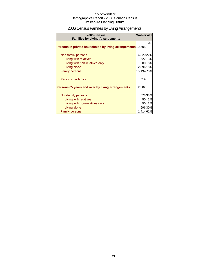## 2006 Census Families by Living Arrangements

| 2006 Census<br><b>Families by Living Arrangements</b>       | <b>Walkerville</b> |        |
|-------------------------------------------------------------|--------------------|--------|
| Persons in private households by living arrangements 19,505 |                    | %      |
|                                                             |                    |        |
| Non-family persons                                          | 4,320 22%          |        |
| Living with relatives                                       |                    | 522 3% |
| Living with non-relatives only                              |                    | 900 5% |
| Living alone                                                | 2,896 15%          |        |
| <b>Family persons</b>                                       | 15,194 78%         |        |
| Persons per family                                          | 2.9                |        |
| Persons 65 years and over by living arrangements            | 2,302              |        |
|                                                             |                    |        |
| Non-family persons                                          |                    | 87838% |
| Living with relatives                                       |                    | 50 2%  |
| Living with non-relatives only                              |                    | 50 2%  |
| Living alone                                                |                    | 69630% |
| <b>Family persons</b>                                       | 1,41461%           |        |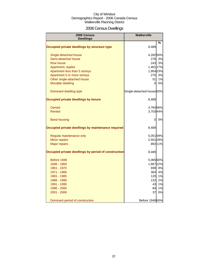## 2006 Census Dwellings

| 2006 Census<br><b>Dwellings</b>                      | <b>Walkerville</b>        |         |
|------------------------------------------------------|---------------------------|---------|
|                                                      |                           | %       |
| Occupied private dwellings by structure type         | 8,489                     |         |
| Single-detached house                                | 4,282 50%                 |         |
| Semi-detached house                                  | 278I                      | 3%      |
| Row house                                            | 243                       | 3%      |
| Apartment, duplex                                    | 1,461 17%                 |         |
| Apartment less than 5 storeys                        | 1,954 23%                 |         |
| Apartment 5 or more storeys                          | 275                       | 3%      |
| Other single-attached house                          | 51                        | 1%      |
| Movable dwelling                                     | $\Omega$                  | 0%      |
| Dominant dwelling type                               | Single-detached house 50% |         |
| Occupied private dwellings by tenure                 | 8,489                     |         |
| Owned                                                | 4,764 56%                 |         |
| Rented                                               | 3,703 44%                 |         |
| <b>Band housing</b>                                  | 0                         | 0%      |
| Occupied private dwellings by maintenance required   | 8,489                     |         |
| Regular maintenance only                             | 5,05159%                  |         |
| Minor repairs                                        | 2,501 29%                 |         |
| <b>Major repairs</b>                                 |                           | 892 11% |
| Occupied private dwellings by period of construction | 8,489                     |         |
| Before 1946                                          | 5,065 60%                 |         |
| 1946 - 1960                                          | 1,86722%                  |         |
| 1961 - 1970                                          | 699                       | 8%      |
| 1971 - 1980                                          | 364                       | 4%      |
| 1981 - 1985                                          | 120                       | 1%      |
| 1986 - 1990                                          | 132                       | 2%      |
| 1991 - 1995                                          | 43                        | 1%      |
| 1996 - 2000                                          | 84                        | 1%      |
| 2001 - 2006                                          | 37                        | 0%      |
| Dominant period of construction                      | Before 1946 60%           |         |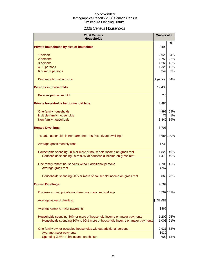## 2006 Census Households

| 2006 Census<br><b>Households</b>                                          |              | <b>Walkerville</b> |
|---------------------------------------------------------------------------|--------------|--------------------|
| Private households by size of household                                   | 8,499        | ℅                  |
| 1 person                                                                  |              | 2,920 34%          |
| 2 persons                                                                 |              | 2,759 32%          |
| 3 persons                                                                 | 1,268        | 15%                |
| 4 - 5 persons                                                             | 1,329        | 16%                |
| 6 or more persons                                                         | 241          | 3%                 |
| Dominant household size                                                   | 1 person 34% |                    |
| <b>Persons in households</b>                                              | 19,435       |                    |
| Persons per household                                                     | 2.3          |                    |
| Private households by household type                                      | 8,486        |                    |
| One-family households                                                     | 4,997        | 59%                |
| Multiple-family households                                                | 71           | 1%                 |
| Non-family households                                                     | 3,349        | 39%                |
| <b>Rented Dwellings</b>                                                   | 3,703        |                    |
| Tenant households in non-farm, non-reserve private dwellings              |              | 3,685 100%         |
| Average gross monthly rent                                                | \$730        |                    |
| Households spending 30% or more of household income on gross rent         | 1,823        | 49%                |
| Households spending 30 to 99% of household income on gross rent           | 1,473        | 40%                |
| One-family tenant households without additional persons                   | 1,709        | 46%                |
| Average gross rent                                                        | \$767        |                    |
| Households spending 30% or more of household income on gross rent         | 865          | 23%                |
| <b>Owned Dwellings</b>                                                    | 4,764        |                    |
| Owner-occupied private non-farm, non-reserve dwellings                    |              | 4,792 101%         |
| Average value of dwelling                                                 | \$138,683    |                    |
| Average owner's major payments                                            | \$867        |                    |
| Households spending 30% or more of household income on major payments     |              | 1,202 25%          |
| Households spending 30% to 99% more of household income on major payments |              | 1,003 21%          |
| One-family owner-occupied households without additional persons           | 2,931        | 62%                |
| Average major payments                                                    | \$932        |                    |
| Spending 30%+ of hh income on shelter                                     | 600          | 13%                |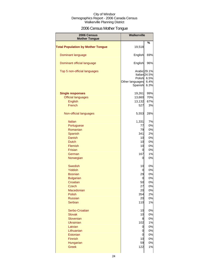## 2006 Census Mother Tongue

| 2006 Census                              | <b>Walkerville</b>                                   |                                                  |
|------------------------------------------|------------------------------------------------------|--------------------------------------------------|
| <b>Mother Tongue</b>                     |                                                      |                                                  |
| <b>Total Population by Mother Tongue</b> | 19,518                                               | %                                                |
| Dominant language                        | English                                              | 69%                                              |
| Dominant official language               | English                                              | 96%                                              |
| Top 5 non-official languages             | Arabic 29.1%<br>Polish<br>Other languages<br>Spanish | Italian <sub>24.5%</sub><br>6.5%<br>6.4%<br>6.3% |
| <b>Single responses</b>                  | 19,261                                               | 99%                                              |
| <b>Official languages</b>                | 13,660                                               | 70%                                              |
| <b>English</b>                           | 13,132                                               | 67%                                              |
| French                                   | 527                                                  | 3%                                               |
|                                          |                                                      |                                                  |
| Non-official languages                   | 5,553                                                | 28%                                              |
| <b>Italian</b>                           | 1,331                                                | 7%                                               |
| Portuguese                               | 77                                                   | 0%                                               |
| Romanian                                 | 79                                                   | 0%                                               |
| Spanish                                  | 341                                                  | 2%                                               |
|                                          |                                                      |                                                  |
| Danish                                   | 10                                                   | 0%                                               |
| <b>Dutch</b>                             | 10                                                   | 0%                                               |
| Flemish                                  | 10                                                   | 0%                                               |
| <b>Frisian</b>                           | 0                                                    | 0%                                               |
| German                                   | 167                                                  | 1%                                               |
| Norwegian                                | 0                                                    | 0%                                               |
| Swedish                                  | 10                                                   | 0%                                               |
| Yiddish                                  | 0                                                    | 0%                                               |
| <b>Bosnian</b>                           | 29                                                   | 0%                                               |
| <b>Bulgarian</b>                         | 0                                                    | 0%                                               |
| Croatian                                 | 50                                                   | 0%                                               |
| Czech                                    | 27                                                   | 0%                                               |
| Macedonian                               | 20                                                   | 0%                                               |
| Polish                                   | 354                                                  | 2%                                               |
| <b>Russian</b>                           | 20                                                   |                                                  |
|                                          |                                                      | 0%                                               |
| Serbian                                  | 110                                                  | 1%                                               |
| Serbo-Croatian                           | 10                                                   | 0%                                               |
| <b>Slovak</b>                            | 10                                                   | 0%                                               |
| Slovenian                                | 8                                                    | 0%                                               |
| <b>Ukrainian</b>                         | 102                                                  | 1%                                               |
| Latvian                                  | 0                                                    | 0%                                               |
| Lithuanian                               | 0                                                    | 0%                                               |
| Estonian                                 | 0                                                    | 0%                                               |
| Finnish                                  | 10                                                   | 0%                                               |
| Hungarian                                | 59                                                   | 0%                                               |
| <b>Greek</b>                             | 122                                                  | 1%                                               |
|                                          |                                                      |                                                  |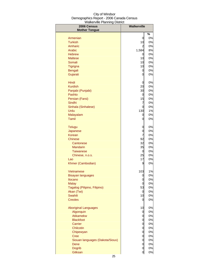| 2006 Census                     | Walkerville    |          |
|---------------------------------|----------------|----------|
| <b>Mother Tongue</b>            |                | %        |
| Armenian                        | 0              | 0%       |
| <b>Turkish</b>                  | 10             | 0%       |
| Amharic                         | $\overline{c}$ | 0%       |
| Arabic                          | 1,584          | 8%       |
| <b>Hebrew</b>                   | 0              | 0%       |
| <b>Maltese</b>                  | 10             | 0%       |
| Somali                          | 10             | 0%       |
| <b>Tigrigna</b>                 | 10             | 0%       |
| Bengali                         | 0              | 0%       |
| Gujarati                        | 0              | 0%       |
| Hindi                           | 0              | 0%       |
| <b>Kurdish</b>                  | 20             | 0%       |
| Panjabi (Punjabi)               | 30             | 0%       |
| Pashto                          | 0              | 0%       |
| Persian (Farsi)                 | 15             | 0%       |
| Sindhi                          | 7<br>0         | 0%<br>0% |
| Sinhala (Sinhalese)<br>Urdu     | 130            | 1%       |
| Malayalam                       | 0              | 0%       |
| Tamil                           | 0              | 0%       |
| <b>Telugu</b>                   | 0              | 0%       |
| Japanese                        | 0              | 0%       |
| Korean                          | 7              | 0%       |
| <b>Chinese</b>                  | 92             | 0%       |
| Cantonese                       | 32             | 0%       |
| <b>Mandarin</b>                 | 35             | 0%       |
| <b>Taiwanese</b>                | 0              | 0%       |
| Chinese, n.o.s.                 | 25             | 0%       |
| Lao                             | 17             | 0%       |
| Khmer (Cambodian)               | 9              | 0%       |
| Vietnamese                      | 103            | 1%       |
| <b>Bisayan languages</b>        | 0              | 0%       |
| Ilocano                         | 0              | 0%       |
| <b>Malay</b>                    | 0              | 0%       |
| Tagalog (Pilipino, Filipino)    | 53             | 0%       |
| Akan (Twi)                      | 0              | 0%       |
| Swahili<br><b>Creoles</b>       | 10<br>0        | 0%<br>0% |
|                                 |                |          |
| <b>Aboriginal Languages</b>     | 10             | 0%       |
| Algonquin<br>Atikamekw          | 0              | 0%       |
| <b>Blackfoot</b>                | 0<br>0         | 0%<br>0% |
| Carrier                         | 0              | 0%       |
| Chilcotin                       | 0              | 0%       |
| Chipewyan                       | 0              | 0%       |
| <b>Cree</b>                     | 0              | 0%       |
| Siouan languages (Dakota/Sioux) | 0              | 0%       |
| Dene                            | 0              | 0%       |
| <b>Dogrib</b>                   | 0              | 0%       |
| Gitksan                         | $\overline{0}$ | 0%       |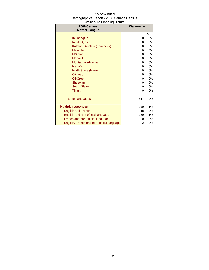| City of Windsor                          |
|------------------------------------------|
| Demographics Report - 2006 Canada Census |
| <b>Walkerville Planning District</b>     |

| 2006 Census<br><b>Mother Tongue</b>       | <b>Walkerville</b> |    |
|-------------------------------------------|--------------------|----|
|                                           |                    | %  |
| Inuinnagtun                               | 0                  | 0% |
| Inuktitut, n.i.e.                         | 0                  | 0% |
| Kutchin-Gwich'in (Loucheux)               | 0                  | 0% |
| <b>Malecite</b>                           | 0                  | 0% |
| Mi'kmaq                                   | 0                  | 0% |
| <b>Mohawk</b>                             | 10                 | 0% |
| Montagnais-Naskapi                        | 0                  | 0% |
| Nisga'a                                   | 0                  | 0% |
| North Slave (Hare)                        | 0                  | 0% |
| Ojibway                                   | 0                  | 0% |
| Oji-Cree                                  | 0                  | 0% |
| Shuswap                                   | 0                  | 0% |
| <b>South Slave</b>                        | 0                  | 0% |
| <b>Tlingit</b>                            | 0                  | 0% |
| Other languages                           | 347                | 2% |
| <b>Multiple responses</b>                 | 260                | 1% |
| <b>English and French</b>                 | 48                 | 0% |
| English and non-official language         | 220                | 1% |
| French and non-official language          | 10                 | 0% |
| English, French and non-official language | 2                  | 0% |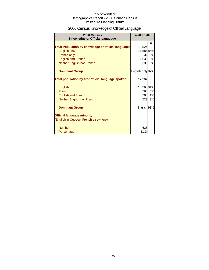## 2006 Census Knowledge of Official Language

| 2006 Census<br><b>Knowledge of Official Language</b>       | <b>Walkerville</b>     |        |
|------------------------------------------------------------|------------------------|--------|
|                                                            |                        | %      |
| <b>Total Population by knowledge of official languages</b> | 19,524                 |        |
| <b>English only</b>                                        | 16,886 86%             |        |
| French only                                                | 32                     | 0%     |
| <b>English and French</b>                                  | 2,039 10%              |        |
| Neither English nor French                                 |                        | 533 3% |
| <b>Dominant Group</b>                                      | English only 87%       |        |
| Total population by first official language spoken         | 19,507                 |        |
| English                                                    | 18,26594%              |        |
| French                                                     | 564                    | 3%     |
| <b>English and French</b>                                  | 208                    | 1%     |
| Neither English nor French                                 | 523                    | 3%     |
| <b>Dominant Group</b>                                      | English <sub>93%</sub> |        |
| <b>Official language minority</b>                          |                        |        |
| (English in Quebec, French elsewhere)                      |                        |        |
| <b>Number</b>                                              | 638                    |        |
| Percentage                                                 | 3.3%                   |        |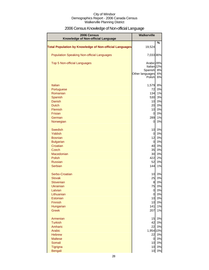## 2006 Census Knowledge of Non-official Language

| 2006 Census<br>Knowledge of Non-official Language              | Walkerville                       |          |
|----------------------------------------------------------------|-----------------------------------|----------|
|                                                                |                                   | %        |
| <b>Total Population by Knowledge of Non-official Languages</b> | 19,524                            |          |
| <b>Population Speaking Non-official Languages</b>              | 7,033 36%                         |          |
| <b>Top 5 Non-official Languages</b>                            | Arabic 28%                        |          |
|                                                                | Italian <sub>22%</sub><br>Spanish | 8%       |
|                                                                | Other languages                   | 6%       |
|                                                                | Polish                            | 6%       |
| <b>Italian</b>                                                 | 1,579                             | 8%       |
| Portuguese                                                     | 72                                | 0%       |
| Romanian                                                       | 134                               | 1%       |
| Spanish                                                        | 530                               | 3%       |
| <b>Danish</b>                                                  | 10                                | 0%       |
| <b>Dutch</b>                                                   | 20                                | 0%       |
| Flemish                                                        | 10                                | 0%       |
| Frisian<br>German                                              | $\overline{0}$<br>289             | 0%<br>1% |
| Norwegian                                                      | 0                                 | 0%       |
|                                                                |                                   |          |
| <b>Swedish</b><br>Yiddish                                      | 10                                | 0%<br>0% |
| <b>Bosnian</b>                                                 | $\overline{0}$<br>12              | 0%       |
| <b>Bulgarian</b>                                               | $\overline{0}$                    | 0%       |
| Croatian                                                       | 40                                | 0%       |
| <b>Czech</b>                                                   | 35                                | 0%       |
| Macedonian                                                     | 30                                | 0%       |
| <b>Polish</b>                                                  | 422                               | 2%       |
| <b>Russian</b>                                                 | 52                                | 0%       |
| Serbian                                                        | 144                               | 1%       |
| Serbo-Croatian                                                 | 10                                | 0%       |
| <b>Slovak</b>                                                  | 25                                | 0%       |
| Slovenian<br>Ukrainian                                         | 8<br>75                           | 0%       |
| Latvian                                                        | $\mathbf 0$                       | 0%<br>0% |
| Lithuanian                                                     | $\overline{0}$                    | 0%       |
| Estonian                                                       | 10                                | 0%       |
| Finnish                                                        | 10                                | 0%       |
| Hungarian                                                      | 141                               | 1%       |
| <b>Greek</b>                                                   | 207                               | 1%       |
| Armenian                                                       | 15                                | 0%       |
| <b>Turkish</b>                                                 | 42                                | 0%       |
| Amharic                                                        | 22                                | 0%       |
| Arabic                                                         | 1,954 10%<br>22                   |          |
| <b>Hebrew</b><br><b>Maltese</b>                                | $\overline{0}$                    | 0%<br>0% |
| Somali                                                         | 10                                | 0%       |
| Tigrigna                                                       | 10                                | 0%       |
| <b>Bengali</b>                                                 | 10 <sub>l</sub>                   | 0%       |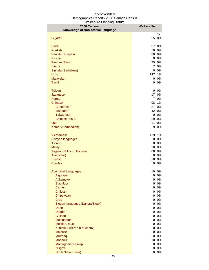| %<br>25<br>0%<br>Gujarati<br>Hindi<br>37<br>0%<br>0%<br><b>Kurdish</b><br>10<br>0%<br>28<br>Panjabi (Punjabi)<br>Pashto<br>$\overline{0}$<br>0%<br>25<br>Persian (Farsi)<br>0%<br>$\overline{7}$<br>0%<br>Sindhi<br>Sinhala (Sinhalese)<br>0<br>0%<br>147<br>1%<br>Urdu<br>0%<br>Malayalam<br>$\overline{0}$<br><b>Tamil</b><br>0%<br>0<br>$\overline{0}$<br>0%<br><b>Telugu</b><br>17<br>0%<br>Japanese<br>$\overline{7}$<br>0%<br>Korean<br>98<br>1%<br><b>Chinese</b><br>27<br>0%<br>Cantonese<br>42<br>0%<br><b>Mandarin</b><br>0%<br><b>Taiwanese</b><br>$\overline{0}$<br>29<br>0%<br>Chinese, n.o.s.<br>11<br>0%<br>Lao<br>9<br>Khmer (Cambodian)<br>0%<br>119<br>1%<br>Vietnamese<br>0%<br>0<br><b>Bisayan languages</b><br>0%<br>Ilocano<br>0<br>0%<br>10<br><b>Malay</b><br>68<br>Tagalog (Pilipino, Filipino)<br>0%<br>Akan (Twi)<br>$\overline{0}$<br>0%<br>Swahili<br>10<br>0%<br><b>Creoles</b><br>0<br>0%<br>0%<br><b>Aboriginal Languages</b><br>10<br>0%<br>0<br>Algonquin<br>$\overline{0}$<br>0%<br><b>Atikamekw</b><br>$\overline{0}$<br>0%<br><b>Blackfoot</b><br>0%<br>Carrier<br>0<br>Chilcotin<br>$\overline{0}$<br>0%<br><sub>0</sub><br>0%<br>Chipewyan<br>0%<br><b>Cree</b><br>$\overline{0}$<br>0%<br>Siouan languages (Dakota/Sioux)<br>$\overline{0}$<br>0%<br>Dene<br>$\overline{0}$<br>0%<br><b>Dogrib</b><br>$\overline{0}$<br>Gitksan<br>0%<br>0<br>0%<br>Inuinnagtun<br><sub>0</sub><br>0%<br>Inuktitut, n.i.e.<br><sub>0</sub><br>Kutchin-Gwich'in (Loucheux)<br>0%<br><sub>0</sub><br>0%<br><b>Malecite</b><br>0<br>0%<br>Mi'kmaq<br><sub>0</sub><br><b>Mohawk</b><br>10<br>0%<br>Montagnais-Naskapi<br>$\overline{0}$<br>Nisga'a<br>0<br>North Slave (Hare)<br>0 | 2006 Census                        | Walkerville |  |
|--------------------------------------------------------------------------------------------------------------------------------------------------------------------------------------------------------------------------------------------------------------------------------------------------------------------------------------------------------------------------------------------------------------------------------------------------------------------------------------------------------------------------------------------------------------------------------------------------------------------------------------------------------------------------------------------------------------------------------------------------------------------------------------------------------------------------------------------------------------------------------------------------------------------------------------------------------------------------------------------------------------------------------------------------------------------------------------------------------------------------------------------------------------------------------------------------------------------------------------------------------------------------------------------------------------------------------------------------------------------------------------------------------------------------------------------------------------------------------------------------------------------------------------------------------------------------------------------------------------------------------------------------------------------------------------------------------|------------------------------------|-------------|--|
|                                                                                                                                                                                                                                                                                                                                                                                                                                                                                                                                                                                                                                                                                                                                                                                                                                                                                                                                                                                                                                                                                                                                                                                                                                                                                                                                                                                                                                                                                                                                                                                                                                                                                                        | Knowledge of Non-official Language |             |  |
|                                                                                                                                                                                                                                                                                                                                                                                                                                                                                                                                                                                                                                                                                                                                                                                                                                                                                                                                                                                                                                                                                                                                                                                                                                                                                                                                                                                                                                                                                                                                                                                                                                                                                                        |                                    |             |  |
| $0\%$<br>$0\%$<br>$0\%$                                                                                                                                                                                                                                                                                                                                                                                                                                                                                                                                                                                                                                                                                                                                                                                                                                                                                                                                                                                                                                                                                                                                                                                                                                                                                                                                                                                                                                                                                                                                                                                                                                                                                |                                    |             |  |
|                                                                                                                                                                                                                                                                                                                                                                                                                                                                                                                                                                                                                                                                                                                                                                                                                                                                                                                                                                                                                                                                                                                                                                                                                                                                                                                                                                                                                                                                                                                                                                                                                                                                                                        |                                    |             |  |
|                                                                                                                                                                                                                                                                                                                                                                                                                                                                                                                                                                                                                                                                                                                                                                                                                                                                                                                                                                                                                                                                                                                                                                                                                                                                                                                                                                                                                                                                                                                                                                                                                                                                                                        |                                    |             |  |
|                                                                                                                                                                                                                                                                                                                                                                                                                                                                                                                                                                                                                                                                                                                                                                                                                                                                                                                                                                                                                                                                                                                                                                                                                                                                                                                                                                                                                                                                                                                                                                                                                                                                                                        |                                    |             |  |
|                                                                                                                                                                                                                                                                                                                                                                                                                                                                                                                                                                                                                                                                                                                                                                                                                                                                                                                                                                                                                                                                                                                                                                                                                                                                                                                                                                                                                                                                                                                                                                                                                                                                                                        |                                    |             |  |
|                                                                                                                                                                                                                                                                                                                                                                                                                                                                                                                                                                                                                                                                                                                                                                                                                                                                                                                                                                                                                                                                                                                                                                                                                                                                                                                                                                                                                                                                                                                                                                                                                                                                                                        |                                    |             |  |
|                                                                                                                                                                                                                                                                                                                                                                                                                                                                                                                                                                                                                                                                                                                                                                                                                                                                                                                                                                                                                                                                                                                                                                                                                                                                                                                                                                                                                                                                                                                                                                                                                                                                                                        |                                    |             |  |
|                                                                                                                                                                                                                                                                                                                                                                                                                                                                                                                                                                                                                                                                                                                                                                                                                                                                                                                                                                                                                                                                                                                                                                                                                                                                                                                                                                                                                                                                                                                                                                                                                                                                                                        |                                    |             |  |
|                                                                                                                                                                                                                                                                                                                                                                                                                                                                                                                                                                                                                                                                                                                                                                                                                                                                                                                                                                                                                                                                                                                                                                                                                                                                                                                                                                                                                                                                                                                                                                                                                                                                                                        |                                    |             |  |
|                                                                                                                                                                                                                                                                                                                                                                                                                                                                                                                                                                                                                                                                                                                                                                                                                                                                                                                                                                                                                                                                                                                                                                                                                                                                                                                                                                                                                                                                                                                                                                                                                                                                                                        |                                    |             |  |
|                                                                                                                                                                                                                                                                                                                                                                                                                                                                                                                                                                                                                                                                                                                                                                                                                                                                                                                                                                                                                                                                                                                                                                                                                                                                                                                                                                                                                                                                                                                                                                                                                                                                                                        |                                    |             |  |
|                                                                                                                                                                                                                                                                                                                                                                                                                                                                                                                                                                                                                                                                                                                                                                                                                                                                                                                                                                                                                                                                                                                                                                                                                                                                                                                                                                                                                                                                                                                                                                                                                                                                                                        |                                    |             |  |
|                                                                                                                                                                                                                                                                                                                                                                                                                                                                                                                                                                                                                                                                                                                                                                                                                                                                                                                                                                                                                                                                                                                                                                                                                                                                                                                                                                                                                                                                                                                                                                                                                                                                                                        |                                    |             |  |
|                                                                                                                                                                                                                                                                                                                                                                                                                                                                                                                                                                                                                                                                                                                                                                                                                                                                                                                                                                                                                                                                                                                                                                                                                                                                                                                                                                                                                                                                                                                                                                                                                                                                                                        |                                    |             |  |
|                                                                                                                                                                                                                                                                                                                                                                                                                                                                                                                                                                                                                                                                                                                                                                                                                                                                                                                                                                                                                                                                                                                                                                                                                                                                                                                                                                                                                                                                                                                                                                                                                                                                                                        |                                    |             |  |
|                                                                                                                                                                                                                                                                                                                                                                                                                                                                                                                                                                                                                                                                                                                                                                                                                                                                                                                                                                                                                                                                                                                                                                                                                                                                                                                                                                                                                                                                                                                                                                                                                                                                                                        |                                    |             |  |
|                                                                                                                                                                                                                                                                                                                                                                                                                                                                                                                                                                                                                                                                                                                                                                                                                                                                                                                                                                                                                                                                                                                                                                                                                                                                                                                                                                                                                                                                                                                                                                                                                                                                                                        |                                    |             |  |
|                                                                                                                                                                                                                                                                                                                                                                                                                                                                                                                                                                                                                                                                                                                                                                                                                                                                                                                                                                                                                                                                                                                                                                                                                                                                                                                                                                                                                                                                                                                                                                                                                                                                                                        |                                    |             |  |
|                                                                                                                                                                                                                                                                                                                                                                                                                                                                                                                                                                                                                                                                                                                                                                                                                                                                                                                                                                                                                                                                                                                                                                                                                                                                                                                                                                                                                                                                                                                                                                                                                                                                                                        |                                    |             |  |
|                                                                                                                                                                                                                                                                                                                                                                                                                                                                                                                                                                                                                                                                                                                                                                                                                                                                                                                                                                                                                                                                                                                                                                                                                                                                                                                                                                                                                                                                                                                                                                                                                                                                                                        |                                    |             |  |
|                                                                                                                                                                                                                                                                                                                                                                                                                                                                                                                                                                                                                                                                                                                                                                                                                                                                                                                                                                                                                                                                                                                                                                                                                                                                                                                                                                                                                                                                                                                                                                                                                                                                                                        |                                    |             |  |
|                                                                                                                                                                                                                                                                                                                                                                                                                                                                                                                                                                                                                                                                                                                                                                                                                                                                                                                                                                                                                                                                                                                                                                                                                                                                                                                                                                                                                                                                                                                                                                                                                                                                                                        |                                    |             |  |
|                                                                                                                                                                                                                                                                                                                                                                                                                                                                                                                                                                                                                                                                                                                                                                                                                                                                                                                                                                                                                                                                                                                                                                                                                                                                                                                                                                                                                                                                                                                                                                                                                                                                                                        |                                    |             |  |
|                                                                                                                                                                                                                                                                                                                                                                                                                                                                                                                                                                                                                                                                                                                                                                                                                                                                                                                                                                                                                                                                                                                                                                                                                                                                                                                                                                                                                                                                                                                                                                                                                                                                                                        |                                    |             |  |
|                                                                                                                                                                                                                                                                                                                                                                                                                                                                                                                                                                                                                                                                                                                                                                                                                                                                                                                                                                                                                                                                                                                                                                                                                                                                                                                                                                                                                                                                                                                                                                                                                                                                                                        |                                    |             |  |
|                                                                                                                                                                                                                                                                                                                                                                                                                                                                                                                                                                                                                                                                                                                                                                                                                                                                                                                                                                                                                                                                                                                                                                                                                                                                                                                                                                                                                                                                                                                                                                                                                                                                                                        |                                    |             |  |
|                                                                                                                                                                                                                                                                                                                                                                                                                                                                                                                                                                                                                                                                                                                                                                                                                                                                                                                                                                                                                                                                                                                                                                                                                                                                                                                                                                                                                                                                                                                                                                                                                                                                                                        |                                    |             |  |
|                                                                                                                                                                                                                                                                                                                                                                                                                                                                                                                                                                                                                                                                                                                                                                                                                                                                                                                                                                                                                                                                                                                                                                                                                                                                                                                                                                                                                                                                                                                                                                                                                                                                                                        |                                    |             |  |
|                                                                                                                                                                                                                                                                                                                                                                                                                                                                                                                                                                                                                                                                                                                                                                                                                                                                                                                                                                                                                                                                                                                                                                                                                                                                                                                                                                                                                                                                                                                                                                                                                                                                                                        |                                    |             |  |
|                                                                                                                                                                                                                                                                                                                                                                                                                                                                                                                                                                                                                                                                                                                                                                                                                                                                                                                                                                                                                                                                                                                                                                                                                                                                                                                                                                                                                                                                                                                                                                                                                                                                                                        |                                    |             |  |
|                                                                                                                                                                                                                                                                                                                                                                                                                                                                                                                                                                                                                                                                                                                                                                                                                                                                                                                                                                                                                                                                                                                                                                                                                                                                                                                                                                                                                                                                                                                                                                                                                                                                                                        |                                    |             |  |
|                                                                                                                                                                                                                                                                                                                                                                                                                                                                                                                                                                                                                                                                                                                                                                                                                                                                                                                                                                                                                                                                                                                                                                                                                                                                                                                                                                                                                                                                                                                                                                                                                                                                                                        |                                    |             |  |
|                                                                                                                                                                                                                                                                                                                                                                                                                                                                                                                                                                                                                                                                                                                                                                                                                                                                                                                                                                                                                                                                                                                                                                                                                                                                                                                                                                                                                                                                                                                                                                                                                                                                                                        |                                    |             |  |
|                                                                                                                                                                                                                                                                                                                                                                                                                                                                                                                                                                                                                                                                                                                                                                                                                                                                                                                                                                                                                                                                                                                                                                                                                                                                                                                                                                                                                                                                                                                                                                                                                                                                                                        |                                    |             |  |
|                                                                                                                                                                                                                                                                                                                                                                                                                                                                                                                                                                                                                                                                                                                                                                                                                                                                                                                                                                                                                                                                                                                                                                                                                                                                                                                                                                                                                                                                                                                                                                                                                                                                                                        |                                    |             |  |
|                                                                                                                                                                                                                                                                                                                                                                                                                                                                                                                                                                                                                                                                                                                                                                                                                                                                                                                                                                                                                                                                                                                                                                                                                                                                                                                                                                                                                                                                                                                                                                                                                                                                                                        |                                    |             |  |
|                                                                                                                                                                                                                                                                                                                                                                                                                                                                                                                                                                                                                                                                                                                                                                                                                                                                                                                                                                                                                                                                                                                                                                                                                                                                                                                                                                                                                                                                                                                                                                                                                                                                                                        |                                    |             |  |
|                                                                                                                                                                                                                                                                                                                                                                                                                                                                                                                                                                                                                                                                                                                                                                                                                                                                                                                                                                                                                                                                                                                                                                                                                                                                                                                                                                                                                                                                                                                                                                                                                                                                                                        |                                    |             |  |
|                                                                                                                                                                                                                                                                                                                                                                                                                                                                                                                                                                                                                                                                                                                                                                                                                                                                                                                                                                                                                                                                                                                                                                                                                                                                                                                                                                                                                                                                                                                                                                                                                                                                                                        |                                    |             |  |
|                                                                                                                                                                                                                                                                                                                                                                                                                                                                                                                                                                                                                                                                                                                                                                                                                                                                                                                                                                                                                                                                                                                                                                                                                                                                                                                                                                                                                                                                                                                                                                                                                                                                                                        |                                    |             |  |
|                                                                                                                                                                                                                                                                                                                                                                                                                                                                                                                                                                                                                                                                                                                                                                                                                                                                                                                                                                                                                                                                                                                                                                                                                                                                                                                                                                                                                                                                                                                                                                                                                                                                                                        |                                    |             |  |
|                                                                                                                                                                                                                                                                                                                                                                                                                                                                                                                                                                                                                                                                                                                                                                                                                                                                                                                                                                                                                                                                                                                                                                                                                                                                                                                                                                                                                                                                                                                                                                                                                                                                                                        |                                    |             |  |
|                                                                                                                                                                                                                                                                                                                                                                                                                                                                                                                                                                                                                                                                                                                                                                                                                                                                                                                                                                                                                                                                                                                                                                                                                                                                                                                                                                                                                                                                                                                                                                                                                                                                                                        |                                    |             |  |
|                                                                                                                                                                                                                                                                                                                                                                                                                                                                                                                                                                                                                                                                                                                                                                                                                                                                                                                                                                                                                                                                                                                                                                                                                                                                                                                                                                                                                                                                                                                                                                                                                                                                                                        |                                    |             |  |
|                                                                                                                                                                                                                                                                                                                                                                                                                                                                                                                                                                                                                                                                                                                                                                                                                                                                                                                                                                                                                                                                                                                                                                                                                                                                                                                                                                                                                                                                                                                                                                                                                                                                                                        |                                    |             |  |
|                                                                                                                                                                                                                                                                                                                                                                                                                                                                                                                                                                                                                                                                                                                                                                                                                                                                                                                                                                                                                                                                                                                                                                                                                                                                                                                                                                                                                                                                                                                                                                                                                                                                                                        |                                    |             |  |
|                                                                                                                                                                                                                                                                                                                                                                                                                                                                                                                                                                                                                                                                                                                                                                                                                                                                                                                                                                                                                                                                                                                                                                                                                                                                                                                                                                                                                                                                                                                                                                                                                                                                                                        |                                    |             |  |
|                                                                                                                                                                                                                                                                                                                                                                                                                                                                                                                                                                                                                                                                                                                                                                                                                                                                                                                                                                                                                                                                                                                                                                                                                                                                                                                                                                                                                                                                                                                                                                                                                                                                                                        |                                    |             |  |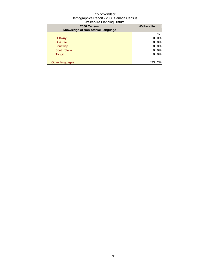| ີ<br>2006 Census<br>Knowledge of Non-official Language | <b>Walkerville</b> |    |
|--------------------------------------------------------|--------------------|----|
|                                                        |                    | %  |
| Ojibway                                                |                    | 0% |
| Oji-Cree                                               |                    | 0% |
| Shuswap                                                |                    | 0% |
| <b>South Slave</b>                                     |                    | 0% |
| <b>Tlingit</b>                                         | 0                  | 0% |
|                                                        |                    |    |
| Other languages                                        | 433                | 2% |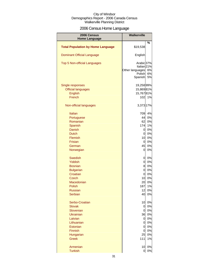## 2006 Census Home Language

| 2006 Census                              | <b>Walkerville</b>                                                |          |
|------------------------------------------|-------------------------------------------------------------------|----------|
| <b>Home Language</b>                     |                                                                   | %        |
| <b>Total Population by Home Language</b> | \$19,538                                                          |          |
| <b>Dominant Official Language</b>        | English                                                           |          |
| Top 5 Non-official Languages             | Arabic 37%<br>Italian <sub>21%</sub><br>Other languages<br>Polish | 6%<br>6% |
|                                          | Spanish                                                           | 5%       |
| Single responses                         | 19,25899%                                                         |          |
| <b>Official languages</b>                | 15,86981%                                                         |          |
| <b>English</b>                           | 15,76781%                                                         |          |
| French                                   | 102                                                               | 1%       |
| Non-official languages                   | 3,373 17%                                                         |          |
| <b>Italian</b>                           | 709                                                               | 4%       |
| Portuguese                               | 44                                                                | 0%       |
| Romanian                                 | 62                                                                | 0%       |
| Spanish                                  | 174                                                               | 1%       |
| Danish                                   | 0                                                                 | 0%       |
| <b>Dutch</b>                             | $\overline{0}$                                                    | 0%       |
| Flemish                                  | 10                                                                | 0%       |
| <b>Frisian</b>                           | $\overline{0}$                                                    | 0%       |
| German                                   | 45                                                                | 0%       |
| Norwegian                                | 0                                                                 | 0%       |
| <b>Swedish</b>                           | $\overline{O}$                                                    | 0%       |
| Yiddish                                  | $\mathbf 0$                                                       | 0%       |
| <b>Bosnian</b>                           | 8                                                                 | 0%       |
| <b>Bulgarian</b>                         | $\mathbf 0$                                                       | 0%       |
| Croatian                                 | $\overline{0}$                                                    | 0%       |
| Czech                                    | 10                                                                | 0%       |
| Macedonian                               | 20                                                                | 0%       |
| Polish                                   | 187                                                               | 1%       |
| <b>Russian</b>                           | 12                                                                | 0%       |
| Serbian                                  | 40                                                                | 0%       |
| Serbo-Croatian                           | 10                                                                | 0%       |
| <b>Slovak</b>                            | 0                                                                 | 0%       |
| Slovenian                                | $\overline{O}$                                                    | 0%       |
| <b>Ukrainian</b>                         | 36                                                                | 0%       |
| Latvian                                  | $\overline{0}$                                                    | 0%       |
| Lithuanian                               | 0                                                                 | 0%       |
| Estonian                                 | 0                                                                 | 0%       |
| Finnish                                  | $\overline{0}$                                                    | 0%       |
| Hungarian                                | 25                                                                | 0%       |
| <b>Greek</b>                             | 111                                                               | 1%       |
| Armenian                                 | 10                                                                | 0%       |
| <b>Turkish</b>                           | $\overline{0}$                                                    | $0\%$    |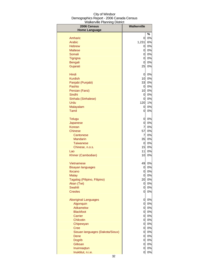| 2006 Census<br><b>Home Language</b> | <b>Walkerville</b> |       |
|-------------------------------------|--------------------|-------|
|                                     |                    | %     |
| Amharic                             | 0                  | 0%    |
| Arabic                              | 1,231              | 6%    |
| <b>Hebrew</b>                       | 0                  | 0%    |
| <b>Maltese</b>                      | 0                  | 0%    |
| Somali                              | 0                  | 0%    |
| Tigrigna                            | 0                  | $0\%$ |
| <b>Bengali</b>                      | 0                  | $0\%$ |
| Gujarati                            | 25                 | 0%    |
|                                     |                    |       |
| Hindi                               | 0                  | 0%    |
| <b>Kurdish</b>                      | 10 <sub>1</sub>    | $0\%$ |
| Panjabi (Punjabi)                   | 33                 | $0\%$ |
| Pashto                              | $\overline{0}$     | $0\%$ |
| Persian (Farsi)                     | 10                 | 0%    |
| Sindhi                              | 0                  | $0\%$ |
| Sinhala (Sinhalese)                 | 0                  | $0\%$ |
| Urdu                                | 120                | 1%    |
| Malayalam                           | 0                  | $0\%$ |
| <b>Tamil</b>                        | 0                  | 0%    |
| <b>Telugu</b>                       | 0                  | 0%    |
| Japanese                            | 0                  | 0%    |
| Korean                              | $\overline{7}$     | 0%    |
| Chinese                             | 57                 | 0%    |
| Cantonese                           | $\overline{7}$     | 0%    |
| <b>Mandarin</b>                     | 35                 | 0%    |
| <b>Taiwanese</b>                    | 0                  | 0%    |
| Chinese, n.o.s.                     | 15                 | 0%    |
| Lao                                 | 11                 | 0%    |
| Khmer (Cambodian)                   | 10                 | 0%    |
|                                     |                    |       |
| Vietnamese                          | 49                 | 0%    |
| <b>Bisayan languages</b>            | 0                  | 0%    |
| Ilocano                             | 0                  | 0%    |
| Malay                               | 0                  | 0%    |
| Tagalog (Pilipino, Filipino)        | 20                 | 0%    |
| Akan (Twi)                          | 0                  | 0%    |
| <b>Swahili</b>                      | 0                  | 0%    |
| <b>Creoles</b>                      | 0                  | 0%    |
| <b>Aboriginal Languages</b>         | 0                  | 0%    |
| Algonquin                           | $\overline{O}$     | 0%    |
| Atikamekw                           | $\overline{O}$     | 0%    |
| <b>Blackfoot</b>                    | $\overline{0}$     | 0%    |
| Carrier                             | $\overline{0}$     | 0%    |
| Chilcotin                           | $\overline{a}$     | 0%    |
| Chipewyan                           | $\overline{a}$     | $0\%$ |
| <b>Cree</b>                         | <sub>0</sub>       | $0\%$ |
| Siouan languages (Dakota/Sioux)     | $\overline{0}$     | $0\%$ |
| Dene                                | 0                  | $0\%$ |
| <b>Dogrib</b>                       | $\overline{0}$     | 0%    |
| Gitksan                             | $\mathbf 0$        | $0\%$ |
| Inuinnaqtun                         | 0                  | 0%    |
| Inuktitut, n.i.e.                   | 0                  | 0%    |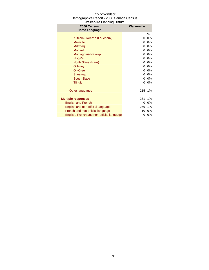| 2006 Census                               | <b>Walkerville</b> |    |
|-------------------------------------------|--------------------|----|
| <b>Home Language</b>                      |                    |    |
|                                           |                    | %  |
| Kutchin-Gwich'in (Loucheux)               | 0                  | 0% |
| <b>Malecite</b>                           | 0                  | 0% |
| Mi'kmaq                                   | 0                  | 0% |
| <b>Mohawk</b>                             | 0                  | 0% |
| Montagnais-Naskapi                        | 0                  | 0% |
| Nisga'a                                   | 0                  | 0% |
| North Slave (Hare)                        | 0                  | 0% |
| Ojibway                                   | 0                  | 0% |
| Oji-Cree                                  | 0                  | 0% |
| Shuswap                                   | 0                  | 0% |
| <b>South Slave</b>                        | 0                  | 0% |
| <b>Tlingit</b>                            | 0                  | 0% |
|                                           |                    |    |
| Other languages                           | 215                | 1% |
|                                           |                    |    |
| <b>Multiple responses</b>                 | 261                | 1% |
| <b>English and French</b>                 | $\Omega$           | 0% |
| English and non-official language         | 269                | 1% |
| French and non-official language          | 10                 | 0% |
| English, French and non-official language | 0                  | 0% |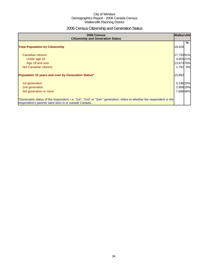## 2006 Census Citizenship and Generation Status

| 2006 Census<br><b>Citizenship and Generation Status</b>                                                                                                                       | <b>Walkerville</b> |    |
|-------------------------------------------------------------------------------------------------------------------------------------------------------------------------------|--------------------|----|
| <b>Total Population by Citizenship</b>                                                                                                                                        | 19,526             | %  |
| Canadian citizens                                                                                                                                                             | 17,73091%          |    |
| Under age 18                                                                                                                                                                  | 4,05321%           |    |
| Age 18 and over                                                                                                                                                               | 13,673 70%         |    |
| Not Canadian citizens                                                                                                                                                         | 1,791              | 9% |
| Population 15 years and over by Generation Status*                                                                                                                            | 15,892             |    |
| 1st generation                                                                                                                                                                | 5,196 33%          |    |
| 2nd generation                                                                                                                                                                | 2,958 19%          |    |
| 3rd generation or more                                                                                                                                                        | 7,686 48%          |    |
| *Generation status of the respondent, i.e. "1st", "2nd" or "3rd+" generation, refers to whether the respondent or the<br>respondent's parents were born in or outside Canada. |                    |    |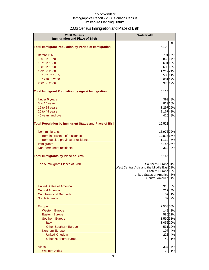## 2006 Census Immigration and Place of Birth

| 2006 Census<br><b>Immigration and Place of Birth</b>           | <b>Walkerville</b>                                  |          |
|----------------------------------------------------------------|-----------------------------------------------------|----------|
|                                                                |                                                     | %        |
| <b>Total Immigrant Population by Period of Immigration</b>     | 5,128                                               |          |
| Before 1961                                                    |                                                     | 791 15%  |
| 1961 to 1970                                                   |                                                     | 869 17%  |
| 1971 to 1980                                                   |                                                     | 601 12%  |
| 1981 to 1990                                                   |                                                     | 606 12%  |
| 1991 to 2000                                                   | 1,217 24%                                           |          |
| 1991 to 1995                                                   |                                                     | 58611%   |
| 1996 to 2000                                                   |                                                     | 631 12%  |
| 2001 to 2006                                                   |                                                     | 976 19%  |
| <b>Total Immigrant Population by Age at Immigration</b>        | 5,114                                               |          |
| Under 5 years                                                  | 393                                                 | 8%       |
| 5 to 14 years                                                  |                                                     | 819 16%  |
| 15 to 24 years                                                 | 1,297 25%                                           |          |
| 25 to 44 years                                                 | 2,16742%                                            |          |
| 45 years and over                                              |                                                     | 416 8%   |
| <b>Total Population by Immigrant Status and Place of Birth</b> | 19,523                                              |          |
| Non-immigrants                                                 | 13,976 72%                                          |          |
| Born in province of residence                                  | 12,827 66%                                          |          |
| Born outside province of residence                             | 1,130 6%                                            |          |
| Immigrants                                                     | 5,146 26%                                           |          |
| Non-permanent residents                                        | 362                                                 | 2%       |
| <b>Total Immigrants by Place of Birth</b>                      | 5,146                                               |          |
| Top 5 Immigrant Places of Birth                                | Southern Europe <sup>31%</sup>                      |          |
|                                                                | West Central Asia and the Middle East 22%           |          |
|                                                                | Eastern Europe <sup>12%</sup>                       |          |
|                                                                | United States of America<br><b>Central Americal</b> | 6%<br>4% |
|                                                                |                                                     |          |
| <b>United States of America</b>                                | 316                                                 | 6%       |
| <b>Central America</b>                                         | 217                                                 | 4%       |
| <b>Caribbean and Bermuda</b>                                   | 57                                                  | 1%       |
| <b>South America</b>                                           | 82                                                  | 2%       |
| <b>Europe</b>                                                  | 2,55850%                                            |          |
| <b>Western Europe</b>                                          |                                                     | 148 3%   |
| <b>Eastern Europe</b>                                          |                                                     | 585 11%  |
| <b>Southern Europe</b>                                         | 1,590 31%                                           |          |
| <b>Italy</b>                                                   | 1,052 20%                                           |          |
| <b>Other Southern Europe</b>                                   |                                                     | 531 10%  |
| <b>Northern Europe</b>                                         | 197                                                 | 4%       |
| <b>United Kingdom</b>                                          | 228                                                 | 4%       |
| <b>Other Northern Europe</b>                                   | 40                                                  | 1%       |
| Africa                                                         | 337                                                 | 7%       |
| <b>Western Africa</b>                                          | 70                                                  | 1%       |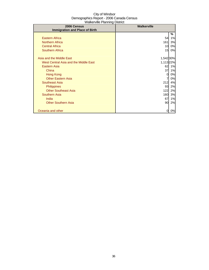| 2006 Census                           | <b>Walkerville</b> |    |
|---------------------------------------|--------------------|----|
| <b>Immigration and Place of Birth</b> |                    |    |
|                                       |                    | %  |
| <b>Eastern Africa</b>                 | 54                 | 1% |
| <b>Northern Africa</b>                | 161                | 3% |
| <b>Central Africa</b>                 | 10                 | 0% |
| <b>Southern Africa</b>                | 15                 | 0% |
|                                       |                    |    |
| Asia and the Middle East              | 1,542 30%          |    |
| West Central Asia and the Middle East | 1,113 22%          |    |
| Eastern Asia                          | 62                 | 1% |
| China                                 | 37                 | 1% |
| Hong Kong                             | 0                  | 0% |
| <b>Other Eastern Asia</b>             | 7                  | 0% |
| Southeast Asia                        | 212                | 4% |
| <b>Philippines</b>                    | 93                 | 2% |
| <b>Other Southeast Asia</b>           | 122                | 2% |
| <b>Southern Asia</b>                  | 160                | 3% |
| India                                 | 67                 | 1% |
| <b>Other Southern Asia</b>            | 90                 | 2% |
|                                       |                    |    |
| Oceania and other                     | 0                  | 0% |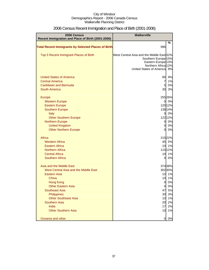| 2006 Census                                                | <b>Walkerville</b>                                   |          |
|------------------------------------------------------------|------------------------------------------------------|----------|
| Recent Immigration and Place of Birth (2001-2006)          |                                                      |          |
| <b>Total Recent Immigrants by Selected Places of Birth</b> | 996                                                  | %        |
|                                                            |                                                      |          |
| Top 5 Recent Immigrant Places of Birth                     | West Central Asia and the Middle East 32%            |          |
|                                                            | Southern Europe <sup>15%</sup>                       |          |
|                                                            | Eastern Europe <sup>13%</sup><br>Northern Africa 12% |          |
|                                                            | United States of America 9%                          |          |
|                                                            |                                                      |          |
| <b>United States of America</b>                            | 85                                                   | 9%       |
| <b>Central America</b>                                     | $\overline{7}$                                       | 1%       |
| Caribbean and Bermuda                                      | 5                                                    | 0%       |
| <b>South America</b>                                       | 30                                                   | 3%       |
| Europe                                                     |                                                      | 255 26%  |
| <b>Western Europe</b>                                      | 0                                                    | 0%       |
| <b>Eastern Europe</b>                                      |                                                      | 120 12%  |
| <b>Southern Europe</b>                                     |                                                      | 138 14%  |
| Italy                                                      | $\mathbf{0}$                                         | 0%       |
| <b>Other Southern Europe</b>                               |                                                      | 122 12%  |
| <b>Northern Europe</b>                                     | $\overline{0}$                                       | 0%       |
| <b>United Kingdom</b>                                      | $\overline{0}$                                       | 0%       |
| <b>Other Northern Europe</b>                               | $\Omega$                                             | 0%       |
| Africa                                                     |                                                      | 215 22%  |
| <b>Western Africa</b>                                      | 45                                                   | 5%       |
| <b>Eastern Africa</b>                                      | 10                                                   | 1%       |
| <b>Northern Africa</b>                                     |                                                      | 115 12%  |
| <b>Central Africa</b>                                      | 10                                                   | 1%       |
| <b>Southern Africa</b>                                     | $\overline{0}$                                       | 0%       |
| Asia and the Middle East                                   |                                                      | 374 38%  |
| West Central Asia and the Middle East                      |                                                      | 302 30%  |
| Eastern Asia                                               | 10                                                   | 1%       |
| China                                                      | 10                                                   | 1%       |
| <b>Hong Kong</b>                                           | 0                                                    | 0%       |
| <b>Other Eastern Asia</b>                                  | <sub>O</sub>                                         | 0%       |
| <b>Southeast Asia</b>                                      | 47                                                   | 5%       |
| Philippines                                                | 30                                                   | 3%       |
| <b>Other Southeast Asia</b>                                | 10                                                   | 1%       |
| Southern Asia<br>India                                     | 20                                                   | 2%       |
| <b>Other Southern Asia</b>                                 | 17<br>10                                             | 2%<br>1% |
|                                                            |                                                      |          |
| Oceania and other                                          | 0                                                    | 0%       |

## 2006 Census Recent Immigration and Place of Birth (2001-2006)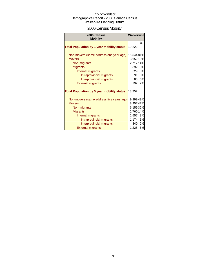## 2006 Census Mobility

| 2006 Census<br><b>Mobility</b>                    | <b>Walkerville</b> |    |
|---------------------------------------------------|--------------------|----|
|                                                   |                    | %  |
| <b>Total Population by 1 year mobility status</b> | 19,222             |    |
| Non-movers (same address one year ago)            | 15,54481%          |    |
| <b>Movers</b>                                     | 3,652 19%          |    |
| Non-migrants                                      | 2,717 14%          |    |
| <b>Migrants</b>                                   | 892                | 5% |
| Internal migrants                                 | 629                | 3% |
| Intraprovincial migrants                          | 591                | 3% |
| Interprovincial migrants                          | 83                 | 0% |
| <b>External migrants</b>                          | 292                | 2% |
| <b>Total Population by 5 year mobility status</b> | 18,352             |    |
| Non-movers (same address five years ago)          | 9,399 49%          |    |
| <b>Movers</b>                                     | 8,95747%           |    |
| Non-migrants                                      | 6,15932%           |    |
| <b>Migrants</b>                                   | 2,760 14%          |    |
| Internal migrants                                 | 1,557 8%           |    |
| Intraprovincial migrants                          | 1,174              | 6% |
| Interprovincial migrants                          | 340 <b>I</b>       | 2% |
| <b>External migrants</b>                          | 1,228 6%           |    |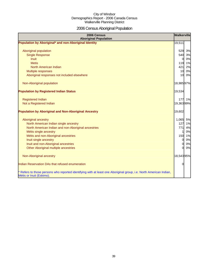# 2006 Census Aboriginal Population

| 2006 Census<br><b>Aboriginal Population</b>                                                                                                    | Walkerville    |    |
|------------------------------------------------------------------------------------------------------------------------------------------------|----------------|----|
| Population by Aboriginal* and non-Aboriginal Identity                                                                                          | 19,511         |    |
|                                                                                                                                                |                |    |
| Aboriginal population                                                                                                                          | 529            | 3% |
| <b>Single Response</b>                                                                                                                         | 540            | 3% |
| <b>Inuit</b>                                                                                                                                   | $\overline{0}$ | 0% |
| <b>Metis</b>                                                                                                                                   | 119            | 1% |
| North American Indian                                                                                                                          | 421            | 2% |
| Multiple responses                                                                                                                             | 10             | 0% |
| Aboriginal responses not included elsewhere                                                                                                    | 10             | 0% |
| Non-Aboriginal population                                                                                                                      | 18,98597%      |    |
| <b>Population by Registered Indian Status</b>                                                                                                  | 19,534         |    |
|                                                                                                                                                |                |    |
| <b>Registered Indian</b>                                                                                                                       | 177            | 1% |
| Not a Registered Indian                                                                                                                        | 19,36399%      |    |
| <b>Population by Aboriginal and Non-Aboriginal Ancestry</b>                                                                                    | 19,602         |    |
| Aboriginal ancestry                                                                                                                            | 1,065 5%       |    |
| North American Indian single ancestry                                                                                                          | 127            | 1% |
| North American Indian and non-Aboriginal ancestries                                                                                            | 771            | 4% |
| Métis single ancestry                                                                                                                          |                | 0% |
| Métis and non-Aboriginal ancestries                                                                                                            | 150            | 1% |
| Inuit single ancestry                                                                                                                          | 0              | 0% |
| Inuit and non-Aboriginal ancestries                                                                                                            | 0              | 0% |
| Other Aboriginal multiple ancestries                                                                                                           | $\Omega$       | 0% |
| Non-Aboriginal ancestry                                                                                                                        | 18,54395%      |    |
| Indian Reservation DAs that refused enumeration                                                                                                | 0              |    |
| * Refers to those persons who reported identifying with at least one Aboriginal group, i.e. North American Indian,<br>Métis or Inuit (Eskimo). |                |    |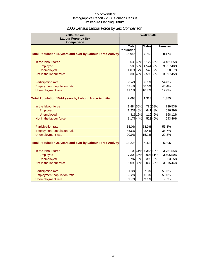## 2006 Census Labour Force by Sex Comparison

| 2006 Census                                                        | Walkerville  |         |                     |         |                |         |
|--------------------------------------------------------------------|--------------|---------|---------------------|---------|----------------|---------|
| <b>Labour Force by Sex</b>                                         |              |         |                     |         |                |         |
| Comparison                                                         | <b>Total</b> |         | <b>Males</b>        |         | <b>Females</b> |         |
|                                                                    | Population   |         |                     |         |                |         |
| <b>Total Population 15 years and over by Labour Force Activity</b> | 15,946       |         | 7,752               |         | 8,174          |         |
|                                                                    |              |         |                     |         |                |         |
| In the labour force                                                |              |         | 9,638 60% 5,127 66% |         | 4,481 55%      |         |
| Employed                                                           |              |         | 8,508 53% 4,544 59% |         | 3,95748%       |         |
| <b>Unemployed</b>                                                  | 1,074 7%     |         |                     | 549 7%  | 538            | 7%      |
| Not in the labour force                                            |              |         | 6,30340% 2,59333%   |         | 3,697 45%      |         |
| Participation rate                                                 | 60.4%        |         | 66.1%               |         | 54.8%          |         |
| Employment-population ratio                                        | 53.4%        |         | 58.6%               |         | 48.4%          |         |
| Unemployment rate                                                  | 11.1%        |         | 10.7%               |         | 12.0%          |         |
|                                                                    |              |         |                     |         |                |         |
| <b>Total Population 15-24 years by Labour Force Activity</b>       | 2,698        |         | 1,323               |         | 1,385          |         |
| In the labour force                                                | 1,48455%     |         |                     | 780 59% |                | 73953%  |
| Employed                                                           | 1,23146%     |         |                     | 64148%  |                | 53639%  |
| <b>Unemployed</b>                                                  |              | 311 12% |                     | 119 9%  |                | 168 12% |
| Not in the labour force                                            | 1,17744%     |         |                     | 52340%  |                | 64346%  |
|                                                                    |              |         |                     |         |                |         |
| Participation rate                                                 | 55.0%        |         | 58.9%               |         | 53.3%          |         |
| Employment-population ratio                                        | 45.6%        |         | 48.4%               |         | 38.7%          |         |
| Unemployment rate                                                  | 20.9%        |         | 15.2%               |         | 22.8%          |         |
| <b>Total Population 25 years and over by Labour Force Activity</b> | 13,228       |         | 6,424               |         | 6,805          |         |
|                                                                    |              |         |                     |         |                |         |
| In the labour force                                                |              |         | 8,10861% 4,35568%   |         | 3,761 55%      |         |
| Employed                                                           |              |         | 7,300 55% 3,907 61% |         | 3,405 50%      |         |
| <b>Unemployed</b>                                                  | 787          | 6%      |                     | 395 6%  | 363            | 5%      |
| Not in the labour force                                            |              |         | 5,09839% 2,03932%   |         | 3,015 44%      |         |
| Participation rate                                                 | 61.3%        |         | 67.8%               |         | 55.3%          |         |
| <b>Employment-population ratio</b>                                 | 55.2%        |         | 60.8%               |         | 50.0%          |         |
| Unemployment rate                                                  | 9.7%         |         | 9.1%                |         | 9.7%           |         |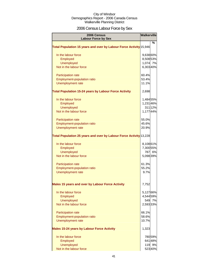## 2006 Census Labour Force by Sex

| 2006 Census<br><b>Labour Force by Sex</b>                          | Walkerville |         |
|--------------------------------------------------------------------|-------------|---------|
|                                                                    |             | %       |
| Total Population 15 years and over by Labour Force Activity 15,946 |             |         |
| In the labour force                                                | 9,638 60%   |         |
| Employed                                                           | 8,50853%    |         |
| Unemployed                                                         | 1,074 7%    |         |
| Not in the labour force                                            | 6,303 40%   |         |
| <b>Participation rate</b>                                          | 60.4%       |         |
| <b>Employment-population ratio</b>                                 | 53.4%       |         |
| <b>Unemployment rate</b>                                           | 11.1%       |         |
| <b>Total Population 15-24 years by Labour Force Activity</b>       | 2,698       |         |
| In the labour force                                                | 1,484 55%   |         |
| Employed                                                           | 1,231 46%   |         |
| <b>Unemployed</b>                                                  |             | 311 12% |
| Not in the labour force                                            | 1,17744%    |         |
| Participation rate                                                 | 55.0%       |         |
| Employment-population ratio                                        | 45.6%       |         |
| <b>Unemployment rate</b>                                           | 20.9%       |         |
| Total Population 25 years and over by Labour Force Activity 13,228 |             |         |
| In the labour force                                                | 8,10861%    |         |
| Employed                                                           | 7,300 55%   |         |
| <b>Unemployed</b>                                                  |             | 787 6%  |
| Not in the labour force                                            | 5,098 39%   |         |
| <b>Participation rate</b>                                          | 61.3%       |         |
| Employment-population ratio                                        | 55.2%       |         |
| <b>Unemployment rate</b>                                           | 9.7%        |         |
| Males 15 years and over by Labour Force Activity                   | 7,752       |         |
| In the labour force                                                | 5,12766%    |         |
| Employed                                                           | 4,544 59%   |         |
| Unemployed                                                         |             | 549 7%  |
| Not in the labour force                                            | 2,593 33%   |         |
| Participation rate                                                 | 66.1%       |         |
| <b>Employment-population ratio</b>                                 | 58.6%       |         |
| <b>Unemployment rate</b>                                           | 10.7%       |         |
| <b>Males 15-24 years by Labour Force Activity</b>                  | 1,323       |         |
| In the labour force                                                |             | 780 59% |
| Employed                                                           |             | 64148%  |
| <b>Unemployed</b>                                                  |             | 119 9%  |
| Not in the labour force                                            |             | 523 40% |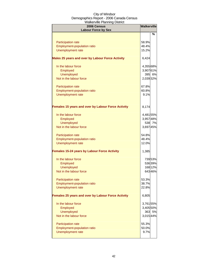| 2006 Census<br><b>Labour Force by Sex</b>                 | <b>Walkerville</b> |         |
|-----------------------------------------------------------|--------------------|---------|
|                                                           |                    | %       |
| Participation rate                                        | 58.9%              |         |
| Employment-population ratio                               | 48.4%              |         |
| <b>Unemployment rate</b>                                  | 15.2%              |         |
| Males 25 years and over by Labour Force Activity          | 6,424              |         |
| In the labour force                                       | 4,355 68%          |         |
| Employed                                                  | 3,90761%           |         |
| <b>Unemployed</b>                                         |                    | 395 6%  |
| Not in the labour force                                   | 2,039 32%          |         |
| Participation rate                                        | 67.8%              |         |
| Employment-population ratio                               | 60.8%              |         |
| <b>Unemployment rate</b>                                  | 9.1%               |         |
| <b>Females 15 years and over by Labour Force Activity</b> | 8,174              |         |
| In the labour force                                       | 4,481 55%          |         |
| Employed                                                  | 3,95748%           |         |
| <b>Unemployed</b>                                         |                    | 538 7%  |
| Not in the labour force                                   | 3,697 45%          |         |
| Participation rate                                        | 54.8%              |         |
| Employment-population ratio                               | 48.4%              |         |
| <b>Unemployment rate</b>                                  | 12.0%              |         |
| <b>Females 15-24 years by Labour Force Activity</b>       | 1,385              |         |
| In the labour force                                       |                    | 73953%  |
| Employed                                                  |                    | 53639%  |
| <b>Unemployed</b>                                         |                    | 168 12% |
| Not in the labour force                                   |                    | 64346%  |
| Participation rate                                        | 53.3%              |         |
| Employment-population ratio                               | 38.7%              |         |
| Unemployment rate                                         | 22.8%              |         |
| <b>Females 25 years and over by Labour Force Activity</b> | 6,805              |         |
| In the labour force                                       | 3,761 55%          |         |
| Employed                                                  | 3,405 50%          |         |
| <b>Unemployed</b>                                         |                    | 363 5%  |
| Not in the labour force                                   | 3,015 44%          |         |
| <b>Participation rate</b>                                 | 55.3%              |         |
| Employment-population ratio                               | 50.0%              |         |
| <b>Unemployment rate</b>                                  | 9.7%               |         |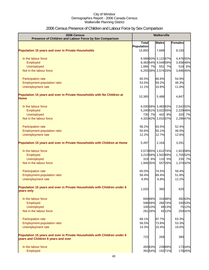## 2006 Census Presence of Children and Labour Force by Sex Comparison

| 2006 Census<br>Presence of Children and Labour Force by Sex Comparison                                          | <b>Walkerville</b>        |         |                     |        |                |
|-----------------------------------------------------------------------------------------------------------------|---------------------------|---------|---------------------|--------|----------------|
|                                                                                                                 | $\overline{\text{Total}}$ |         | <b>Males</b>        |        | <b>Females</b> |
|                                                                                                                 | Population                |         |                     |        |                |
| <b>Population 15 years and over in Private Households</b>                                                       | 15,850                    |         | 7,689               |        | 8,150          |
| In the labour force                                                                                             |                           |         | 9,589 60% 5,122 67% |        | 4,47655%       |
| Employed                                                                                                        |                           |         | 8,48354% 4,54959%   |        | 3,938 48%      |
| <b>Unemployed</b>                                                                                               | 1,066 7%                  |         | 551                 | 7%     | 518 6%         |
| Not in the labour force                                                                                         |                           |         | 6,25539% 2,57433%   |        | 3,696 45%      |
| Participation rate                                                                                              | 60.5%                     |         | 66.6%               |        | 54.9%          |
| Employment-population ratio                                                                                     | 53.5%                     |         | 59.2%               |        | 48.3%          |
| Unemployment rate                                                                                               | 11.1%                     |         | 10.8%               |        | 11.6%          |
| Population 15 years and over in Private Households with No Children at<br><b>Home</b>                           | 10,365                    |         | 5,488               |        | 4,847          |
| In the labour force                                                                                             |                           |         | 6,03058% 3,48363%   |        | 2,542 52%      |
| Employed                                                                                                        |                           |         | 5,24051% 3,02255%   |        | 2,229 46%      |
| <b>Unemployed</b>                                                                                               |                           | 735 7%  |                     | 442 8% | 320 7%         |
| Not in the labour force                                                                                         |                           |         | 4,32042% 2,01037%   |        | 2,296 47%      |
| Participation rate                                                                                              | 58.2%                     |         | 63.5%               |        | 52.4%          |
| Employment-population ratio                                                                                     | 50.6%                     |         | 55.1%               |        | 46.0%          |
| Unemployment rate                                                                                               | 12.2%                     |         | 12.7%               |        | 12.6%          |
| Population 15 years and over in Private Households with Children at Home                                        | 5,497                     |         | 2,164               |        | 3,291          |
| In the labour force                                                                                             |                           |         | 3,57365% 1,61274%   |        | 1,923 58%      |
| Employed                                                                                                        |                           |         | 3,210 58% 1,502 69% |        | 1,705 52%      |
| <b>Unemployed</b>                                                                                               |                           | 319 6%  |                     | 110 5% | 235 7%         |
| Not in the labour force                                                                                         | 1,946 35%                 |         |                     | 55726% | 1,374 42%      |
| Participation rate                                                                                              | 65.0%                     |         | 74.5%               |        | 58.4%          |
| Employment-population ratio                                                                                     | 58.4%                     |         | 69.4%               |        | 51.8%          |
| Unemployment rate                                                                                               | 8.9%                      |         | 6.8%                |        | 12.2%          |
| Population 15 years and over in Private Households with Children under 6<br>years only                          | 1,020                     |         | 360                 |        | 620            |
| In the labour force                                                                                             |                           | 694 68% |                     | 31688% | 392 63%        |
| Employed                                                                                                        |                           | 596 58% |                     | 26674% | 33053%         |
| <b>Unemployed</b>                                                                                               |                           | 100 10% |                     | 49 13% | 7512%          |
| Not in the labour force                                                                                         |                           | 261 26% |                     | 4312%  | 25441%         |
| Participation rate                                                                                              | 68.1%                     |         | 87.7%               |        | 63.3%          |
| Employment-population ratio                                                                                     | 58.5%                     |         | 73.8%               |        | 53.3%          |
| Unemployment rate                                                                                               | 14.3%                     |         | 15.4%               |        | 19.0%          |
| Population 15 years and over in Private Households with Children under 6<br>years and Children 6 years and over | 723                       |         | 269                 |        | 390            |
| In the labour force                                                                                             |                           | 455 63% |                     | 23989% | 17344%         |
| Employed                                                                                                        |                           | 39154%  |                     | 19271% | 17645%         |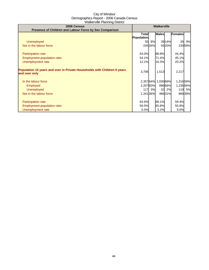| 2006 Census<br>Presence of Children and Labour Force by Sex Comparison                    | <b>Walkerville</b>         |        |                   |        |                |        |
|-------------------------------------------------------------------------------------------|----------------------------|--------|-------------------|--------|----------------|--------|
|                                                                                           | <b>Total</b><br>Population |        | <b>Males</b>      |        | <b>Females</b> |        |
| <b>Unemployed</b>                                                                         |                            | 55 8%  |                   | 39 14% | 35             | 9%     |
| Not in the labour force                                                                   |                            | 24534% |                   | 5520%  |                | 23059% |
| <b>Participation rate</b>                                                                 | 63.0%                      |        | 88.8%             |        | 44.4%          |        |
| <b>Employment-population ratio</b>                                                        | 54.1%                      |        | 71.4%             |        | 45.1%          |        |
| Unemployment rate                                                                         | 12.1%                      |        | 16.3%             |        | 20.2%          |        |
| Population 15 years and over in Private Households with Children 6 years<br>and over only | 3,706                      |        | 1,513             |        | 2,217          |        |
| In the labour force                                                                       |                            |        | 2,35764% 1,03068% |        | 1,316 59%      |        |
| <b>Employed</b>                                                                           | 2,20760%                   |        |                   | 99666% | 1,236 56%      |        |
| <b>Unemployed</b>                                                                         |                            | 117 3% | 32                | 2%     |                | 119 5% |
| Not in the labour force                                                                   | 1,341 36%                  |        |                   | 46631% |                | 86839% |
| <b>Participation rate</b>                                                                 | 63.6%                      |        | 68.1%             |        | 59.4%          |        |
| Employment-population ratio                                                               | 59.5%                      |        | 65.8%             |        | 55.8%          |        |
| Unemployment rate                                                                         | 5.0%                       |        | 3.2%              |        | 9.0%           |        |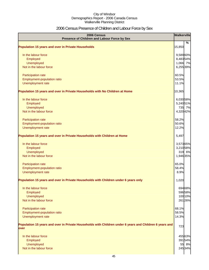## 2006 Census Presence of Children and Labour Force by Sex

| 2006 Census<br>Presence of Children and Labour Force by Sex                                                     | <b>Walkerville</b> |                  |
|-----------------------------------------------------------------------------------------------------------------|--------------------|------------------|
| <b>Population 15 years and over in Private Households</b>                                                       | 15,850             | $\%$             |
| In the labour force                                                                                             | 9,589 60%          |                  |
| Employed                                                                                                        | 8,483 54%          |                  |
| Unemployed                                                                                                      | 1,066 7%           |                  |
| Not in the labour force                                                                                         | 6,255 39%          |                  |
| Participation rate                                                                                              | 60.5%              |                  |
| Employment-population ratio                                                                                     | 53.5%              |                  |
| Unemployment rate                                                                                               | 11.1%              |                  |
| Population 15 years and over in Private Households with No Children at Home                                     | 10,365             |                  |
| In the labour force                                                                                             | 6,030 58%          |                  |
| Employed                                                                                                        | 5,240 51%          |                  |
| <b>Unemployed</b>                                                                                               |                    | 735 7%           |
| Not in the labour force                                                                                         | 4,320 42%          |                  |
| Participation rate                                                                                              | 58.2%              |                  |
| Employment-population ratio                                                                                     | 50.6%              |                  |
| Unemployment rate                                                                                               | 12.2%              |                  |
| Population 15 years and over in Private Households with Children at Home                                        | 5,497              |                  |
| In the labour force                                                                                             | 3,57365%           |                  |
| Employed                                                                                                        | 3,210 58%          |                  |
| Unemployed                                                                                                      |                    | 319 6%           |
| Not in the labour force                                                                                         | 1,946 35%          |                  |
| Participation rate                                                                                              | 65.0%              |                  |
| Employment-population ratio                                                                                     | 58.4%              |                  |
| Unemployment rate                                                                                               | 8.9%               |                  |
| Population 15 years and over in Private Households with Children under 6 years only                             | 1,020              |                  |
| In the labour force                                                                                             |                    | 694 68%          |
| Employed                                                                                                        |                    | 59658%           |
| Unemployed                                                                                                      |                    | 100 10%          |
| Not in the labour force                                                                                         |                    | 26126%           |
| Participation rate                                                                                              | 68.1%              |                  |
| Employment-population ratio                                                                                     | 58.5%              |                  |
| Unemployment rate                                                                                               | 14.3%              |                  |
| Population 15 years and over in Private Households with Children under 6 years and Children 6 years and<br>over | 723                |                  |
|                                                                                                                 |                    |                  |
| In the labour force                                                                                             |                    | 455 63%          |
| Employed                                                                                                        |                    | 39154%           |
| <b>Unemployed</b><br>Not in the labour force                                                                    |                    | 55 8%<br>245 34% |
|                                                                                                                 |                    |                  |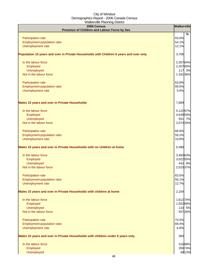| $\frac{1}{2}$ . The result is a set of $\frac{1}{2}$<br>2006 Census                    | <b>Walkerville</b> |  |
|----------------------------------------------------------------------------------------|--------------------|--|
| Presence of Children and Labour Force by Sex                                           | %                  |  |
| Participation rate                                                                     | 63.0%              |  |
| Employment-population ratio                                                            | 54.1%              |  |
| Unemployment rate                                                                      | 12.1%              |  |
| Population 15 years and over in Private Households with Children 6 years and over only | 3,706              |  |
| In the labour force                                                                    | 2,35764%           |  |
| Employed                                                                               | 2,207 60%          |  |
| Unemployed                                                                             | 117 3%             |  |
| Not in the labour force                                                                | 1,341 36%          |  |
| Participation rate                                                                     | 63.6%              |  |
| Employment-population ratio                                                            | 59.5%              |  |
| Unemployment rate                                                                      | 5.0%               |  |
| <b>Males 15 years and over in Private Households</b>                                   | 7,689              |  |
| In the labour force                                                                    | 5,122 67%          |  |
| Employed                                                                               | 4,549 59%          |  |
| Unemployed                                                                             | 551 7%             |  |
| Not in the labour force                                                                | 2,574 33%          |  |
| Participation rate                                                                     | 66.6%              |  |
| Employment-population ratio                                                            | 59.2%              |  |
| Unemployment rate                                                                      | 10.8%              |  |
| Males 15 years and over in Private Households with no children at home                 | 5,488              |  |
| In the labour force                                                                    | 3,48363%           |  |
| Employed                                                                               | 3,022 55%          |  |
| <b>Unemployed</b>                                                                      | 442 8%             |  |
| Not in the labour force                                                                | 2,010 37%          |  |
| <b>Participation rate</b>                                                              | 63.5%              |  |
| <b>Employment-population ratio</b>                                                     | 55.1%              |  |
| Unemployment rate                                                                      | 12.7%              |  |
| Males 15 years and over in Private Households with children at home                    | 2,164              |  |
| In the labour force                                                                    | 1,612 74%          |  |
| Employed                                                                               | 1,502 69%          |  |
| Unemployed                                                                             | 110 5%             |  |
| Not in the labour force                                                                | 557 26%            |  |
| Participation rate                                                                     | 74.5%              |  |
| Employment-population ratio                                                            | 69.4%              |  |
| Unemployment rate                                                                      | 6.8%               |  |
| Males 15 years and over in Private Households with children under 6 years only         | 360                |  |
| In the labour force                                                                    | 31688%             |  |
| Employed                                                                               | 26674%             |  |
| Unemployed                                                                             | 4913%              |  |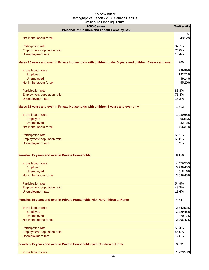| 2006 Census<br>Presence of Children and Labour Force by Sex                                             | Walkerville |         |
|---------------------------------------------------------------------------------------------------------|-------------|---------|
|                                                                                                         |             | %       |
| Not in the labour force                                                                                 |             | 4312%   |
|                                                                                                         |             |         |
| Participation rate                                                                                      | 87.7%       |         |
| Employment-population ratio                                                                             | 73.8%       |         |
| Unemployment rate                                                                                       | 15.4%       |         |
| Males 15 years and over in Private Households with children under 6 years and children 6 years and over | 269         |         |
| In the labour force                                                                                     |             | 23989%  |
| Employed                                                                                                |             | 19271%  |
| Unemployed                                                                                              |             | 39 14%  |
| Not in the labour force                                                                                 |             | 5520%   |
|                                                                                                         |             |         |
| Participation rate                                                                                      | 88.8%       |         |
| Employment-population ratio                                                                             | 71.4%       |         |
| Unemployment rate                                                                                       | 16.3%       |         |
| Males 15 years and over in Private Households with children 6 years and over only                       | 1,513       |         |
|                                                                                                         |             |         |
| In the labour force<br>Employed                                                                         | 1,030 68%   | 996 66% |
| Unemployed                                                                                              |             | 32 2%   |
| Not in the labour force                                                                                 |             | 46631%  |
|                                                                                                         |             |         |
| Participation rate                                                                                      | 68.1%       |         |
| Employment-population ratio                                                                             | 65.8%       |         |
| Unemployment rate                                                                                       | 3.2%        |         |
| Females 15 years and over in Private Households                                                         | 8,150       |         |
| In the labour force                                                                                     | 4,476 55%   |         |
| Employed                                                                                                | 3,938 48%   |         |
| Unemployed                                                                                              |             | 518 6%  |
| Not in the labour force                                                                                 | 3,696 45%   |         |
| Participation rate                                                                                      | 54.9%       |         |
| Employment-population ratio                                                                             | 48.3%       |         |
| Unemployment rate                                                                                       | 11.6%       |         |
| Females 15 years and over in Private Households with No Children at Home                                | 4,847       |         |
|                                                                                                         |             |         |
| In the labour force                                                                                     | 2,542 52%   |         |
| Employed                                                                                                | 2,229 46%   |         |
| Unemployed                                                                                              |             | 320 7%  |
| Not in the labour force                                                                                 | 2,296 47%   |         |
|                                                                                                         |             |         |
| Participation rate                                                                                      | 52.4%       |         |
| Employment-population ratio                                                                             | 46.0%       |         |
| Unemployment rate                                                                                       | 12.6%       |         |
| Females 15 years and over in Private Households with Children at Home                                   | 3,291       |         |
| In the labour force                                                                                     | 1,923 58%   |         |
| 17                                                                                                      |             |         |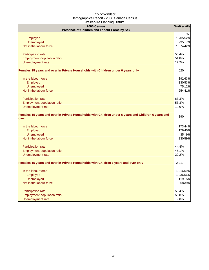| $\frac{1}{2}$ . The contribution of $\frac{1}{2}$ is the contribution                                        | Walkerville   |
|--------------------------------------------------------------------------------------------------------------|---------------|
| 2006 Census<br>Presence of Children and Labour Force by Sex                                                  |               |
|                                                                                                              | $\frac{9}{6}$ |
| Employed                                                                                                     | 1,705 52%     |
| Unemployed                                                                                                   | 235 7%        |
| Not in the labour force                                                                                      | 1,374 42%     |
|                                                                                                              |               |
| Participation rate                                                                                           | 58.4%         |
| Employment-population ratio                                                                                  | 51.8%         |
| Unemployment rate                                                                                            | 12.2%         |
|                                                                                                              |               |
| Females 15 years and over in Private Households with Children under 6 years only                             | 620           |
| In the labour force                                                                                          | 392 63%       |
| Employed                                                                                                     | 330 53%       |
| Unemployed                                                                                                   | 75 12%        |
| Not in the labour force                                                                                      | 25441%        |
| Participation rate                                                                                           | 63.3%         |
| Employment-population ratio                                                                                  | 53.3%         |
| Unemployment rate                                                                                            | 19.0%         |
| Females 15 years and over in Private Households with Children under 6 years and Children 6 years and<br>over | 390           |
| In the labour force                                                                                          | 17344%        |
| Employed                                                                                                     | 17645%        |
| Unemployed                                                                                                   | 35 9%         |
| Not in the labour force                                                                                      | 23059%        |
| Participation rate                                                                                           | 44.4%         |
| Employment-population ratio                                                                                  | 45.1%         |
| Unemployment rate                                                                                            | 20.2%         |
|                                                                                                              |               |
| Females 15 years and over in Private Households with Children 6 years and over only                          | 2,217         |
| In the labour force                                                                                          | 1,316 59%     |
| Employed                                                                                                     | 1,236 56%     |
| Unemployed                                                                                                   | 119 5%        |
| Not in the labour force                                                                                      | 86839%        |
| Participation rate                                                                                           | 59.4%         |
| Employment-population ratio                                                                                  | 55.8%         |
| Unemployment rate                                                                                            | 9.0%          |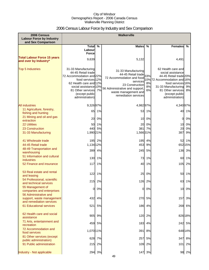## 2006 Census Labour Force by Industry and Sex Comparison

| 2006 Census<br><b>Labour Force by Industry</b><br>and Sex Comparison    | <b>Walkerville</b>                                                                                                                                                                                         |        |                                                                                                                                                                                             |                |                                                                                                                                                                                                         |          |
|-------------------------------------------------------------------------|------------------------------------------------------------------------------------------------------------------------------------------------------------------------------------------------------------|--------|---------------------------------------------------------------------------------------------------------------------------------------------------------------------------------------------|----------------|---------------------------------------------------------------------------------------------------------------------------------------------------------------------------------------------------------|----------|
|                                                                         | Total %                                                                                                                                                                                                    |        | <b>Males</b>                                                                                                                                                                                | %              | <b>Females</b>                                                                                                                                                                                          | %        |
|                                                                         | Labour<br><b>Force</b>                                                                                                                                                                                     |        |                                                                                                                                                                                             |                |                                                                                                                                                                                                         |          |
| <b>Total Labour Force 15 years</b><br>and over by Industry*             | 9,639                                                                                                                                                                                                      |        | 5,132                                                                                                                                                                                       |                | 4,491                                                                                                                                                                                                   |          |
| <b>Top 5 Industries</b>                                                 | 31-33 Manufacturing<br>44-45 Retail trade<br>72 Accommodation and 22%<br>food services 12%<br>62 Health care and 12%<br>social assistance 10%<br>81 Other services 7%<br>(except public<br>administration) |        | 31-33 Manufacturing<br>44-45 Retail trade 33%<br>72 Accommodation and food<br>services<br>23 Construction<br>56 Administrative and support,<br>waste management and<br>remediation services | 8%<br>8%<br>6% | 62 Health care and<br>social assistance<br>44-45 Retail trade 20%<br>10% 72 Accommodation and 16%<br>food services 16%<br>31-33 Manufacturing<br>81 Other services<br>(except public<br>administration) | 9%<br>8% |
| <b>All industries</b>                                                   | 9,32697%                                                                                                                                                                                                   |        | 4,98297%                                                                                                                                                                                    |                | 4,340 97%                                                                                                                                                                                               |          |
| 11 Agriculture, forestry,<br>fishing and hunting                        | 65                                                                                                                                                                                                         | 1%     | 53                                                                                                                                                                                          | 1%             | 40                                                                                                                                                                                                      | 1%       |
| 21 Mining and oil and gas<br>extraction                                 | 20                                                                                                                                                                                                         | 0%     | 10                                                                                                                                                                                          | 0%             | 0                                                                                                                                                                                                       | 0%       |
| <b>22 Utilities</b>                                                     | 50                                                                                                                                                                                                         | 1%     | 20                                                                                                                                                                                          | 0%             | 10                                                                                                                                                                                                      | 0%       |
| 23 Construction                                                         |                                                                                                                                                                                                            | 440 5% | 381                                                                                                                                                                                         | 7%             | 20                                                                                                                                                                                                      | 0%       |
| 31-33 Manufacturing                                                     | 1,990 21%                                                                                                                                                                                                  |        | 1,566 31%                                                                                                                                                                                   |                | 387                                                                                                                                                                                                     | 9%       |
| 41 Wholesale trade                                                      |                                                                                                                                                                                                            | 195 2% |                                                                                                                                                                                             | 195 4%         |                                                                                                                                                                                                         | 52 1%    |
| 44-45 Retail trade                                                      | 1,134 12%                                                                                                                                                                                                  |        | 453                                                                                                                                                                                         | 9%             |                                                                                                                                                                                                         | 652 15%  |
| 48-49 Transportation and<br>warehousing                                 |                                                                                                                                                                                                            | 399 4% | 245                                                                                                                                                                                         | 5%             | 136                                                                                                                                                                                                     | 3%       |
| 51 Information and cultural<br><b>industries</b>                        | 130                                                                                                                                                                                                        | 1%     | 73                                                                                                                                                                                          | 1%             | 60                                                                                                                                                                                                      | 1%       |
| 52 Finance and insurance                                                | 117                                                                                                                                                                                                        | 1%     | 40                                                                                                                                                                                          | 1%             | 105                                                                                                                                                                                                     | 2%       |
| 53 Real estate and rental<br>and leasing                                | 122                                                                                                                                                                                                        | 1%     | 25                                                                                                                                                                                          | 0%             | 50                                                                                                                                                                                                      | 1%       |
| 54 Professional, scientific                                             |                                                                                                                                                                                                            | 215 2% | 126                                                                                                                                                                                         | 2%             | 63                                                                                                                                                                                                      | 1%       |
| and technical services<br>55 Management of<br>companies and enterprises | 0                                                                                                                                                                                                          | 0%     | 0                                                                                                                                                                                           | 0%             | 10                                                                                                                                                                                                      | 0%       |
| 56 Administrative and<br>support, waste management                      | 432                                                                                                                                                                                                        | 4%     |                                                                                                                                                                                             | 270 5%         | 157                                                                                                                                                                                                     | 3%       |
| and remediation services<br><b>61 Educational services</b>              |                                                                                                                                                                                                            | 521 5% |                                                                                                                                                                                             | 186 4%         |                                                                                                                                                                                                         | 268 6%   |
| 62 Health care and social<br>assistance                                 |                                                                                                                                                                                                            | 905 9% | 120                                                                                                                                                                                         | 2%             |                                                                                                                                                                                                         | 826 18%  |
| 71 Arts, entertainment and<br>recreation                                |                                                                                                                                                                                                            | 459 5% | 183                                                                                                                                                                                         | 4%             |                                                                                                                                                                                                         | 242 5%   |
| 72 Accommodation and<br>food services                                   | 1,070 11%                                                                                                                                                                                                  |        | 391                                                                                                                                                                                         | 8%             |                                                                                                                                                                                                         | 648 14%  |
| 81 Other services (except                                               |                                                                                                                                                                                                            | 628 7% | 257                                                                                                                                                                                         | 5%             | 347                                                                                                                                                                                                     | 8%       |
| public administration)<br>91 Public administration                      |                                                                                                                                                                                                            | 215 2% | 109                                                                                                                                                                                         | 2%             | 101                                                                                                                                                                                                     | 2%       |
| Industry - Not applicable                                               |                                                                                                                                                                                                            | 294 3% | 147                                                                                                                                                                                         | 3%             | 98                                                                                                                                                                                                      | 2%       |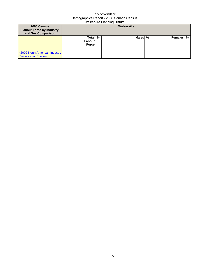| 2006 Census<br><b>Labour Force by Industry</b><br>and Sex Comparison |                                    |  | Walkerville  |   |           |  |
|----------------------------------------------------------------------|------------------------------------|--|--------------|---|-----------|--|
| * 2002 North American Industry<br><b>Classification System</b>       | Total %<br>Labourl<br><b>Force</b> |  | <b>Males</b> | % | Females % |  |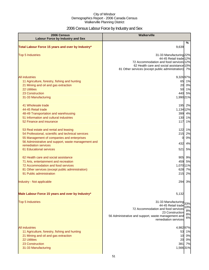## 2006 Census Labour Force by Industry and Sex

| 2006 Census<br><b>Labour Force by Industry and Sex</b>                                                                                                                                                                                                                                                                                    | <b>Walkerville</b>                                                                                                                                                                                             |
|-------------------------------------------------------------------------------------------------------------------------------------------------------------------------------------------------------------------------------------------------------------------------------------------------------------------------------------------|----------------------------------------------------------------------------------------------------------------------------------------------------------------------------------------------------------------|
| Total Labour Force 15 years and over by Industry*                                                                                                                                                                                                                                                                                         | %<br>9,639                                                                                                                                                                                                     |
| <b>Top 5 Industries</b>                                                                                                                                                                                                                                                                                                                   | 31-33 Manufacturing 22%<br>44-45 Retail trade 12%<br>72 Accommodation and food services 12%<br>62 Health care and social assistance 10%<br>81 Other services (except public administration) 7%                 |
| <b>All industries</b><br>11 Agriculture, forestry, fishing and hunting<br>21 Mining and oil and gas extraction<br><b>22 Utilities</b><br>23 Construction<br>31-33 Manufacturing<br>41 Wholesale trade<br>44-45 Retail trade<br>48-49 Transportation and warehousing<br>51 Information and cultural industries<br>52 Finance and insurance | 9,32697%<br>65<br>1%<br>20<br>0%<br>50<br>1%<br>5%<br>440<br>1,990 21%<br>195 2%<br>1,134 12%<br>399 4%<br>130 1%<br>117<br>1%                                                                                 |
| 53 Real estate and rental and leasing<br>54 Professional, scientific and technical services<br>55 Management of companies and enterprises<br>56 Administrative and support, waste management and<br>remediation services<br>61 Educational services                                                                                       | 122 1%<br>215<br>2%<br>0%<br>0<br>432<br>4%<br>521<br>5%                                                                                                                                                       |
| 62 Health care and social assistance<br>71 Arts, entertainment and recreation<br>72 Accommodation and food services<br>81 Other services (except public administration)<br>91 Public administration                                                                                                                                       | 905 9%<br>459<br>5%<br>1,070 11%<br>628 7%<br>2%<br>215                                                                                                                                                        |
| Industry - Not applicable                                                                                                                                                                                                                                                                                                                 | 294<br>3%                                                                                                                                                                                                      |
| Male Labour Force 15 years and over by Industry*                                                                                                                                                                                                                                                                                          | 5,132                                                                                                                                                                                                          |
| <b>Top 5 Industries</b>                                                                                                                                                                                                                                                                                                                   | 31-33 Manufacturing 33%<br>44-45 Retail trade<br>10%<br>72 Accommodation and food services<br>8%<br>23 Construction<br>8%<br>56 Administrative and support, waste management and<br>6%<br>remediation services |
| <b>All industries</b><br>11 Agriculture, forestry, fishing and hunting<br>21 Mining and oil and gas extraction<br>22 Utilities<br>23 Construction<br>31-33 Manufacturing                                                                                                                                                                  | 4,98297%<br>53 1%<br>10 0%<br>20 0%<br>381<br>7%<br>1,56631%                                                                                                                                                   |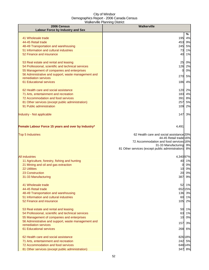| 2006 Census                                                                 | Walkerville                                                      |
|-----------------------------------------------------------------------------|------------------------------------------------------------------|
| <b>Labour Force by Industry and Sex</b>                                     | %                                                                |
| 41 Wholesale trade                                                          | 4%<br>195                                                        |
| 44-45 Retail trade                                                          | 9%<br>453                                                        |
| 48-49 Transportation and warehousing                                        | 5%<br>245                                                        |
| 51 Information and cultural industries                                      | 73<br>1%                                                         |
| 52 Finance and insurance                                                    | 40<br>1%                                                         |
| 53 Real estate and rental and leasing                                       | 25 0%                                                            |
| 54 Professional, scientific and technical services                          | 126 2%                                                           |
| 55 Management of companies and enterprises                                  | 0%<br>0                                                          |
| 56 Administrative and support, waste management and<br>remediation services | 270<br>5%                                                        |
| 61 Educational services                                                     | 4%<br>186                                                        |
| 62 Health care and social assistance                                        | 120 2%                                                           |
| 71 Arts, entertainment and recreation                                       | 183<br>4%                                                        |
| 72 Accommodation and food services                                          | 8%<br>391                                                        |
| 81 Other services (except public administration)                            | 257<br>5%                                                        |
| 91 Public administration                                                    | 109<br>2%                                                        |
| Industry - Not applicable                                                   | 1471<br>3%                                                       |
| Female Labour Force 15 years and over by Industry*                          | 4,491                                                            |
| <b>Top 5 Industries</b>                                                     | 62 Health care and social assistance 20%                         |
|                                                                             | 44-45 Retail trade 16%                                           |
|                                                                             | 72 Accommodation and food services 16%<br>31-33 Manufacturing 9% |
|                                                                             | 8%<br>81 Other services (except public administration)           |
| <b>All industries</b>                                                       | 4,340 97%                                                        |
| 11 Agriculture, forestry, fishing and hunting                               | 40 1%                                                            |
| 21 Mining and oil and gas extraction                                        | 0%<br>0                                                          |
| <b>22 Utilities</b>                                                         | 10 0%                                                            |
| 23 Construction                                                             | 20 0%                                                            |
| 31-33 Manufacturing                                                         | 387 9%                                                           |
| 41 Wholesale trade                                                          | 52 1%                                                            |
| 44-45 Retail trade                                                          | 652 15%                                                          |
| 48-49 Transportation and warehousing                                        | 136 3%                                                           |
| 51 Information and cultural industries<br>52 Finance and insurance          | 60 1%<br>105 2%                                                  |
|                                                                             |                                                                  |
| 53 Real estate and rental and leasing                                       | 50 1%                                                            |
| 54 Professional, scientific and technical services                          | 63 1%                                                            |
| 55 Management of companies and enterprises                                  | 0%<br>10                                                         |
| 56 Administrative and support, waste management and<br>remediation services | 3%<br>157                                                        |
| 61 Educational services                                                     | 268<br>6%                                                        |
| 62 Health care and social assistance                                        | 826 18%                                                          |
| 71 Arts, entertainment and recreation                                       | 242 5%                                                           |
| 72 Accommodation and food services                                          | 648 14%                                                          |
| 81 Other services (except public administration)                            | 347 8%                                                           |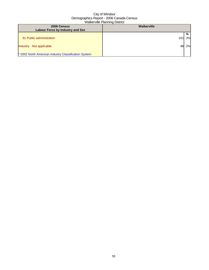| 2006 Census<br>Labour Force by Industry and Sex      | Walkerville     |    |
|------------------------------------------------------|-----------------|----|
|                                                      |                 | %  |
| 91 Public administration                             | 10 <sup>1</sup> | 2% |
| Industry - Not applicable                            |                 | 2% |
| * 2002 North American Industry Classification System |                 |    |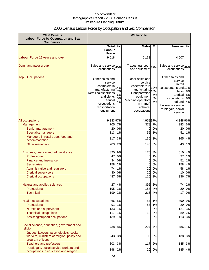## 2006 Census Labour Force by Occupation and Sex Comparison

| 2006 Census<br><b>Labour Force by Occupation and Sex</b><br>Comparison                                                                                                                                    | Walkerville                                                                                                                                                 |                                        |                                                                                                                                                           |                                        |                                                                                                                                                                    |                                  |
|-----------------------------------------------------------------------------------------------------------------------------------------------------------------------------------------------------------|-------------------------------------------------------------------------------------------------------------------------------------------------------------|----------------------------------------|-----------------------------------------------------------------------------------------------------------------------------------------------------------|----------------------------------------|--------------------------------------------------------------------------------------------------------------------------------------------------------------------|----------------------------------|
|                                                                                                                                                                                                           | <b>Total</b>                                                                                                                                                | $\frac{0}{0}$                          | <b>Males</b>                                                                                                                                              | %                                      | <b>Females</b>                                                                                                                                                     | %                                |
|                                                                                                                                                                                                           | Labour<br><b>Force</b>                                                                                                                                      |                                        |                                                                                                                                                           |                                        |                                                                                                                                                                    |                                  |
| <b>Labour Force 15 years and over</b>                                                                                                                                                                     | 9,618                                                                                                                                                       |                                        | 5,133                                                                                                                                                     |                                        | 4,507                                                                                                                                                              |                                  |
| Dominant major group                                                                                                                                                                                      | Sales and service 40%<br>occupations                                                                                                                        |                                        | Trades, transport 32%<br>and equipment                                                                                                                    |                                        | Sales and service 49%<br>occupations                                                                                                                               |                                  |
| <b>Top 5 Occupations</b>                                                                                                                                                                                  | Other sales and<br>service<br>Assemblers in<br>manufacturing<br>Retail salespersons<br>and clerks<br>Clerical<br>occupations<br>Transportation<br>equipment | 14%<br>7%<br>6%<br>5%<br>4%            | Other sales and<br>service<br>Assemblers in<br>manufacturing<br>Transportation<br>equipment<br>Machine operators<br>in manuf.<br>Technical<br>occupations | 12%<br>10%<br>7%<br>6%<br>5%           | Other sales and<br>service<br>Retail<br>salespersons and 17%<br>clerks<br>Clerical<br>occupations<br>Food and<br>beverage service<br>Paralegals, social<br>service | 8%<br>8%<br>6%<br>4%             |
| All occupations<br>Management<br>Senior management<br><b>Specialist managers</b><br>Managers in retail trade, food and<br>accommodation<br>Other managers                                                 | 9,33397%<br>705<br>20<br>113<br>317<br>203                                                                                                                  | 7%<br>0%<br>1%<br>3%<br>2%             | 4,95897%<br>378<br>0<br>55<br>135<br>143                                                                                                                  | 7%<br>0%<br>1%<br>3%<br>3%             | 4,348 96%<br>283<br>20<br>51<br>165<br>43                                                                                                                          | 6%<br>0%<br>1%<br>4%<br>1%       |
| Business, finance and administrative<br>Professional<br><b>Finance and insurance</b><br><b>Secretaries</b><br>Administrative and regulatory<br><b>Clerical supervisors</b><br><b>Clerical occupations</b> | 825<br>47<br>34<br>158<br>74<br>30<br>487                                                                                                                   | 9%<br>0%<br>0%<br>2%<br>1%<br>0%<br>5% | 176<br>40<br>0<br>0<br>20<br>20<br>116                                                                                                                    | 3%<br>1%<br>0%<br>0%<br>0%<br>0%<br>2% | 61014%<br>37<br>51<br>158<br>58<br>10<br>336                                                                                                                       | 1%<br>1%<br>4%<br>1%<br>0%<br>7% |
| Natural and applied sciences<br>Professional<br><b>Technical</b>                                                                                                                                          | 427<br>195<br>199                                                                                                                                           | 4%<br>2%<br>2%                         | 187                                                                                                                                                       | 395 8%<br>4%<br>215 4%                 | 20<br>17                                                                                                                                                           | 74 2%<br>0%<br>0%                |
| <b>Health occupations</b><br>Professional<br>Nurses and supervisors<br><b>Technical occupations</b><br>Assisting/support occupations                                                                      | 466<br>91<br>133<br>117<br>139                                                                                                                              | 5%<br>1%<br>1%<br>1%<br>1%             | 57<br>57<br>0<br>10<br>$\overline{0}$                                                                                                                     | 1%<br>1%<br>0%<br>0%<br>0%             | 390<br>20<br>121<br>89<br>113                                                                                                                                      | 9%<br>0%<br>3%<br>2%<br>3%       |
| Social science, education, government and<br>religion                                                                                                                                                     | 738                                                                                                                                                         | 8%                                     | 227                                                                                                                                                       | 4%                                     | 48611%                                                                                                                                                             |                                  |
| Judges, lawyers, psychologists, social<br>workers, ministers of religion, policy and<br>program officers                                                                                                  | 243                                                                                                                                                         | 3%                                     | 99                                                                                                                                                        | 2%                                     | 138 3%                                                                                                                                                             |                                  |
| <b>Teachers and professors</b><br>Paralegals, social service workers and<br>occupations in education and religion                                                                                         | 303<br>198                                                                                                                                                  | 3%<br>2%                               | 117<br>20                                                                                                                                                 | 2%<br>0%                               | 145<br>185                                                                                                                                                         | 3%<br>4%                         |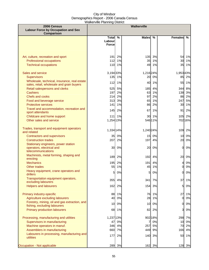| 2006 Census<br><b>Labour Force by Occupation and Sex</b>                                  | <b>Walkerville</b>     |          |              |          |                 |               |
|-------------------------------------------------------------------------------------------|------------------------|----------|--------------|----------|-----------------|---------------|
| Comparison                                                                                | <b>Total</b><br>Labour | %        | <b>Males</b> | $\%$     | <b>Females</b>  | $\frac{9}{6}$ |
|                                                                                           | <b>Force</b>           |          |              |          |                 |               |
| Art, culture, recreation and sport                                                        | 191                    | 2%       | 135          | 3%       | 54              | 1%            |
| Professional occupations<br><b>Technical occupations</b>                                  | 112<br>110             | 1%<br>1% | 35<br>49     | 1%<br>1% | 30<br>35        | 1%<br>1%      |
| Sales and service                                                                         | 3,194 33%              |          | 1,216 24%    |          | 1,95343%        |               |
| <b>Supervisors</b>                                                                        | 135                    | 1%       | 20           | 0%       | 85              | 2%            |
| Wholesale, technical, insurance, real estate<br>sales, retail, wholesale and grain buyers | 112                    | 1%       | 40           | 1%       | 55              | 1%            |
| Retail salespersons and clerks                                                            | 525                    | 5%       | 185          | 4%       | 344             | 8%            |
| <b>Cashiers</b><br>Chefs and cooks                                                        | 197<br>214             | 2%<br>2% | 63<br>97     | 1%<br>2% | 138<br>86       | 3%<br>2%      |
| Food and beverage service                                                                 | 313                    | 3%       | 65           | 1%       | 247             | 5%            |
| <b>Protective services</b>                                                                | 141                    | 1%       | 86           | 2%       | 30              | 1%            |
| Travel and accommodation, recreation and<br>sport attendants                              | 145                    | 2%       | 67           | 1%       | 91              | 2%            |
| Childcare and home support                                                                | 111                    | 1%       | 30           | 1%       | 105             | 2%            |
| Other sales and service                                                                   | 1,254 13%              |          |              | 546 11%  |                 | 702 16%       |
| Trades, transport and equipment operators<br>and related                                  | 1,334 14%              |          | 1,240 24%    |          | 109             | 2%            |
| <b>Contractors and supervisors</b>                                                        | 35                     | 0%       | 15           | 0%       | 10 <sup>1</sup> | 0%            |
| <b>Construction trades</b>                                                                | 207                    | 2%       | 197          | 4%       | 20              | 0%            |
| Stationary engineers, power station<br>operators, electrical and                          | 30                     | 0%       | 20           | 0%       | 0               | 0%            |
| telecommunications                                                                        |                        |          |              |          |                 |               |
| Machinists, metal forming, shaping and<br>erecting                                        | 189                    | 2%       | 192          | 4%       | 20              | 0%            |
| <b>Mechanics</b>                                                                          | 195                    | 2%       | 191          | 4%       | 4               | 0%            |
| Other trades                                                                              | 55                     | 1%       | 45           | 1%       | $\overline{O}$  | $0\%$         |
| Heavy equipment, crane operators and<br>drillers                                          | 5                      | 0%       | 5            | 0%       | <sub>0</sub>    | 0%            |
| Transportation equipment operators,<br>excluding labourers                                | 355                    | 4%       | 341          | 7%       | 37              | 1%            |
| <b>Helpers and labourers</b>                                                              | 162                    | 2%       | 154          | 3%       | 5               | 0%            |
| Primary industry-specific                                                                 | 88                     | 1%       | 76           | 1%       | 27              | 1%            |
| Agriculture excluding labourers<br>Forestry, mining, oil and gas extraction, and          | 40                     | 0%       | 28           | 1%       | $\overline{O}$  | $0\%$         |
| fishing, excluding labourers                                                              | 10                     | 0%       | 10           | 0%       | 0               | 0%            |
| <b>Primary production labourers</b>                                                       | 68                     | 1%       | 82           | 2%       | 3               | 0%            |
| Processing, manufacturing and utilities                                                   | 1,237 13%              |          |              | 902 18%  | 298             | 7%            |
| Supervisors in manufacturing                                                              | 47                     | 0%       | 7            | 0%       | 10              | 0%            |
| Machine operators in manuf.                                                               | 346                    | 4%       | 257          | 5%       | 70              | 2%            |
| Assemblers in manufacturing<br>Labourers in processing, manufacturing and                 | 660                    | 7%       | 449          | 9%       | 166             | 4%            |
| utilities                                                                                 | 177                    | 2%       | 140          | 3%       | 50              | 1%            |
| Occupation - Not applicable                                                               | 289                    | 3%       | 162          | 3%       | 128             | 3%            |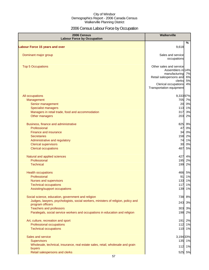## 2006 Census Labour Force by Occupation

| 2006 Census<br><b>Labour Force by Occupation</b>                                  | <b>Walkerville</b>                                       |          |
|-----------------------------------------------------------------------------------|----------------------------------------------------------|----------|
|                                                                                   | $\%$                                                     |          |
| <b>Labour Force 15 years and over</b>                                             | 9,618                                                    |          |
| Dominant major group                                                              | Sales and service<br>occupations                         |          |
| <b>Top 5 Occupations</b>                                                          | Other sales and service<br>Assemblers in 14%             |          |
|                                                                                   | manufacturing 7%<br>Retail salespersons and 6%<br>clerks | 5%       |
|                                                                                   | Clerical occupations<br>Transportation equipment         | 4%       |
| All occupations                                                                   | 9,33397%                                                 |          |
| Management                                                                        | 705 7%                                                   |          |
| Senior management                                                                 | 20                                                       | 0%       |
| <b>Specialist managers</b>                                                        | 113 1%                                                   |          |
| Managers in retail trade, food and accommodation                                  | 317<br>203                                               | 3%<br>2% |
| Other managers                                                                    |                                                          |          |
| Business, finance and administrative                                              | 825                                                      | 9%       |
| Professional                                                                      | 47                                                       | 0%       |
| Finance and insurance                                                             | 34 0%                                                    |          |
| <b>Secretaries</b>                                                                | 158 2%                                                   |          |
| Administrative and regulatory                                                     | 74 1%                                                    |          |
| <b>Clerical supervisors</b><br><b>Clerical occupations</b>                        | 30<br>487                                                | 0%<br>5% |
|                                                                                   |                                                          |          |
| Natural and applied sciences                                                      | 427                                                      | 4%       |
| Professional                                                                      | 195                                                      | 2%       |
| <b>Technical</b>                                                                  | 199                                                      | 2%       |
| <b>Health occupations</b>                                                         | 466 5%                                                   |          |
| Professional                                                                      | 91 1%                                                    |          |
| Nurses and supervisors                                                            | 133 1%                                                   |          |
| <b>Technical occupations</b>                                                      | 117 1%                                                   |          |
| Assisting/support occupations                                                     | 139 1%                                                   |          |
| Social science, education, government and religion                                | 738 8%                                                   |          |
| Judges, lawyers, psychologists, social workers, ministers of religion, policy and | 243 3%                                                   |          |
| program officers<br><b>Teachers and professors</b>                                | 303 3%                                                   |          |
| Paralegals, social service workers and occupations in education and religion      | 198 2%                                                   |          |
|                                                                                   |                                                          |          |
| Art, culture, recreation and sport                                                | 191                                                      | 2%       |
| Professional occupations                                                          | 112 1%                                                   |          |
| <b>Technical occupations</b>                                                      | 110 1%                                                   |          |
| Sales and service                                                                 | 3,194 33%                                                |          |
| <b>Supervisors</b>                                                                | 135 1%                                                   |          |
| Wholesale, technical, insurance, real estate sales, retail, wholesale and grain   | 112 1%                                                   |          |
| buyers                                                                            |                                                          |          |
| Retail salespersons and clerks                                                    | 525 5%                                                   |          |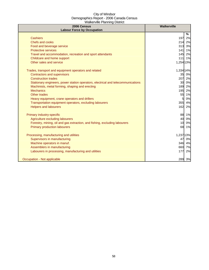| 2006 Census<br><b>Labour Force by Occupation</b>                                 | Walkerville |
|----------------------------------------------------------------------------------|-------------|
|                                                                                  | %           |
| <b>Cashiers</b>                                                                  | 197<br>2%   |
| Chefs and cooks                                                                  | 214<br>2%   |
| Food and beverage service                                                        | 3%<br>313   |
| <b>Protective services</b>                                                       | 1%<br>$141$ |
| Travel and accommodation, recreation and sport attendants                        | 145<br>2%   |
| Childcare and home support                                                       | $111$<br>1% |
| Other sales and service                                                          | 1,254 13%   |
| Trades, transport and equipment operators and related                            | 1,334 14%   |
| <b>Contractors and supervisors</b>                                               | 35<br>0%    |
| <b>Construction trades</b>                                                       | 207<br>2%   |
| Stationary engineers, power station operators, electrical and telecommunications | 30 0%       |
| Machinists, metal forming, shaping and erecting                                  | 2%<br>189   |
| <b>Mechanics</b>                                                                 | 195<br>2%   |
| Other trades                                                                     | 55<br>1%    |
| Heavy equipment, crane operators and drillers                                    | 0%<br>5     |
| Transportation equipment operators, excluding labourers                          | 355<br>4%   |
| <b>Helpers and labourers</b>                                                     | 162<br>2%   |
| Primary industry-specific                                                        | 88 1%       |
| Agriculture excluding labourers                                                  | 40<br>0%    |
| Forestry, mining, oil and gas extraction, and fishing, excluding labourers       | 10<br>0%    |
| <b>Primary production labourers</b>                                              | 68 1%       |
| Processing, manufacturing and utilities                                          | 1,237 13%   |
| Supervisors in manufacturing                                                     | 0%<br>47    |
| Machine operators in manuf.                                                      | 346<br>4%   |
| Assemblers in manufacturing                                                      | 660<br>7%   |
| Labourers in processing, manufacturing and utilities                             | 2%<br>177   |
| Occupation - Not applicable                                                      | 289 3%      |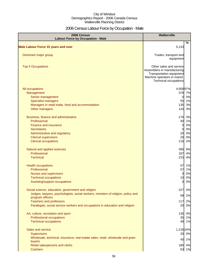## 2006 Census Labour Force by Occupation - Male

| 2006 Census<br><b>Labour Force by Occupation - Male</b>                                               | Walkerville                                                                                                                                |       |
|-------------------------------------------------------------------------------------------------------|--------------------------------------------------------------------------------------------------------------------------------------------|-------|
| <b>Male Labour Force 15 years and over</b>                                                            | 5,133                                                                                                                                      | %     |
|                                                                                                       |                                                                                                                                            |       |
| Dominant major group                                                                                  | Trades, transport and<br>equipment                                                                                                         |       |
| <b>Top 5 Occupations</b>                                                                              | Other sales and service<br>Assemblers in manufacturing<br>Transportation equipment<br>Machine operators in manuf.<br>Technical occupations |       |
| All occupations                                                                                       | 4,95897%                                                                                                                                   |       |
| Management                                                                                            | 378 7%                                                                                                                                     |       |
| Senior management                                                                                     | $\overline{0}$                                                                                                                             | 0%    |
| <b>Specialist managers</b>                                                                            |                                                                                                                                            | 55 1% |
| Managers in retail trade, food and accommodation                                                      | 135                                                                                                                                        | 3%    |
| Other managers                                                                                        | 143                                                                                                                                        | 3%    |
| Business, finance and administrative                                                                  | 176                                                                                                                                        | 3%    |
| Professional                                                                                          | 40                                                                                                                                         | 1%    |
| Finance and insurance                                                                                 | $\overline{0}$                                                                                                                             | 0%    |
| <b>Secretaries</b>                                                                                    | 0                                                                                                                                          | 0%    |
| Administrative and regulatory                                                                         | 20                                                                                                                                         | 0%    |
| <b>Clerical supervisors</b>                                                                           | 20                                                                                                                                         | 0%    |
| <b>Clerical occupations</b>                                                                           | 116                                                                                                                                        | 2%    |
| Natural and applied sciences                                                                          | 395                                                                                                                                        | 8%    |
| Professional                                                                                          | 187                                                                                                                                        | 4%    |
| <b>Technical</b>                                                                                      | 215                                                                                                                                        | 4%    |
| <b>Health occupations</b>                                                                             | 57                                                                                                                                         | 1%    |
| Professional                                                                                          | 57                                                                                                                                         | 1%    |
| <b>Nurses and supervisors</b>                                                                         | $\overline{0}$                                                                                                                             | 0%    |
| <b>Technical occupations</b>                                                                          | 10                                                                                                                                         | 0%    |
| Assisting/support occupations                                                                         | $\Omega$                                                                                                                                   | 0%    |
| Social science, education, government and religion                                                    | 227                                                                                                                                        | 4%    |
| Judges, lawyers, psychologists, social workers, ministers of religion, policy and<br>program officers | 99                                                                                                                                         | 2%    |
| <b>Teachers and professors</b>                                                                        | 117                                                                                                                                        | 2%    |
| Paralegals, social service workers and occupations in education and religion                          | 20                                                                                                                                         | 0%    |
| Art, culture, recreation and sport                                                                    | 135                                                                                                                                        | 3%    |
| Professional occupations                                                                              |                                                                                                                                            | 35 1% |
| <b>Technical occupations</b>                                                                          |                                                                                                                                            | 49 1% |
| Sales and service                                                                                     | 1,216 24%                                                                                                                                  |       |
| <b>Supervisors</b>                                                                                    |                                                                                                                                            | 20 0% |
| Wholesale, technical, insurance, real estate sales, retail, wholesale and grain                       |                                                                                                                                            | 40 1% |
| buyers                                                                                                |                                                                                                                                            |       |
| Retail salespersons and clerks<br><b>Cashiers</b>                                                     | 185 4%                                                                                                                                     | 63 1% |
|                                                                                                       |                                                                                                                                            |       |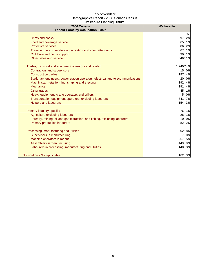| 2006 Census<br><b>Labour Force by Occupation - Male</b>                          | <b>Walkerville</b> |
|----------------------------------------------------------------------------------|--------------------|
|                                                                                  | %                  |
| <b>Chefs and cooks</b>                                                           | 97<br>2%           |
| Food and beverage service                                                        | 1%<br>65           |
| <b>Protective services</b>                                                       | 2%<br>86           |
| Travel and accommodation, recreation and sport attendants                        | 1%<br>67           |
| Childcare and home support                                                       | 30<br>1%           |
| Other sales and service                                                          | 54611%             |
| Trades, transport and equipment operators and related                            | 1,240 24%          |
| <b>Contractors and supervisors</b>                                               | 15<br>0%           |
| <b>Construction trades</b>                                                       | 197<br>4%          |
| Stationary engineers, power station operators, electrical and telecommunications | 0%<br>20           |
| Machinists, metal forming, shaping and erecting                                  | 192<br>4%          |
| <b>Mechanics</b>                                                                 | 191<br>4%          |
| <b>Other trades</b>                                                              | 45<br>1%           |
| Heavy equipment, crane operators and drillers                                    | 0%                 |
| Transportation equipment operators, excluding labourers                          | 341<br>7%          |
| <b>Helpers and labourers</b>                                                     | 3%<br>154          |
| Primary industry-specific                                                        | 1%<br>76           |
| Agriculture excluding labourers                                                  | 28<br>1%           |
| Forestry, mining, oil and gas extraction, and fishing, excluding labourers       | 10<br>0%           |
| <b>Primary production labourers</b>                                              | 82<br>2%           |
| Processing, manufacturing and utilities                                          | 902 18%            |
| Supervisors in manufacturing                                                     | 0%                 |
| Machine operators in manuf.                                                      | 257<br>5%          |
| Assemblers in manufacturing                                                      | 449<br>9%          |
| Labourers in processing, manufacturing and utilities                             | 140<br>3%          |
| Occupation - Not applicable                                                      | 162 3%             |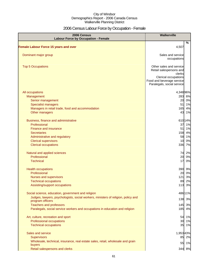## 2006 Census Labour Force by Occupation - Female

| 2006 Census<br><b>Labour Force by Occupation - Female</b>                                 | Walkerville                                                                                                                                     |
|-------------------------------------------------------------------------------------------|-------------------------------------------------------------------------------------------------------------------------------------------------|
| <b>Female Labour Force 15 years and over</b>                                              | %<br>4,507                                                                                                                                      |
|                                                                                           |                                                                                                                                                 |
| Dominant major group                                                                      | Sales and service<br>occupations                                                                                                                |
| <b>Top 5 Occupations</b>                                                                  | Other sales and service<br>Retail salespersons and<br>clerks<br>Clerical occupations<br>Food and beverage service<br>Paralegals, social service |
| All occupations                                                                           | 4,348 96%                                                                                                                                       |
| Management<br>Senior management                                                           | 283 6%<br>0%<br>20                                                                                                                              |
| Specialist managers                                                                       | 1%<br>51                                                                                                                                        |
| Managers in retail trade, food and accommodation<br>Other managers                        | 4%<br>165<br>43<br>1%                                                                                                                           |
|                                                                                           |                                                                                                                                                 |
| Business, finance and administrative<br>Professional                                      | 610 14%<br>1%<br>37                                                                                                                             |
| Finance and insurance                                                                     | 1%<br>51                                                                                                                                        |
| <b>Secretaries</b>                                                                        | 158<br>4%                                                                                                                                       |
| Administrative and regulatory                                                             | 58<br>1%                                                                                                                                        |
| <b>Clerical supervisors</b>                                                               | 0%<br>10                                                                                                                                        |
| <b>Clerical occupations</b>                                                               | 336<br>7%                                                                                                                                       |
| Natural and applied sciences                                                              | 74 2%                                                                                                                                           |
| Professional                                                                              | 0%<br>20                                                                                                                                        |
| <b>Technical</b>                                                                          | 17<br>0%                                                                                                                                        |
| <b>Health occupations</b>                                                                 | 390 9%                                                                                                                                          |
| Professional                                                                              | 20 0%                                                                                                                                           |
| Nurses and supervisors                                                                    | 121<br>3%                                                                                                                                       |
| <b>Technical occupations</b>                                                              | 2%<br>89                                                                                                                                        |
| Assisting/support occupations                                                             | 113 3%                                                                                                                                          |
| Social science, education, government and religion                                        | 486 11%                                                                                                                                         |
| Judges, lawyers, psychologists, social workers, ministers of religion, policy and         | 138<br>3%                                                                                                                                       |
| program officers<br><b>Teachers and professors</b>                                        | 3%<br>145                                                                                                                                       |
| Paralegals, social service workers and occupations in education and religion              | 185<br>4%                                                                                                                                       |
|                                                                                           |                                                                                                                                                 |
| Art, culture, recreation and sport                                                        | 1%<br>54                                                                                                                                        |
| Professional occupations<br><b>Technical occupations</b>                                  | 30<br>1%<br>35<br>1%                                                                                                                            |
|                                                                                           |                                                                                                                                                 |
| Sales and service                                                                         | 1,95343%                                                                                                                                        |
| <b>Supervisors</b>                                                                        | 85 2%                                                                                                                                           |
| Wholesale, technical, insurance, real estate sales, retail, wholesale and grain<br>buyers | 55 1%                                                                                                                                           |
| Retail salespersons and clerks                                                            | 344 8%                                                                                                                                          |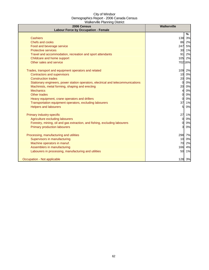| 2006 Census<br><b>Labour Force by Occupation - Female</b>                        | <b>Walkerville</b> |
|----------------------------------------------------------------------------------|--------------------|
|                                                                                  | %                  |
| <b>Cashiers</b>                                                                  | 138<br>3%          |
| <b>Chefs and cooks</b>                                                           | 86<br>2%           |
| Food and beverage service                                                        | 247<br>5%          |
| <b>Protective services</b>                                                       | 30 1%              |
| Travel and accommodation, recreation and sport attendants                        | 91<br>2%           |
| Childcare and home support                                                       | 2%<br>105          |
| Other sales and service                                                          | 702 16%            |
| Trades, transport and equipment operators and related                            | 109<br>2%          |
| <b>Contractors and supervisors</b>                                               | 10<br>0%           |
| <b>Construction trades</b>                                                       | 20 0%              |
| Stationary engineers, power station operators, electrical and telecommunications | 0%<br>0            |
| Machinists, metal forming, shaping and erecting                                  | 20<br>0%           |
| <b>Mechanics</b>                                                                 | 0%<br>4            |
| <b>Other trades</b>                                                              | 0%<br>0            |
| Heavy equipment, crane operators and drillers                                    | 0%<br>0            |
| Transportation equipment operators, excluding labourers                          | 37<br>1%           |
| <b>Helpers and labourers</b>                                                     | 0%<br>51           |
| Primary industry-specific                                                        | 27<br>1%           |
| Agriculture excluding labourers                                                  | 0%<br>0            |
| Forestry, mining, oil and gas extraction, and fishing, excluding labourers       | 0%<br>0            |
| <b>Primary production labourers</b>                                              | 0%<br>3            |
| Processing, manufacturing and utilities                                          | 298 7%             |
| Supervisors in manufacturing                                                     | 0%<br>10           |
| Machine operators in manuf.                                                      | 2%<br>70           |
| Assemblers in manufacturing                                                      | 166<br>4%          |
| Labourers in processing, manufacturing and utilities                             | 50<br>1%           |
| Occupation - Not applicable                                                      | 128 3%             |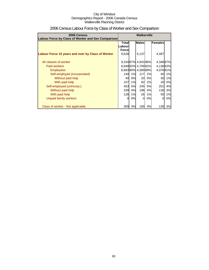| 2006 Census<br>Labour Force by Class of Worker and Sex Comparison | Walkerville                                        |          |                                        |          |                      |          |  |
|-------------------------------------------------------------------|----------------------------------------------------|----------|----------------------------------------|----------|----------------------|----------|--|
|                                                                   | <b>Males</b><br>Females<br><b>Total</b><br>Labourl |          |                                        |          |                      |          |  |
| Labour Force 15 years and over by Class of Worker                 | <b>Force</b><br>9,628                              |          | 5,137                                  |          | 4,487                |          |  |
| All classes of worker                                             |                                                    |          | 9,33497% 4,94396%                      |          | 4,34697%             |          |  |
| Paid workers<br><b>Employees</b>                                  |                                                    |          | 8,84892% 4,70992%<br>8,68390% 4,58989% |          | 4,13692%<br>4,07691% |          |  |
| Self-employed (incorporated)<br>Without paid help                 | 140<br>40                                          | 1%<br>0% | 117<br>20                              | 2%<br>0% | 40<br>30             | 1%<br>1% |  |
| With paid help<br>Self-employed (unincorp.)                       | 107<br>453                                         | 1%<br>5% | 92<br>245                              | 2%<br>5% | 20<br>201            | 0%<br>4% |  |
| Without paid help<br>With paid help                               | 339<br>126                                         | 4%<br>1% | 198<br>26                              | 4%<br>1% | 136<br>55            | 3%<br>1% |  |
| Unpaid family workers                                             | 0                                                  | 0%       | 0l                                     | 0%       | 0                    | 0%       |  |
| Class of worker - Not applicable                                  | 309                                                | 3%       | 169                                    | 3%       | 136                  | 3%       |  |

## 2006 Census Labour Force by Class of Worker and Sex Comparison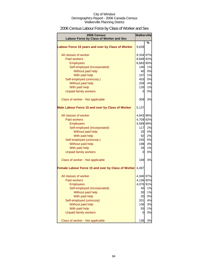## 2006 Census Labour Force by Class of Worker and Sex

| 2006 Census<br>Labour Force by Class of Worker and Sex   | Walkerville |    |
|----------------------------------------------------------|-------------|----|
|                                                          |             | %  |
| Labour Force 15 years and over by Class of Worker        | 9,628       |    |
| All classes of worker                                    | 9,334 97%   |    |
| <b>Paid workers</b>                                      | 8,848 92%   |    |
| <b>Employees</b>                                         | 8,683 90%   |    |
| Self-employed (incorporated)                             | <b>140</b>  | 1% |
| Without paid help                                        | 40          | 0% |
| With paid help                                           | 107         | 1% |
| Self-employed (unincorp.)                                | 453         | 5% |
| Without paid help                                        | 339         | 4% |
| With paid help                                           | 126         | 1% |
| <b>Unpaid family workers</b>                             | 0           | 0% |
| Class of worker - Not applicable                         | 309         | 3% |
| Male Labour Force 15 and over by Class of Worker         | 5,137       |    |
| All classes of worker                                    | 4,943 96%   |    |
| Paid workers                                             | 4,709 92%   |    |
| <b>Employees</b>                                         | 4,589 89%   |    |
| Self-employed (incorporated)                             | 117         | 2% |
| Without paid help                                        | 20          | 0% |
| With paid help                                           | 92          | 2% |
| Self-employed (unincorp.)                                | 245         | 5% |
| Without paid help                                        | 198         | 4% |
| With paid help                                           | 26          | 1% |
| <b>Unpaid family workers</b>                             | 0           | 0% |
| Class of worker - Not applicable                         | 169         | 3% |
|                                                          |             |    |
| Female Labour Force 15 and over by Class of Worker 4,487 |             |    |
| All classes of worker                                    | 4,346 97%   |    |
| <b>Paid workers</b>                                      | 4,136 92%   |    |
| <b>Employees</b>                                         | 4,076 91%   |    |
| Self-employed (incorporated)                             | 40          | 1% |
| Without paid help                                        | 30          | 1% |
| With paid help                                           | 20          | 0% |
| Self-employed (unincorp)                                 | 201         | 4% |
| Without paid help                                        | 136         | 3% |
| With paid help                                           | 55          | 1% |
| <b>Unpaid family workers</b>                             | 0           | 0% |
| Class of worker - Not applicable                         | 136         | 3% |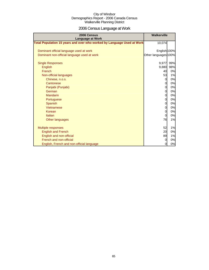# 2006 Census Language at Work

| 2006 Census<br><b>Language at Work</b>                                 | <b>Walkerville</b>   |     |
|------------------------------------------------------------------------|----------------------|-----|
| Total Population 15 years and over who worked by Language Used at Work | 10,074               |     |
|                                                                        |                      |     |
| Dominant official language used at work                                | English 100%         |     |
| Dominant non-official language used at work                            | Other languages 100% |     |
| <b>Single Responses</b>                                                | 9,977                | 99% |
| English                                                                | 9,880                | 98% |
| French                                                                 | 40                   | 0%  |
| Non-official languages                                                 | 53                   | 1%  |
| Chinese, n.o.s.                                                        | $\mathbf{0}$         | 0%  |
| Cantonese                                                              | $\overline{0}$       | 0%  |
| Panjabi (Punjabi)                                                      | 0                    | 0%  |
| German                                                                 | $\mathbf{0}$         | 0%  |
| <b>Mandarin</b>                                                        | $\overline{0}$       | 0%  |
| Portuguese                                                             | 0                    | 0%  |
| Spanish                                                                | 0                    | 0%  |
| Vietnamese                                                             | $\overline{0}$       | 0%  |
| Korean                                                                 | $\overline{0}$       | 0%  |
| Italian                                                                | 0l                   | 0%  |
| Other languages                                                        | 76                   | 1%  |
| <b>Multiple responses</b>                                              | 52                   | 1%  |
| <b>English and French</b>                                              | 20                   | 0%  |
| English and non-official                                               | 89                   | 1%  |
| French and non-official                                                | <sub>0</sub>         | 0%  |
| English, French and non-official language                              | $\mathbf{0}$         | 0%  |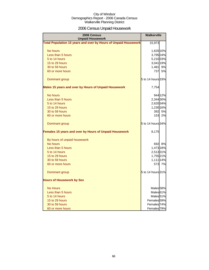## 2006 Census Unpaid Housework

| 2006 Census<br><b>Unpaid Housework</b>                                 | <b>Walkerville</b>     |         |
|------------------------------------------------------------------------|------------------------|---------|
| <b>Total Population 15 years and over by Hours of Unpaid Housework</b> | 15,973                 |         |
| No hours                                                               | 1,620 10%              |         |
| Less than 5 hours                                                      | 3,795 24%              |         |
| 5 to 14 hours                                                          | 5,210 33%              |         |
| 15 to 29 hours                                                         | 3,041 19%              |         |
| 30 to 59 hours                                                         | 1,481                  | 9%      |
| 60 or more hours                                                       | 737                    | 5%      |
| Dominant group                                                         | 5 to 14 hours 33%      |         |
| Males 15 years and over by Hours of Unpaid Housework                   | 7,754                  |         |
| No hours                                                               |                        | 944 12% |
| Less than 5 hours                                                      | 2,344 30%              |         |
| 5 to 14 hours                                                          | 2,620 34%              |         |
| 15 to 29 hours                                                         | 1,230 16%              |         |
| 30 to 59 hours                                                         |                        | 392 5%  |
| 60 or more hours                                                       | 153                    | 2%      |
| Dominant group                                                         | 5 to 14 hours 34%      |         |
| Females 15 years and over by Hours of Unpaid Housework                 | 8,175                  |         |
| By hours of unpaid housework                                           |                        |         |
| No hours                                                               |                        | 692 8%  |
| Less than 5 hours                                                      | 1,473 18%              |         |
| 5 to 14 hours                                                          | 2,51331%               |         |
| 15 to 29 hours                                                         | 1,755 21%              |         |
| 30 to 59 hours                                                         | 1,111 14%              |         |
| 60 or more hours                                                       |                        | 573 7%  |
| Dominant group                                                         | 5 to 14 hours 31%      |         |
| <b>Hours of Housework by Sex</b>                                       |                        |         |
| <b>No Hours</b>                                                        | Males <sub>58%</sub>   |         |
| Less than 5 hours                                                      | Males <sub>61%</sub>   |         |
| 5 to 14 hours                                                          | Males <sub>51%</sub>   |         |
| 15 to 29 hours                                                         | Females <sup>59%</sup> |         |
| 30 to 59 hours                                                         | Females 74%            |         |
| 60 or more hours                                                       | Females <sup>79%</sup> |         |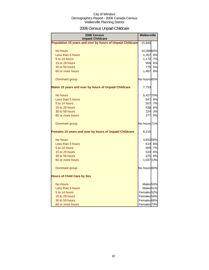## 2006 Census Unpaid Childcare

| 2006 Census<br><b>Unpaid Childcare</b>                    | <b>Walkerville</b>      |        |
|-----------------------------------------------------------|-------------------------|--------|
| Population 15 years and over by hours of Unpaid Childcare | 15,940                  |        |
| No hours                                                  | 10,28665%               |        |
| Less than 5 hours                                         | 1,267 8%                |        |
| 5 to 14 hours                                             | 1,172                   | 7%     |
| 15 to 29 hours                                            | 958                     | 6%     |
| 30 to 59 hours                                            | 775                     | 5%     |
| 60 or more hours                                          | 1,467                   | 9%     |
| Dominant group                                            | No hours 65%            |        |
| Males 15 years and over by hours of Unpaid Childcare      | 7,753                   |        |
| No hours                                                  | 5,427 70%               |        |
| Less than 5 hours                                         |                         | 647 8% |
| 5 to 14 hours                                             | 557                     | 7%     |
| 15 to 29 hours                                            | 436                     | 6%     |
| 30 to 59 hours                                            | <b>224</b>              | 3%     |
| 60 or more hours                                          | 377                     | 5%     |
| Dominant group                                            | No hours <sup>71%</sup> |        |
| Females 15 years and over by hours of Unpaid Childcare    | 8,215                   |        |
| No hours                                                  | 4,832 59%               |        |
| Less than 5 hours                                         |                         | 619 8% |
| 5 to 14 hours                                             |                         | 609 7% |
| 15 to 29 hours                                            | 520                     | 6%     |
| 30 to 59 hours                                            | 475                     | 6%     |
| 60 or more hours                                          | 1,037 13%               |        |
| Dominant group                                            | No hours 60%            |        |
| <b>Hours of Child Care by Sex</b>                         |                         |        |
| <b>No Hours</b>                                           | Males <sub>53%</sub>    |        |
| Less than 5 hours                                         | Males <sub>51%</sub>    |        |
| 5 to 14 hours                                             | Females 52%             |        |
| 15 to 29 hours                                            | Females 54%             |        |
| 30 to 59 hours                                            | Females 68%             |        |
| 60 or more hours                                          | Females <sub>73%</sub>  |        |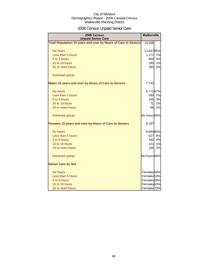## 2006 Census Unpaid Senior Care

| 2006 Census<br><b>Unpaid Senior Care</b>                              | <b>Walkerville</b>     |    |
|-----------------------------------------------------------------------|------------------------|----|
| <b>Total Population 15 years and over by Hours of Care to Seniors</b> | 15,938                 |    |
| No hours                                                              | 13,64786%              |    |
| Less than 5 hours                                                     | 1,171                  | 7% |
| 5 to 9 hours                                                          | 600                    | 4% |
| 10 to 19 hours                                                        | 180                    | 1% |
| 20 or more hours                                                      | 280                    | 2% |
| Dominant group                                                        |                        |    |
| Males 15 years and over by Hours of Care to Seniors                   | 7,743                  |    |
| No hours                                                              | 6,77287%               |    |
| Less than 5 hours                                                     | 560                    | 7% |
| 5 to 9 hours                                                          | 249                    | 3% |
| 10 to 19 hours                                                        | 71                     | 1% |
| 20 or more hours                                                      | 68                     | 1% |
| Dominant group                                                        | No hours 89%           |    |
| Females 15 years and over by Hours of Care to Seniors                 | 8,187                  |    |
| No hours                                                              | 6,884 84%              |    |
| Less than 5 hours                                                     | 627                    | 8% |
| 5 to 9 hours                                                          | 342                    | 4% |
| 10 to 19 hours                                                        | 121                    | 1% |
| 20 or more hours                                                      | 160                    | 2% |
| Dominant group                                                        | No hours 86%           |    |
| <b>Senior Care by Sex</b>                                             |                        |    |
| No hours                                                              | Females 50%            |    |
| Less than 5 hours                                                     | Females <sub>53%</sub> |    |
| 5 to 9 hours                                                          | Females 58%            |    |
| 10 to 19 hours                                                        | Females <sup>63%</sup> |    |
| 20 or more hours                                                      | Females 70%            |    |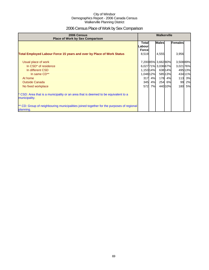## 2006 Census Place of Work by Sex Comparison

| 2006 Census<br><b>Place of Work by Sex Comparison</b>                                                 |                                   | <b>Walkerville</b> |                     |         |                |         |
|-------------------------------------------------------------------------------------------------------|-----------------------------------|--------------------|---------------------|---------|----------------|---------|
|                                                                                                       | Totall<br>Labourl<br><b>Force</b> |                    | <b>Males</b>        |         | <b>Females</b> |         |
| <b>Total Employed Labour Force 15 years and over by Place of Work Status</b>                          | 8,519                             |                    | 4,555               |         | 3,956          |         |
| Usual place of work                                                                                   |                                   |                    | 7,20085% 3,66280%   |         | 3,508 89%      |         |
| In CSD <sup>*</sup> of residence                                                                      |                                   |                    | 6,027 71% 3,036 67% |         | 3,021 76%      |         |
| In different CSD                                                                                      | 1,153 14%                         |                    |                     | 638 14% |                | 495 13% |
| In same CD**                                                                                          | 1,048 12%                         |                    |                     | 585 13% |                | 43411%  |
| At home                                                                                               | 317                               | 4%                 | 178                 | 4%      | 113            | 3%      |
| <b>Outside Canada</b>                                                                                 | 345                               | 4%                 | 254                 | 6%      | 99             | 2%      |
| No fixed workplace                                                                                    | 572                               | 7%                 |                     | 440 10% | 180            | 5%      |
| CSD: Area that is a municipality or an area that is deemed to be equivalent to a<br>municipality.     |                                   |                    |                     |         |                |         |
| ** CD: Group of neighbouring municipalities joined together for the purposes of regional<br>planning. |                                   |                    |                     |         |                |         |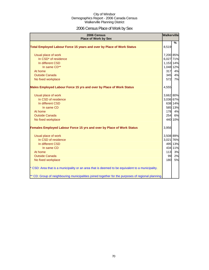## 2006 Census Place of Work by Sex

| 2006 Census<br><b>Place of Work by Sex</b>                                                         | <b>Walkerville</b> |               |
|----------------------------------------------------------------------------------------------------|--------------------|---------------|
|                                                                                                    |                    | $\frac{9}{6}$ |
| Total Employed Labour Force 15 years and over by Place of Work Status                              | 8,519              |               |
| Usual place of work                                                                                | 7,200 85%          |               |
| In CSD* of residence                                                                               | 6,027 71%          |               |
| In different CSD                                                                                   | 1,153 14%          |               |
| In same CD**                                                                                       | 1,048 12%          |               |
| At home                                                                                            | 317                | 4%            |
| <b>Outside Canada</b>                                                                              | 345                | 4%            |
| No fixed workplace                                                                                 | 572                | 7%            |
|                                                                                                    |                    |               |
| Males Employed Labour Force 15 yrs and over by Place of Work Status                                | 4,555              |               |
|                                                                                                    |                    |               |
| Usual place of work                                                                                | 3,662 80%          |               |
| In CSD of residence                                                                                | 3,036 67%          |               |
| In different CSD                                                                                   |                    | 638 14%       |
| In same CD                                                                                         |                    | 585 13%       |
| At home                                                                                            | 178                | 4%            |
| <b>Outside Canada</b>                                                                              | <b>254</b>         | 6%            |
| No fixed workplace                                                                                 |                    | 440 10%       |
| <b>Females Employed Labour Force 15 yrs and over by Place of Work Status</b>                       | 3,956              |               |
| Usual place of work                                                                                | 3,508 89%          |               |
| In CSD of residence                                                                                | 3,021 76%          |               |
| In different CSD                                                                                   |                    | 495 13%       |
| In same CD                                                                                         |                    | 434 11%       |
| At home                                                                                            | 113                | 3%            |
| <b>Outside Canada</b>                                                                              | 99                 | 2%            |
| No fixed workplace                                                                                 | 180                | 5%            |
| * CSD: Area that is a municipality or an area that is deemed to be equivalent to a municipality.   |                    |               |
| ** CD: Group of neighbouring municipalities joined together for the purposes of regional planning. |                    |               |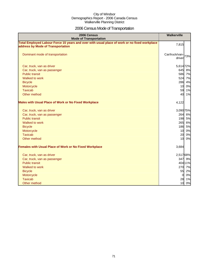## 2006 Census Mode of Transportation

| 2006 Census<br><b>Mode of Transportation</b>                                                                                      | <b>Walkerville</b>              |
|-----------------------------------------------------------------------------------------------------------------------------------|---------------------------------|
| Total Employed Labour Force 15 years and over with usual place of work or no fixed workplace<br>address by Mode of Transportation | 7,815                           |
| Dominant mode of transportation                                                                                                   | Car/truck/van-<br>73%<br>driver |
| Car, truck, van as driver                                                                                                         | 5,614 72%                       |
| Car, truck, van as passenger                                                                                                      | 645<br>8%                       |
| <b>Public transit</b>                                                                                                             | 586 7%                          |
| Walked to work                                                                                                                    | 524<br>7%                       |
| <b>Bicycle</b>                                                                                                                    | 4%<br>286                       |
| Motorcycle                                                                                                                        | 0%<br>10                        |
| <b>Taxicab</b>                                                                                                                    | 59<br>1%                        |
| Other method                                                                                                                      | 40<br>1%                        |
| <b>Males with Usual Place of Work or No Fixed Workplace</b>                                                                       | 4,122                           |
| Car, truck, van as driver                                                                                                         | 3,090 75%                       |
| Car, truck, van as passenger                                                                                                      | 6%<br>264                       |
| <b>Public transit</b>                                                                                                             | 198 5%                          |
| Walked to work                                                                                                                    | 265<br>6%                       |
| <b>Bicycle</b>                                                                                                                    | 186 5%                          |
| Motorcycle                                                                                                                        | 10<br>0%                        |
| <b>Taxicab</b>                                                                                                                    | 20<br>0%                        |
| Other method                                                                                                                      | 10<br>0%                        |
| <b>Females with Usual Place of Work or No Fixed Workplace</b>                                                                     | 3,684                           |
| Car, truck, van as driver                                                                                                         | 2,517 68%                       |
| Car, truck, van as passenger                                                                                                      | 347 9%                          |
| <b>Public transit</b>                                                                                                             | 404 11%                         |
| Walked to work                                                                                                                    | 270 7%                          |
| <b>Bicycle</b>                                                                                                                    | 55<br>2%                        |
| Motorcycle                                                                                                                        | 0%<br>$\overline{0}$            |
| <b>Taxicab</b>                                                                                                                    | 28<br>1%                        |
| Other method                                                                                                                      | 0%<br>10                        |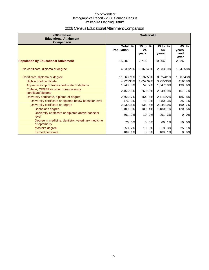## 2006 Census Educational Attainment Comparison

| 2006 Census<br><b>Educational Attainment</b><br>Comparison         | <b>Walkerville</b>                |    |                        |         |                        |               |                            |               |
|--------------------------------------------------------------------|-----------------------------------|----|------------------------|---------|------------------------|---------------|----------------------------|---------------|
|                                                                    | <b>Total</b><br><b>Population</b> | %  | $15$ to<br>24<br>vears | %       | $25$ to<br>64<br>years | $\frac{9}{6}$ | 65<br>years<br>and<br>over | $\frac{9}{6}$ |
| <b>Population by Educational Attainment</b>                        | 15,907                            |    | 2,715                  |         | 10,866                 |               | 2,326                      |               |
| No certificate, diploma or degree                                  | 4,539 29%                         |    | 1,160 43%              |         | 2,033 19%              |               | 1,34758%                   |               |
| Certificate, diploma or degree                                     | 11,363 71%                        |    | 1,532 56%              |         | 8,82481%               |               | 1,00743%                   |               |
| High school certificate                                            | 4,723 30%                         |    | 1,052 39%              |         | 3,255 30%              |               |                            | 41618%        |
| Apprenticeship or trades certificate or diploma                    | 1,243 8%                          |    | 57                     | 2%      | 1,047 10%              |               | 139                        | 6%            |
| College, CEGEP or other non-university<br>certificate/diploma      | 2,466 16%                         |    |                        | 260 10% | 2,049 19%              |               | 157                        | 7%            |
| University certificate, diploma or degree                          | 2,765 17%                         |    | 164                    | 6%      | 2,414 22%              |               | 186                        | 8%            |
| University certificate or diploma below bachelor level             | 476                               | 3% | 71                     | 3%      | 380                    | 3%            | 25                         | 1%            |
| University certificate or degree                                   | 2,339 15%                         |    | 135                    | 5%      | 2,044 19%              |               | <b>160</b>                 | 7%            |
| Bachelor's degree                                                  | 1,409                             | 9% | 109                    | 4%      | 1,180 11%              |               | 120                        | 5%            |
| University certificate or diploma above bachelor<br>level          | 301                               | 2% | 10                     | 0%      | 291                    | 3%            | $\Omega$                   | 0%            |
| Degree in medicine, dentistry, veterinary medicine<br>or optometry | 76                                | 0% | $\Omega$               | 0%      | 66                     | 1%            | 10                         | 0%            |
| Master's degree                                                    | 353                               | 2% | 10                     | 0%      | 318                    | 3%            | 25                         | 1%            |
| <b>Earned doctorate</b>                                            | 109                               | 1% | $\overline{0}$         | 0%      | 109                    | 1%            | 0                          | 0%            |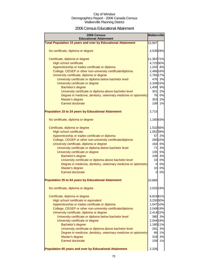### 2006 Census Educational Attainment

| 2006 Census<br><b>Educational Attainment</b>                                                                  | <b>Walkerville</b> |         |
|---------------------------------------------------------------------------------------------------------------|--------------------|---------|
| <b>Total Population 15 years and over by Educational Attainment</b>                                           | 15,907             |         |
| No certificate, diploma or degree                                                                             | 4,539 29%          |         |
| Certificate, diploma or degree                                                                                | 11,363 71%         |         |
| <b>High school certificate</b>                                                                                | 4,723 30%          |         |
| Apprenticeship or trades certificate or diploma                                                               | 1,243 8%           |         |
| College, CEGEP or other non-university certificate/diploma                                                    | 2,466 16%          |         |
| University certificate, diploma or degree                                                                     | 2,765 17%          |         |
| University certificate or diploma below bachelor level                                                        |                    | 476 3%  |
| University certificate or degree                                                                              | 2,339 15%          |         |
| Bachelor's degree                                                                                             | 1,409 9%           |         |
| University certificate or diploma above bachelor level                                                        |                    | 301 2%  |
| Degree in medicine, dentistry, veterinary medicine or optometry                                               |                    | 76 0%   |
| Master's degree                                                                                               |                    | 353 2%  |
| <b>Earned doctorate</b>                                                                                       | 109                | 1%      |
| <b>Population 15 to 24 years by Educational Attainment</b>                                                    | 2,715              |         |
| No certificate, diploma or degree                                                                             | 1,16043%           |         |
|                                                                                                               |                    |         |
| Certificate, diploma or degree                                                                                | 1,53256%           |         |
| <b>High school certificate</b>                                                                                | 1,052 39%          | 57 2%   |
| Apprenticeship or trades certificate or diploma<br>College, CEGEP or other non-university certificate/diploma |                    | 260 10% |
|                                                                                                               |                    | 164 6%  |
| University certificate, diploma or degree<br>University certificate or diploma below bachelor level           |                    | 71 3%   |
| University certificate or degree                                                                              |                    | 135 5%  |
| Bachelor's degree                                                                                             |                    | 109 4%  |
| University certificate or diploma above bachelor level                                                        |                    | 10 0%   |
| Degree in medicine, dentistry, veterinary medicine or optometry                                               | $\overline{0}$     | 0%      |
| Master's degree                                                                                               | 10                 | 0%      |
| Earned doctorate                                                                                              | $\Omega$           | 0%      |
|                                                                                                               |                    |         |
| <b>Population 25 to 64 years by Educational Attainment</b>                                                    | 10,866             |         |
| No certificate, diploma or degree                                                                             | 2,033 19%          |         |
| Certificate, diploma or degree                                                                                | 8,82481%           |         |
| High school certificate or equivalent                                                                         | 3,255 30%          |         |
| Apprenticeship or trades certificate or diploma                                                               | 1,047 10%          |         |
| College, CEGEP or other non-university certificate/diploma                                                    | 2,049 19%          |         |
| University certificate, diploma or degree                                                                     | 2,414 22%          |         |
| University certificate or diploma below bachelor level                                                        |                    | 380 3%  |
| University certificate or degree                                                                              | 2,044 19%          |         |
| Bachelor's degree                                                                                             | 1,180 11%          |         |
| University certificate or diploma above bachelor level                                                        | 291                | 3%      |
| Degree in medicine, dentistry, veterinary medicine or optometry                                               | 66                 | 1%      |
| Master's degree                                                                                               | 318                | 3%      |
| <b>Earned doctorate</b>                                                                                       | 109                | 1%      |
| Population 65 years and over by Educational Attainment                                                        | 2,326              |         |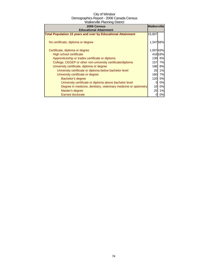| 2006 Census                                                         | <b>Walkerville</b> |           |
|---------------------------------------------------------------------|--------------------|-----------|
| <b>Educational Attainment</b>                                       |                    |           |
| <b>Total Population 15 years and over by Educational Attainment</b> | 15,907             |           |
| No certificate, diploma or degree                                   | 1,34758%           |           |
| Certificate, diploma or degree                                      | 1,00743%           |           |
| High school certificate                                             |                    | 41618%    |
| Apprenticeship or trades certificate or diploma                     | 139                | 6%        |
| College, CEGEP or other non-university certificate/diploma          | 157                | 7%        |
| University certificate, diploma or degree                           | 186I               | 8%        |
| University certificate or diploma below bachelor level              | 25                 | 1%        |
| University certificate or degree                                    | 160                | 7%        |
| Bachelor's degree                                                   | 120                | <b>5%</b> |
| University certificate or diploma above bachelor level              | 0                  | 0%        |
| Degree in medicine, dentistry, veterinary medicine or optometry     | 10                 | 0%        |
| Master's degree                                                     | 25                 | 1%        |
| <b>Earned doctorate</b>                                             |                    | 0%        |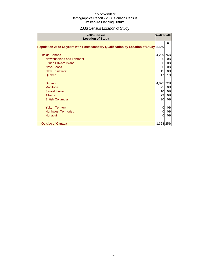# 2006 Census Location of Study

| 2006 Census<br><b>Location of Study</b>                                               | <b>Walkerville</b> |     |
|---------------------------------------------------------------------------------------|--------------------|-----|
| Population 25 to 64 years with Postsecondary Qualification by Location of Study 5,569 |                    | %   |
| <b>Inside Canada</b>                                                                  | 4,209              | 76% |
| Newfoundland and Labrador                                                             | $\Omega$           | 0%  |
| <b>Prince Edward Island</b>                                                           | $\Omega$           | 0%  |
| Nova Scotia                                                                           | $\Omega$           | 0%  |
| <b>New Brunswick</b>                                                                  | 15                 | 0%  |
| Quebec                                                                                | 47                 | 1%  |
| Ontario                                                                               | 4,025 72%          |     |
| Manitoba                                                                              | 25                 | 0%  |
| Saskatchewan                                                                          | 10                 | 0%  |
| Alberta                                                                               | 23                 | 0%  |
| <b>British Columbia</b>                                                               | 20                 | 0%  |
| <b>Yukon Territory</b>                                                                | $\Omega$           | 0%  |
| <b>Northwest Territories</b>                                                          | $\Omega$           | 0%  |
| <b>Nunavut</b>                                                                        | $\Omega$           | 0%  |
| <b>Outside of Canada</b>                                                              | 1,368 25%          |     |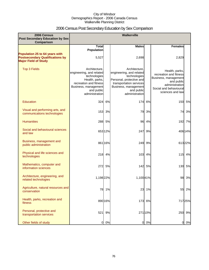### 2006 Census Post Secondary Education by Sex Comparison

| 2006 Census                                                                                             |                                                                                                                                                               |         | Walkerville                                                                                                                                                              |         |                                                                                                                                                |         |
|---------------------------------------------------------------------------------------------------------|---------------------------------------------------------------------------------------------------------------------------------------------------------------|---------|--------------------------------------------------------------------------------------------------------------------------------------------------------------------------|---------|------------------------------------------------------------------------------------------------------------------------------------------------|---------|
| <b>Post Secondary Education by Sex</b><br>Comparison                                                    |                                                                                                                                                               |         |                                                                                                                                                                          |         |                                                                                                                                                |         |
|                                                                                                         | <b>Total</b><br><b>Population</b>                                                                                                                             |         | <b>Males</b>                                                                                                                                                             |         | <b>Females</b>                                                                                                                                 |         |
| Population 25 to 64 years with<br><b>Postsecondary Qualifications by</b><br><b>Major Field of Study</b> | 5,527                                                                                                                                                         |         | 2,698                                                                                                                                                                    |         | 2,829                                                                                                                                          |         |
| <b>Top 3 Fields</b>                                                                                     | Architecture.<br>engineering, and related<br>technologies<br>Health, parks,<br>recreation and fitness<br>Business, management<br>and public<br>administration |         | Architecture,<br>engineering, and related<br>technologies<br>Personal, protective and<br>transportation services<br>Business, management<br>and public<br>administration |         | Health, parks,<br>recreation and fitness<br>Business, management<br>and public<br>administration<br>Social and behavioural<br>sciences and law |         |
| Education                                                                                               | 324                                                                                                                                                           | 6%      | 174                                                                                                                                                                      | 6%      | 150                                                                                                                                            | 5%      |
| Visual and performing arts, and<br>communications technologies                                          | 153                                                                                                                                                           | 3%      | 79                                                                                                                                                                       | 3%      | 74                                                                                                                                             | 3%      |
| <b>Humanities</b>                                                                                       |                                                                                                                                                               | 288 5%  | 96                                                                                                                                                                       | 4%      |                                                                                                                                                | 192 7%  |
| Social and behavioural sciences<br>and law                                                              |                                                                                                                                                               | 653 12% | 247                                                                                                                                                                      | 9%      |                                                                                                                                                | 406 14% |
| Business, management and<br>public administration                                                       |                                                                                                                                                               | 861 16% | 249                                                                                                                                                                      | 9%      |                                                                                                                                                | 61322%  |
| Physical and life sciences and<br>technologies                                                          | 218                                                                                                                                                           | 4%      | 103                                                                                                                                                                      | 4%      | 115                                                                                                                                            | 4%      |
| Mathematics, computer and<br>information sciences                                                       | 272                                                                                                                                                           | 5%      | 142                                                                                                                                                                      | 5%      | 130                                                                                                                                            | 5%      |
| Architecture, engineering, and<br>related technologies                                                  | 1,198 22%                                                                                                                                                     |         | 1,10041%                                                                                                                                                                 |         | 98                                                                                                                                             | 3%      |
| Agriculture, natural resources and<br>conservation                                                      | 78                                                                                                                                                            | 1%      | 23                                                                                                                                                                       | 1%      | 55                                                                                                                                             | 2%      |
| Health, parks, recreation and<br>fitness                                                                |                                                                                                                                                               | 890 16% | 173                                                                                                                                                                      | 6%      |                                                                                                                                                | 71725%  |
| Personal, protective and<br>transportation services                                                     | 521                                                                                                                                                           | 9%      |                                                                                                                                                                          | 271 10% | 250                                                                                                                                            | 9%      |
| Other fields of study                                                                                   | 0                                                                                                                                                             | 0%      | $\overline{0}$                                                                                                                                                           | 0%      | 0                                                                                                                                              | 0%      |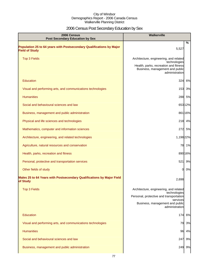# 2006 Census Post Secondary Education by Sex

| 2006 Census<br><b>Post Secondary Education by Sex</b>                                         | Walkerville                                                                                                                                                        |
|-----------------------------------------------------------------------------------------------|--------------------------------------------------------------------------------------------------------------------------------------------------------------------|
| Population 25 to 64 years with Postsecondary Qualifications by Major<br><b>Field of Study</b> | $\%$<br>5,527                                                                                                                                                      |
| <b>Top 3 Fields</b>                                                                           | Architecture, engineering, and related<br>technologies<br>Health, parks, recreation and fitness<br>Business, management and public<br>administration               |
| <b>Education</b>                                                                              | 324<br>6%                                                                                                                                                          |
| Visual and performing arts, and communications technologies                                   | 3%<br>153                                                                                                                                                          |
| <b>Humanities</b>                                                                             | 288<br>5%                                                                                                                                                          |
| Social and behavioural sciences and law                                                       | 65312%                                                                                                                                                             |
| Business, management and public administration                                                | 861 16%                                                                                                                                                            |
| Physical and life sciences and technologies                                                   | 218<br>4%                                                                                                                                                          |
| Mathematics, computer and information sciences                                                | 272<br>5%                                                                                                                                                          |
| Architecture, engineering, and related technologies                                           | 1,198 22%                                                                                                                                                          |
| Agriculture, natural resources and conservation                                               | 78 1%                                                                                                                                                              |
| Health, parks, recreation and fitness                                                         | 89016%                                                                                                                                                             |
| Personal, protective and transportation services                                              | 521<br>9%                                                                                                                                                          |
| Other fields of study                                                                         | 0%<br><sub>O</sub>                                                                                                                                                 |
| Males 25 to 64 Years with Postsecondary Qualifications by Major Field<br>of Study             | 2,698                                                                                                                                                              |
| <b>Top 3 Fields</b>                                                                           | Architecture, engineering, and related<br>technologies<br>Personal, protective and transportation<br>services<br>Business, management and public<br>administration |
| <b>Education</b>                                                                              | 6%<br>174                                                                                                                                                          |
| Visual and performing arts, and communications technologies                                   | 79<br>3%                                                                                                                                                           |
| <b>Humanities</b>                                                                             | 96<br>4%                                                                                                                                                           |
| Social and behavioural sciences and law                                                       | 247<br>9%                                                                                                                                                          |
| Business, management and public administration                                                | 9%<br>249                                                                                                                                                          |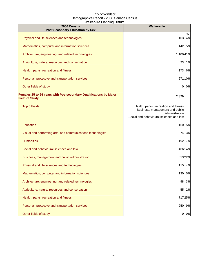| 2006 Census<br><b>Post Secondary Education by Sex</b>                                      | Walkerville                                                                                                                           |         |
|--------------------------------------------------------------------------------------------|---------------------------------------------------------------------------------------------------------------------------------------|---------|
| Physical and life sciences and technologies                                                | 103                                                                                                                                   | %<br>4% |
| Mathematics, computer and information sciences                                             |                                                                                                                                       | 142 5%  |
| Architecture, engineering, and related technologies                                        | 1,100 41%                                                                                                                             |         |
| Agriculture, natural resources and conservation                                            |                                                                                                                                       | 23 1%   |
| Health, parks, recreation and fitness                                                      | 173                                                                                                                                   | 6%      |
| Personal, protective and transportation services                                           |                                                                                                                                       | 271 10% |
| Other fields of study                                                                      | O.                                                                                                                                    | 0%      |
| Females 25 to 64 years with Postsecondary Qualifications by Major<br><b>Field of Study</b> | 2,829                                                                                                                                 |         |
| <b>Top 3 Fields</b>                                                                        | Health, parks, recreation and fitness<br>Business, management and public<br>administration<br>Social and behavioural sciences and law |         |
| <b>Education</b>                                                                           | 150                                                                                                                                   | 5%      |
| Visual and performing arts, and communications technologies                                | 74                                                                                                                                    | 3%      |
| <b>Humanities</b>                                                                          | 192                                                                                                                                   | 7%      |
| Social and behavioural sciences and law                                                    |                                                                                                                                       | 40614%  |
| Business, management and public administration                                             |                                                                                                                                       | 61322%  |
| Physical and life sciences and technologies                                                |                                                                                                                                       | 115 4%  |
| Mathematics, computer and information sciences                                             |                                                                                                                                       | 130 5%  |
| Architecture, engineering, and related technologies                                        | 98                                                                                                                                    | 3%      |
| Agriculture, natural resources and conservation                                            | 55                                                                                                                                    | 2%      |
| Health, parks, recreation and fitness                                                      |                                                                                                                                       | 71725%  |
| Personal, protective and transportation services                                           | 250                                                                                                                                   | 9%      |
| Other fields of study                                                                      | 0                                                                                                                                     | 0%      |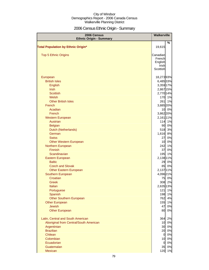# 2006 Census Ethnic Origin - Summary

| 2006 Census<br><b>Ethnic Origin - Summary</b>         | Walkerville        |               |
|-------------------------------------------------------|--------------------|---------------|
|                                                       |                    | $\frac{0}{0}$ |
| <b>Total Population by Ethnic Origin*</b>             | 19,615             |               |
|                                                       |                    |               |
| <b>Top 5 Ethnic Origins</b>                           | Canadian<br>French |               |
|                                                       | English            |               |
|                                                       | Irish              |               |
|                                                       | Scottish           |               |
| European                                              | 18,27393%          |               |
| <b>British Isles</b>                                  | 6,485 33%          |               |
| English                                               | 3,359 17%          |               |
| <b>Irish</b>                                          | 2,867 15%          |               |
| <b>Scottish</b>                                       | 2,770 14%          |               |
| Welsh                                                 |                    | 170 1%        |
| <b>Other British Isles</b>                            | 261                | 1%            |
| French                                                | 3,885 20%          |               |
| Acadian                                               |                    | 10 0%         |
| French                                                | 3,862 20%          |               |
| <b>Western European</b>                               | 2,161 11%          |               |
| Austrian                                              | 114                | 1%            |
| <b>Belgian</b>                                        | 90                 | 0%            |
| Dutch (Netherlands)                                   | 518                | 3%            |
| German                                                | 1,616              | 8%            |
| <b>Swiss</b>                                          | 27                 | 0%            |
| <b>Other Western European</b>                         | 10                 | 0%            |
| Northern European                                     | 242                | 1%            |
| <b>Finnish</b>                                        | 37                 | 0%            |
| Scandinavian                                          | 195                | 1%            |
| Eastern European                                      | 2,138 11%          |               |
| <b>Baltic</b>                                         | 29                 | 0%            |
| <b>Czech and Slovak</b>                               | 85                 | 0%            |
| <b>Other Eastern European</b>                         | 2,137 11%          |               |
| Southern European                                     | 4,096 21%          |               |
| Croatian                                              |                    | 75 0%         |
| Greek                                                 |                    | 308 2%        |
| Italian                                               | 2,635 13%          |               |
| Portuguese<br>Spanish                                 | 121<br>198         | 1%<br>1%      |
| <b>Other Southern European</b>                        | 762                | 4%            |
| <b>Other European</b>                                 | 155                | 1%            |
| <b>Jewish</b>                                         | 47                 | 0%            |
| <b>Other European</b>                                 | 80                 | 0%            |
|                                                       |                    |               |
| Latin, Central and South American                     | 364                | 2%            |
| Aboriginal from Central/South American<br>Argentinian | 10<br>30           | 0%<br>0%      |
| <b>Brazilian</b>                                      | 20                 | 0%            |
| Chilean                                               | $\overline{0}$     | 0%            |
| Colombian                                             | 10                 | 0%            |
| Ecuadorian                                            | $\Omega$           | 0%            |
| Guatemalan                                            | 35                 | 0%            |
| Mexican                                               | 120                | 1%            |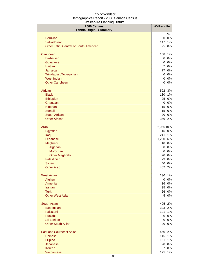| %<br>0%<br>Peruvian<br>0<br>Salvadorean<br>1%<br>147<br>0%<br>Other Latin, Central or South American<br>25<br>1%<br>Caribbean<br>108<br><b>Barbadian</b><br>0%<br>$\overline{0}$<br>$\overline{0}$<br>0%<br>Guyanese<br><b>Haitian</b><br>0%<br>$\overline{7}$<br>0%<br>Jamaican<br>77<br>0%<br>Trinidadian/Tobagonian<br>$\overline{O}$<br><b>West Indian</b><br>0%<br>$\overline{0}$<br><b>Other Caribbean</b><br>0%<br>$\mathbf{0}$<br>3%<br>African<br>592<br><b>Black</b><br>1%<br>130<br>0%<br>Ethiopian<br>25<br>Ghanaian<br>0%<br>$\overline{0}$<br>15<br>0%<br>Nigerian<br>Somali<br>0%<br>15<br>South African<br>0%<br>20<br><b>Other African</b><br>2%<br>359<br>Arab<br>2,056 10%<br>Egyptian<br>15<br>0%<br>241<br>1%<br>Iraqi<br>Lebanese<br>1,250<br>6%<br>Maghrebi<br>10<br>0%<br>Algerian<br>0%<br>$\overline{0}$<br>0%<br>Moroccan<br>$\overline{0}$<br>0%<br><b>Other Maghrebi</b><br>20<br>Palestinian<br>73<br>0%<br>40<br>0%<br><b>Syrian</b><br><b>Other Arab</b><br>2%<br>482<br>130<br>1%<br><b>West Asian</b><br>0%<br>Afghan<br>0<br>Armenian<br>0%<br>36<br><b>Iranian</b><br>0%<br>35<br><b>Turk</b><br>0%<br>66<br><b>Other West Asian</b><br>0%<br>5<br>2%<br><b>South Asian</b><br>405<br>East Indian<br>323<br>2%<br>Pakistani<br>1%<br>101<br>0%<br>Punjabi<br>$\overline{0}$<br>Sri Lankan<br>0%<br>$\mathbf{0}$<br><b>Other South Asian</b><br>0%<br>20<br><b>East and Southeast Asian</b><br>2%<br>460<br><b>Chinese</b><br>145<br>1%<br>1%<br>Filipino<br>161<br>0%<br>Japanese<br>20<br>Korean<br>0%<br>7<br>1%<br>Vietnamese<br>125 | 2006 Census<br><b>Ethnic Origin - Summary</b> | Walkerville |  |
|-----------------------------------------------------------------------------------------------------------------------------------------------------------------------------------------------------------------------------------------------------------------------------------------------------------------------------------------------------------------------------------------------------------------------------------------------------------------------------------------------------------------------------------------------------------------------------------------------------------------------------------------------------------------------------------------------------------------------------------------------------------------------------------------------------------------------------------------------------------------------------------------------------------------------------------------------------------------------------------------------------------------------------------------------------------------------------------------------------------------------------------------------------------------------------------------------------------------------------------------------------------------------------------------------------------------------------------------------------------------------------------------------------------------------------------------------------------------------------------------------------------------------------------------------------------------------------|-----------------------------------------------|-------------|--|
|                                                                                                                                                                                                                                                                                                                                                                                                                                                                                                                                                                                                                                                                                                                                                                                                                                                                                                                                                                                                                                                                                                                                                                                                                                                                                                                                                                                                                                                                                                                                                                             |                                               |             |  |
|                                                                                                                                                                                                                                                                                                                                                                                                                                                                                                                                                                                                                                                                                                                                                                                                                                                                                                                                                                                                                                                                                                                                                                                                                                                                                                                                                                                                                                                                                                                                                                             |                                               |             |  |
|                                                                                                                                                                                                                                                                                                                                                                                                                                                                                                                                                                                                                                                                                                                                                                                                                                                                                                                                                                                                                                                                                                                                                                                                                                                                                                                                                                                                                                                                                                                                                                             |                                               |             |  |
|                                                                                                                                                                                                                                                                                                                                                                                                                                                                                                                                                                                                                                                                                                                                                                                                                                                                                                                                                                                                                                                                                                                                                                                                                                                                                                                                                                                                                                                                                                                                                                             |                                               |             |  |
|                                                                                                                                                                                                                                                                                                                                                                                                                                                                                                                                                                                                                                                                                                                                                                                                                                                                                                                                                                                                                                                                                                                                                                                                                                                                                                                                                                                                                                                                                                                                                                             |                                               |             |  |
|                                                                                                                                                                                                                                                                                                                                                                                                                                                                                                                                                                                                                                                                                                                                                                                                                                                                                                                                                                                                                                                                                                                                                                                                                                                                                                                                                                                                                                                                                                                                                                             |                                               |             |  |
|                                                                                                                                                                                                                                                                                                                                                                                                                                                                                                                                                                                                                                                                                                                                                                                                                                                                                                                                                                                                                                                                                                                                                                                                                                                                                                                                                                                                                                                                                                                                                                             |                                               |             |  |
|                                                                                                                                                                                                                                                                                                                                                                                                                                                                                                                                                                                                                                                                                                                                                                                                                                                                                                                                                                                                                                                                                                                                                                                                                                                                                                                                                                                                                                                                                                                                                                             |                                               |             |  |
|                                                                                                                                                                                                                                                                                                                                                                                                                                                                                                                                                                                                                                                                                                                                                                                                                                                                                                                                                                                                                                                                                                                                                                                                                                                                                                                                                                                                                                                                                                                                                                             |                                               |             |  |
|                                                                                                                                                                                                                                                                                                                                                                                                                                                                                                                                                                                                                                                                                                                                                                                                                                                                                                                                                                                                                                                                                                                                                                                                                                                                                                                                                                                                                                                                                                                                                                             |                                               |             |  |
|                                                                                                                                                                                                                                                                                                                                                                                                                                                                                                                                                                                                                                                                                                                                                                                                                                                                                                                                                                                                                                                                                                                                                                                                                                                                                                                                                                                                                                                                                                                                                                             |                                               |             |  |
|                                                                                                                                                                                                                                                                                                                                                                                                                                                                                                                                                                                                                                                                                                                                                                                                                                                                                                                                                                                                                                                                                                                                                                                                                                                                                                                                                                                                                                                                                                                                                                             |                                               |             |  |
|                                                                                                                                                                                                                                                                                                                                                                                                                                                                                                                                                                                                                                                                                                                                                                                                                                                                                                                                                                                                                                                                                                                                                                                                                                                                                                                                                                                                                                                                                                                                                                             |                                               |             |  |
|                                                                                                                                                                                                                                                                                                                                                                                                                                                                                                                                                                                                                                                                                                                                                                                                                                                                                                                                                                                                                                                                                                                                                                                                                                                                                                                                                                                                                                                                                                                                                                             |                                               |             |  |
|                                                                                                                                                                                                                                                                                                                                                                                                                                                                                                                                                                                                                                                                                                                                                                                                                                                                                                                                                                                                                                                                                                                                                                                                                                                                                                                                                                                                                                                                                                                                                                             |                                               |             |  |
|                                                                                                                                                                                                                                                                                                                                                                                                                                                                                                                                                                                                                                                                                                                                                                                                                                                                                                                                                                                                                                                                                                                                                                                                                                                                                                                                                                                                                                                                                                                                                                             |                                               |             |  |
|                                                                                                                                                                                                                                                                                                                                                                                                                                                                                                                                                                                                                                                                                                                                                                                                                                                                                                                                                                                                                                                                                                                                                                                                                                                                                                                                                                                                                                                                                                                                                                             |                                               |             |  |
|                                                                                                                                                                                                                                                                                                                                                                                                                                                                                                                                                                                                                                                                                                                                                                                                                                                                                                                                                                                                                                                                                                                                                                                                                                                                                                                                                                                                                                                                                                                                                                             |                                               |             |  |
|                                                                                                                                                                                                                                                                                                                                                                                                                                                                                                                                                                                                                                                                                                                                                                                                                                                                                                                                                                                                                                                                                                                                                                                                                                                                                                                                                                                                                                                                                                                                                                             |                                               |             |  |
|                                                                                                                                                                                                                                                                                                                                                                                                                                                                                                                                                                                                                                                                                                                                                                                                                                                                                                                                                                                                                                                                                                                                                                                                                                                                                                                                                                                                                                                                                                                                                                             |                                               |             |  |
|                                                                                                                                                                                                                                                                                                                                                                                                                                                                                                                                                                                                                                                                                                                                                                                                                                                                                                                                                                                                                                                                                                                                                                                                                                                                                                                                                                                                                                                                                                                                                                             |                                               |             |  |
|                                                                                                                                                                                                                                                                                                                                                                                                                                                                                                                                                                                                                                                                                                                                                                                                                                                                                                                                                                                                                                                                                                                                                                                                                                                                                                                                                                                                                                                                                                                                                                             |                                               |             |  |
|                                                                                                                                                                                                                                                                                                                                                                                                                                                                                                                                                                                                                                                                                                                                                                                                                                                                                                                                                                                                                                                                                                                                                                                                                                                                                                                                                                                                                                                                                                                                                                             |                                               |             |  |
|                                                                                                                                                                                                                                                                                                                                                                                                                                                                                                                                                                                                                                                                                                                                                                                                                                                                                                                                                                                                                                                                                                                                                                                                                                                                                                                                                                                                                                                                                                                                                                             |                                               |             |  |
|                                                                                                                                                                                                                                                                                                                                                                                                                                                                                                                                                                                                                                                                                                                                                                                                                                                                                                                                                                                                                                                                                                                                                                                                                                                                                                                                                                                                                                                                                                                                                                             |                                               |             |  |
|                                                                                                                                                                                                                                                                                                                                                                                                                                                                                                                                                                                                                                                                                                                                                                                                                                                                                                                                                                                                                                                                                                                                                                                                                                                                                                                                                                                                                                                                                                                                                                             |                                               |             |  |
|                                                                                                                                                                                                                                                                                                                                                                                                                                                                                                                                                                                                                                                                                                                                                                                                                                                                                                                                                                                                                                                                                                                                                                                                                                                                                                                                                                                                                                                                                                                                                                             |                                               |             |  |
|                                                                                                                                                                                                                                                                                                                                                                                                                                                                                                                                                                                                                                                                                                                                                                                                                                                                                                                                                                                                                                                                                                                                                                                                                                                                                                                                                                                                                                                                                                                                                                             |                                               |             |  |
|                                                                                                                                                                                                                                                                                                                                                                                                                                                                                                                                                                                                                                                                                                                                                                                                                                                                                                                                                                                                                                                                                                                                                                                                                                                                                                                                                                                                                                                                                                                                                                             |                                               |             |  |
|                                                                                                                                                                                                                                                                                                                                                                                                                                                                                                                                                                                                                                                                                                                                                                                                                                                                                                                                                                                                                                                                                                                                                                                                                                                                                                                                                                                                                                                                                                                                                                             |                                               |             |  |
|                                                                                                                                                                                                                                                                                                                                                                                                                                                                                                                                                                                                                                                                                                                                                                                                                                                                                                                                                                                                                                                                                                                                                                                                                                                                                                                                                                                                                                                                                                                                                                             |                                               |             |  |
|                                                                                                                                                                                                                                                                                                                                                                                                                                                                                                                                                                                                                                                                                                                                                                                                                                                                                                                                                                                                                                                                                                                                                                                                                                                                                                                                                                                                                                                                                                                                                                             |                                               |             |  |
|                                                                                                                                                                                                                                                                                                                                                                                                                                                                                                                                                                                                                                                                                                                                                                                                                                                                                                                                                                                                                                                                                                                                                                                                                                                                                                                                                                                                                                                                                                                                                                             |                                               |             |  |
|                                                                                                                                                                                                                                                                                                                                                                                                                                                                                                                                                                                                                                                                                                                                                                                                                                                                                                                                                                                                                                                                                                                                                                                                                                                                                                                                                                                                                                                                                                                                                                             |                                               |             |  |
|                                                                                                                                                                                                                                                                                                                                                                                                                                                                                                                                                                                                                                                                                                                                                                                                                                                                                                                                                                                                                                                                                                                                                                                                                                                                                                                                                                                                                                                                                                                                                                             |                                               |             |  |
|                                                                                                                                                                                                                                                                                                                                                                                                                                                                                                                                                                                                                                                                                                                                                                                                                                                                                                                                                                                                                                                                                                                                                                                                                                                                                                                                                                                                                                                                                                                                                                             |                                               |             |  |
|                                                                                                                                                                                                                                                                                                                                                                                                                                                                                                                                                                                                                                                                                                                                                                                                                                                                                                                                                                                                                                                                                                                                                                                                                                                                                                                                                                                                                                                                                                                                                                             |                                               |             |  |
|                                                                                                                                                                                                                                                                                                                                                                                                                                                                                                                                                                                                                                                                                                                                                                                                                                                                                                                                                                                                                                                                                                                                                                                                                                                                                                                                                                                                                                                                                                                                                                             |                                               |             |  |
|                                                                                                                                                                                                                                                                                                                                                                                                                                                                                                                                                                                                                                                                                                                                                                                                                                                                                                                                                                                                                                                                                                                                                                                                                                                                                                                                                                                                                                                                                                                                                                             |                                               |             |  |
|                                                                                                                                                                                                                                                                                                                                                                                                                                                                                                                                                                                                                                                                                                                                                                                                                                                                                                                                                                                                                                                                                                                                                                                                                                                                                                                                                                                                                                                                                                                                                                             |                                               |             |  |
|                                                                                                                                                                                                                                                                                                                                                                                                                                                                                                                                                                                                                                                                                                                                                                                                                                                                                                                                                                                                                                                                                                                                                                                                                                                                                                                                                                                                                                                                                                                                                                             |                                               |             |  |
|                                                                                                                                                                                                                                                                                                                                                                                                                                                                                                                                                                                                                                                                                                                                                                                                                                                                                                                                                                                                                                                                                                                                                                                                                                                                                                                                                                                                                                                                                                                                                                             |                                               |             |  |
|                                                                                                                                                                                                                                                                                                                                                                                                                                                                                                                                                                                                                                                                                                                                                                                                                                                                                                                                                                                                                                                                                                                                                                                                                                                                                                                                                                                                                                                                                                                                                                             |                                               |             |  |
|                                                                                                                                                                                                                                                                                                                                                                                                                                                                                                                                                                                                                                                                                                                                                                                                                                                                                                                                                                                                                                                                                                                                                                                                                                                                                                                                                                                                                                                                                                                                                                             |                                               |             |  |
|                                                                                                                                                                                                                                                                                                                                                                                                                                                                                                                                                                                                                                                                                                                                                                                                                                                                                                                                                                                                                                                                                                                                                                                                                                                                                                                                                                                                                                                                                                                                                                             |                                               |             |  |
|                                                                                                                                                                                                                                                                                                                                                                                                                                                                                                                                                                                                                                                                                                                                                                                                                                                                                                                                                                                                                                                                                                                                                                                                                                                                                                                                                                                                                                                                                                                                                                             |                                               |             |  |
|                                                                                                                                                                                                                                                                                                                                                                                                                                                                                                                                                                                                                                                                                                                                                                                                                                                                                                                                                                                                                                                                                                                                                                                                                                                                                                                                                                                                                                                                                                                                                                             |                                               |             |  |
|                                                                                                                                                                                                                                                                                                                                                                                                                                                                                                                                                                                                                                                                                                                                                                                                                                                                                                                                                                                                                                                                                                                                                                                                                                                                                                                                                                                                                                                                                                                                                                             |                                               |             |  |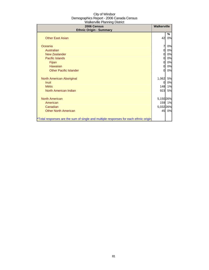| 2006 Census<br><b>Ethnic Origin - Summary</b>                                        | <b>Walkerville</b> |           |
|--------------------------------------------------------------------------------------|--------------------|-----------|
|                                                                                      |                    | ℅         |
| <b>Other East Asian</b>                                                              | 42                 | 0%        |
| Oceania                                                                              | 7                  | 0%        |
| Australian                                                                           | 0                  | 0%        |
| <b>New Zealander</b>                                                                 | 0                  | 0%        |
| Pacific Islands                                                                      | 0                  | 0%        |
| Fijian                                                                               | 0                  | 0%        |
| Hawaiian                                                                             | 0                  | 0%        |
| <b>Other Pacific Islander</b>                                                        | 0                  | 0%        |
|                                                                                      |                    |           |
| North American Aboriginal                                                            | 1,062              | 5%        |
| <b>Inuit</b>                                                                         | 0                  | 0%        |
| <b>Métis</b>                                                                         | 148                | 1%        |
| North American Indian                                                                | 923                | <b>5%</b> |
| <b>North American</b>                                                                | 5,150 26%          |           |
| American                                                                             |                    | 159 1%    |
| Canadian                                                                             | 5,032 26%          |           |
| <b>Other North American</b>                                                          |                    | 45 0%     |
|                                                                                      |                    |           |
| *Total responses are the sum of single and multiple responses for each ethnic origin |                    |           |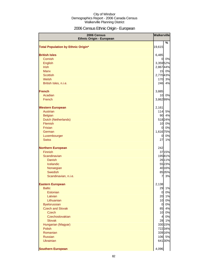# 2006 Census Ethnic Origin - European

| 2006 Census<br><b>Ethnic Origin - European</b> | Walkerville     |             |
|------------------------------------------------|-----------------|-------------|
|                                                |                 | %           |
| <b>Total Population by Ethnic Origin*</b>      | 19,615          |             |
| <b>British Isles</b>                           | 6,485           |             |
| Cornish                                        | $\overline{0}$  | 0%          |
| <b>English</b>                                 | 3,35952%        |             |
| <b>Irish</b>                                   | 2,86744%        |             |
| <b>Manx</b>                                    |                 | 15 0%       |
| <b>Scottish</b>                                | 2,770 43%       |             |
| Welsh                                          | 170             | 3%          |
| British Isles, n.i.e.                          | 246             | 4%          |
| <b>French</b>                                  | 3,885           |             |
| Acadian                                        | 10              | 0%          |
| French                                         | 3,862 99%       |             |
| <b>Western European</b>                        | 2,161           |             |
| Austrian                                       | 114             | 5%          |
| <b>Belgian</b>                                 | 90              | 4%          |
| Dutch (Netherlands)                            |                 | 51824%      |
| Flemish                                        | 10 <sup>1</sup> | 0%          |
| Frisian                                        | <sub>0</sub>    | 0%          |
| German                                         | 1,616 75%       |             |
| Luxembourger                                   | $\overline{0}$  | 0%          |
| <b>Swiss</b>                                   | 27              | 1%          |
| <b>Northern European</b>                       | 242             |             |
| <b>Finnish</b>                                 |                 | 3715%       |
| Scandinavian                                   |                 | 19581%      |
| <b>Danish</b>                                  |                 | 26 11%      |
| Icelandic                                      |                 | 5523%       |
| Norwegian<br>Swedish                           |                 | 40 16%      |
| Scandinavian, n.i.e.                           | $\overline{7}$  | 8535%<br>3% |
|                                                |                 |             |
| <b>Eastern European</b>                        | 2,138           |             |
| <b>Baltic</b>                                  | 29              | 1%          |
| Estonian<br>Latvian                            | $\overline{O}$  | 0%<br>20 1% |
| Lithuanian                                     | 10              | 0%          |
| <b>Byelorussian</b>                            | $\overline{O}$  | 0%          |
| <b>Czech and Slovak</b>                        | 85              | 4%          |
| <b>Czech</b>                                   | 10              | 0%          |
| Czechoslovakian                                | $\overline{4}$  | 0%          |
| <b>Slovak</b>                                  | 28              | 1%          |
| Hungarian (Magyar)                             |                 | 330 15%     |
| <b>Polish</b>                                  |                 | 72234%      |
| Romanian                                       |                 | 339 16%     |
| Russian                                        |                 | 106 5%      |
| <b>Ukrainian</b>                               |                 | 64130%      |
| <b>Southern European</b>                       | 4,096           |             |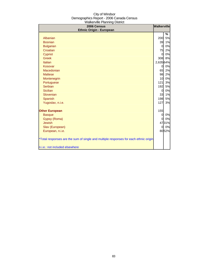| rranormo i lanimig Dioulot<br>2006 Census                                            | <b>Walkerville</b> |         |
|--------------------------------------------------------------------------------------|--------------------|---------|
| <b>Ethnic Origin - European</b>                                                      |                    |         |
| Albanian                                                                             | 200                | %<br>5% |
| <b>Bosnian</b>                                                                       | 39                 | 1%      |
| <b>Bulgarian</b>                                                                     | $\overline{0}$     | 0%      |
| Croatian                                                                             | 75                 | 2%      |
| Cypriot                                                                              | $\Omega$           | 0%      |
| <b>Greek</b>                                                                         | 308                | 8%      |
| Italian                                                                              | 2,635 64%          |         |
| Kosovar                                                                              | $\mathbf{0}$       | 0%      |
| Macedonian                                                                           | 65                 | 2%      |
| <b>Maltese</b>                                                                       | 98                 | 2%      |
| Montenegrin                                                                          | 10                 | 0%      |
| Portuguese                                                                           | 121                | 3%      |
| <b>Serbian</b>                                                                       | 192                | 5%      |
| <b>Sicilian</b>                                                                      | $\overline{0}$     | 0%      |
| Slovenian                                                                            | 33                 | 1%      |
| Spanish                                                                              | 198                | 5%      |
| Yugoslav, n.i.e.                                                                     | 127                | 3%      |
| <b>Other European</b>                                                                | 155                |         |
| <b>Basque</b>                                                                        | $\mathbf{0}$       | 0%      |
| Gypsy (Roma)                                                                         | $\Omega$           | 0%      |
| <b>Jewish</b>                                                                        |                    | 4731%   |
| Slav (European)                                                                      | <sub>0</sub>       | 0%      |
| European, n.i.e.                                                                     |                    | 8052%   |
| *Total responses are the sum of single and multiple responses for each ethnic origin |                    |         |
| n.i.e.: not included elsewhere                                                       |                    |         |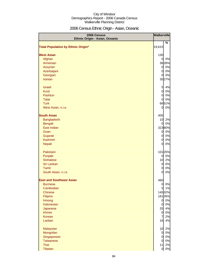# 2006 Census Ethnic Origin - Asian, Oceanic

| 2006 Census<br>Ethnic Origin - Asian, Oceanic | <b>Walkerville</b> |         |
|-----------------------------------------------|--------------------|---------|
| <b>Total Population by Ethnic Origin*</b>     | 19,615             | %       |
|                                               |                    |         |
| <b>West Asian</b>                             | 130                |         |
| Afghan                                        | $\overline{0}$     | 0%      |
| Armenian                                      |                    | 3628%   |
| Assyrian                                      | $\overline{O}$     | 0%      |
| Azerbaijani                                   | $\mathbf{0}$       | 0%      |
| Georgian                                      | $\overline{0}$     | 0%      |
| Iranian                                       |                    | 3527%   |
| <b>Israeli</b>                                | $5 \mid$           | 4%      |
| <b>Kurd</b>                                   | $\overline{0}$     | 0%      |
| Pashtun                                       | $\overline{0}$     | 0%      |
| <b>Tatar</b>                                  | $\overline{0}$     | 0%      |
| <b>Turk</b>                                   |                    | 6651%   |
| West Asian, n.i.e.                            | 0                  | 0%      |
| <b>South Asian</b>                            | 405                |         |
| Bangladeshi                                   | 10                 | 2%      |
| Bengali                                       | 0                  | 0%      |
| East Indian                                   |                    | 32380%  |
| Goan                                          | $\mathbf{0}$       | 0%      |
| Gujarati                                      | $\overline{0}$     | 0%      |
| Kashmiri                                      | $\overline{O}$     | 0%      |
| Nepali                                        | $\overline{0}$     | 0%      |
| Pakistani                                     |                    | 101 25% |
| Punjabi                                       | $\overline{0}$     | 0%      |
| <b>Sinhalese</b>                              | 10                 | 2%      |
| Sri Lankan                                    | $\overline{0}$     | 0%      |
| Tamil                                         | $\overline{0}$     | 0%      |
| South Asian, n.i.e.                           | $\overline{0}$     | 0%      |
| <b>East and Southeast Asian</b>               | 460                |         |
| <b>Burmese</b>                                | $\mathbf{0}$       | 0%      |
| Cambodian                                     | 5                  | 1%      |
| <b>Chinese</b>                                |                    | 14532%  |
| Filipino                                      |                    | 16135%  |
| Hmong                                         | $\overline{0}$     | 0%      |
| Indonesian                                    | $\overline{0}$     | 0%      |
| Japanese                                      | 20                 | 4%      |
| <b>Khmer</b>                                  | $\overline{0}$     | 0%      |
| Korean                                        | $\overline{7}$     | 2%      |
| Laotian                                       | 16                 | 4%      |
| Malaysian                                     | 10                 | 2%      |
| Mongolian                                     | $\overline{0}$     | 0%      |
| Singaporean                                   | $\mathsf{d}$       | 0%      |
| <b>Taiwanese</b>                              | $\overline{0}$     | 0%      |
| Thai                                          | 11                 | 2%      |
| Tibetan                                       | $\mathbf{0}$       | $0\%$   |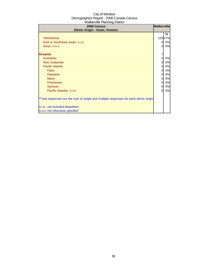| 2006 Census<br>Ethnic Origin - Asian, Oceanic                                                                                                                                                                                              | <b>Walkerville</b>                                       |                                                                               |
|--------------------------------------------------------------------------------------------------------------------------------------------------------------------------------------------------------------------------------------------|----------------------------------------------------------|-------------------------------------------------------------------------------|
| Vietnamese<br>East or Southeast Asian, n.i.e.<br>Asian, n.o.s.<br><b>Oceania</b><br>Australian<br><b>New Zealander</b><br><b>Pacific Islands</b><br>Fijian<br>Hawaiian<br><b>Maori</b><br>Polynesian<br>Samoan<br>Pacific Islander, n.i.e. | 0<br>0<br>7<br>0<br>0<br>0<br>0<br>0<br>0<br>0<br>0<br>0 | ℅<br>12527%<br>0%<br>0%<br>0%<br>0%<br>0%<br>0%<br>0%<br>0%<br>0%<br>0%<br>0% |
| *Total responses are the sum of single and multiple responses for each ethnic origin                                                                                                                                                       |                                                          |                                                                               |
| n.i.e.: not included elsewhere                                                                                                                                                                                                             |                                                          |                                                                               |
| n.o.s: not otherwise specfied                                                                                                                                                                                                              |                                                          |                                                                               |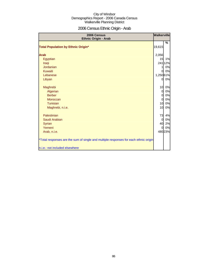# 2006 Census Ethnic Origin - Arab

| 2006 Census<br><b>Ethnic Origin - Arab</b>                                           | <b>Walkerville</b> |         |
|--------------------------------------------------------------------------------------|--------------------|---------|
|                                                                                      |                    | %       |
| <b>Total Population by Ethnic Origin*</b>                                            | 19,615             |         |
| <b>Arab</b>                                                                          | 2,056              |         |
| Egyptian                                                                             | 15                 | 1%      |
| Iraqi                                                                                |                    | 241 12% |
| <b>Jordanian</b>                                                                     | 1                  | 0%      |
| Kuwaiti                                                                              | $\mathbf{0}$       | 0%      |
| Lebanese                                                                             | 1,250 61%          |         |
| Libyan                                                                               | 0                  | 0%      |
| Maghrebi                                                                             | 10                 | 0%      |
| Algerian                                                                             | $\overline{0}$     | 0%      |
| <b>Berber</b>                                                                        | $\overline{0}$     | 0%      |
| Moroccan                                                                             | $\overline{0}$     | 0%      |
| Tunisian                                                                             | 10                 | 0%      |
| Maghrebi, n.i.e.                                                                     | 10                 | 0%      |
| Palestinian                                                                          | 73                 | 4%      |
| Saudi Arabian                                                                        | $\overline{0}$     | 0%      |
| <b>Syrian</b>                                                                        | 40                 | 2%      |
| Yemeni                                                                               | $\overline{0}$     | 0%      |
| Arab, n.i.e.                                                                         |                    | 480 23% |
| *Total responses are the sum of single and multiple responses for each ethnic origin |                    |         |
| n.i.e.: not included elsewhere                                                       |                    |         |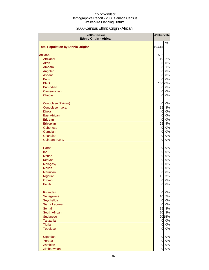# 2006 Census Ethnic Origin - African

| 2006 Census<br><b>Ethnic Origin - African</b> |                | <b>Walkerville</b> |
|-----------------------------------------------|----------------|--------------------|
|                                               |                | %                  |
| <b>Total Population by Ethnic Origin*</b>     | 19,615         |                    |
| <b>African</b>                                | 592            |                    |
| Afrikaner                                     | 10             | 2%                 |
| Akan                                          | $\overline{0}$ | 0%                 |
| Amhara                                        | 3              | 1%                 |
| Angolan                                       | $\overline{0}$ | 0%                 |
| Ashanti                                       | $\overline{0}$ | 0%                 |
| <b>Bantu</b>                                  | $\overline{0}$ | 0%                 |
| <b>Black</b>                                  |                | 130 22%            |
| <b>Burundian</b>                              | $\mathbf{0}$   | 0%                 |
| Cameroonian                                   | $\overline{0}$ | 0%                 |
| Chadian                                       | 0              | 0%                 |
|                                               |                |                    |
| Congolese (Zairian)                           | $\overline{0}$ | 0%                 |
| Congolese, n.o.s.                             | 15             | 3%                 |
| <b>Dinka</b>                                  | $\overline{0}$ | 0%                 |
| <b>East African</b>                           | $\overline{0}$ | 0%                 |
| Eritrean                                      | $\overline{0}$ | 0%                 |
| Ethiopian                                     | 25             | 4%                 |
| Gabonese                                      | $\overline{0}$ | 0%                 |
| Gambian                                       | $\overline{0}$ | 0%                 |
| Ghanaian                                      | 0              | 0%                 |
| Guinean, n.o.s.                               | 0              | 0%                 |
|                                               |                |                    |
| Harari                                        | 0              | 0%                 |
| Ibo                                           | $\overline{0}$ | 0%                 |
| <b>Ivorian</b>                                | $\overline{0}$ | 0%                 |
| Kenyan                                        | $\overline{0}$ | 0%                 |
| <b>Malagasy</b>                               | $\overline{0}$ | 0%                 |
| <b>Malian</b>                                 | $\overline{0}$ | 0%                 |
| <b>Mauritian</b>                              | $\overline{0}$ | 0%                 |
| Nigerian                                      | 15             | 3%                 |
| Oromo                                         | $\overline{0}$ | 0%                 |
| Peulh                                         | $\overline{0}$ | 0%                 |
|                                               |                |                    |
| Rwandan                                       | $\overline{0}$ | 0%                 |
| Senegalese                                    | 10             | 2%                 |
| Seychellois                                   | $\mathbf{0}$   | 0%                 |
| Sierra Leonean                                | $\overline{0}$ | 0%                 |
| Somali                                        | 15             | 3%                 |
| South African                                 | 20             | 3%                 |
| Sudanese                                      |                | 90 15%             |
| Tanzanian                                     | $\overline{0}$ | 0%                 |
| <b>Tigrian</b>                                | $\overline{0}$ | 0%                 |
| <b>Togolese</b>                               | $\overline{0}$ | 0%                 |
| Ugandan                                       | $\overline{0}$ | 0%                 |
| Yoruba                                        | $\overline{0}$ | 0%                 |
| Zambian                                       | $\overline{0}$ | 0%                 |
| Zimbabwean                                    | $\overline{0}$ | 0%                 |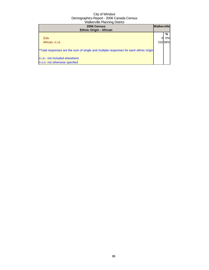| 2006 Census<br><b>Ethnic Origin - African</b>                                        | <b>Walkerville</b> |        |
|--------------------------------------------------------------------------------------|--------------------|--------|
|                                                                                      |                    | %      |
| Zulu                                                                                 |                    | 0%l    |
| African, n.i.e.                                                                      |                    | 23239% |
| *Total responses are the sum of single and multiple responses for each ethnic origin |                    |        |
| n.i.e.: not included elsewhere                                                       |                    |        |
| n.o.s: not otherwise specfied                                                        |                    |        |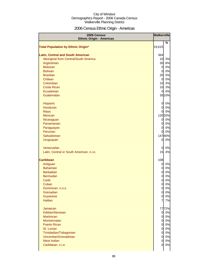# 2006 Census Ethnic Origin - Americas

| 2006 Census<br><b>Ethnic Origin - Americas</b> | <b>Walkerville</b> |        |
|------------------------------------------------|--------------------|--------|
|                                                |                    | %      |
| <b>Total Population by Ethnic Origin*</b>      | 19,615             |        |
|                                                |                    |        |
| <b>Latin, Central and South American</b>       | 364                |        |
| Aboriginal from Central/South America          | 10                 | 3%     |
| Argentinian                                    | 30                 | 8%     |
| <b>Belizean</b>                                | $\overline{0}$     | 0%     |
| <b>Bolivian</b>                                | $\overline{0}$     | 0%     |
| <b>Brazilian</b>                               | 20                 | 5%     |
| Chilean                                        | 0                  | 0%     |
| Colombian                                      | 10                 | 3%     |
| <b>Costa Rican</b>                             | 10                 | 3%     |
| Ecuadorian                                     | 0                  | 0%     |
| Guatemalan                                     |                    | 35 10% |
|                                                |                    |        |
| Hispanic                                       | 0                  | 0%     |
| Honduran                                       | $\overline{0}$     | 0%     |
| Maya                                           | $\overline{0}$     | 0%     |
| Mexican                                        |                    | 12033% |
| Nicaraguan                                     | $\overline{0}$     | 0%     |
| Panamanian                                     | $\overline{0}$     | 0%     |
| Paraguayan                                     | $\overline{0}$     | 0%     |
| Peruvian                                       | 0                  | 0%     |
| Salvadorean                                    |                    | 14740% |
| Uruguayan                                      | 0                  | 0%     |
| Venezuelan                                     |                    | 0%     |
|                                                | 0<br>15            | 4%     |
| Latin, Central or South American, n.i.e.       |                    |        |
| <b>Caribbean</b>                               | 108                |        |
| Antiguan                                       | $\overline{0}$     | 0%     |
| <b>Bahamian</b>                                | $\overline{0}$     | 0%     |
| <b>Barbadian</b>                               | $\overline{0}$     | 0%     |
| <b>Bermudan</b>                                | $\overline{0}$     | 0%     |
| Carib                                          | 0                  | 0%     |
| Cuban                                          | 0                  | 0%     |
| Dominican, n.o.s.                              | $\overline{0}$     | 0%     |
| Grenadian                                      | $\overline{0}$     | 0%     |
| Guyanese                                       | $\overline{0}$     | 0%     |
| <b>Haitian</b>                                 | 7                  | 7%     |
|                                                |                    |        |
| Jamaican                                       |                    | 7772%  |
| Kittitian/Nevisian                             | $\overline{O}$     | 0%     |
| <b>Martinican</b>                              | $\overline{0}$     | 0%     |
| Montserratan                                   | $\overline{0}$     | 0%     |
| <b>Puerto Rican</b>                            | $\overline{0}$     | 0%     |
| St. Lucian                                     | $\overline{0}$     | 0%     |
| Trinidadian/Tobagonian                         | $\overline{0}$     | 0%     |
| Vincentian/Grenadinian                         | $\overline{0}$     | 0%     |
| West Indian                                    | 0                  | 0%     |
| Caribbean, n.i.e.                              | 0                  | 0%     |
|                                                |                    |        |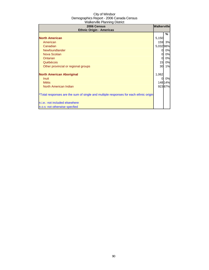| 2006 Census<br><b>Ethnic Origin - Americas</b>                                       | <b>Walkerville</b> |         |
|--------------------------------------------------------------------------------------|--------------------|---------|
|                                                                                      |                    | %       |
| <b>North American</b>                                                                | 5,150              |         |
| American                                                                             |                    | 159 3%  |
| Canadian                                                                             | 5,03298%           |         |
| Newfoundlander                                                                       | 0                  | 0%      |
| <b>Nova Scotian</b>                                                                  | 0l                 | 0%      |
| Ontarian                                                                             | $\mathbf{0}$       | 0%      |
| Québécois                                                                            | 15                 | 0%      |
| Other provincial or regional groups                                                  | 30                 | 1%      |
| <b>North American Aboriginal</b>                                                     | 1,062              |         |
| <b>Inuit</b>                                                                         | 0                  | 0%      |
| <b>Métis</b>                                                                         |                    | 148 14% |
| North American Indian                                                                |                    | 92387%  |
| *Total responses are the sum of single and multiple responses for each ethnic origin |                    |         |
| n.i.e.: not included elsewhere                                                       |                    |         |
| n.o.s: not otherwise specfied                                                        |                    |         |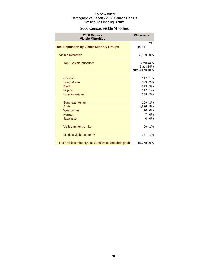### 2006 Census Visible Minorities

| <b>Walkerville</b><br>2006 Census<br><b>Visible Minorities</b> |                 |                     |
|----------------------------------------------------------------|-----------------|---------------------|
|                                                                |                 | %                   |
| <b>Total Population by Visible Minority Groups</b>             | 19,611          |                     |
| Visible minorities                                             | 3,929 20%       |                     |
| Top 3 visible minorities                                       |                 | Arab <sub>44%</sub> |
|                                                                | Black 24%       |                     |
|                                                                | South Asian 10% |                     |
| <b>Chinese</b>                                                 | 117             | 1%                  |
| <b>South Asian</b>                                             | 379             | 2%                  |
| <b>Black</b>                                                   | 899             | 5%                  |
| Filipino                                                       | 117             | 1%                  |
| <b>Latin American</b>                                          | 359             | 2%                  |
| <b>Southeast Asian</b>                                         | 159             | 1%                  |
| Arab                                                           | 1,636           | 8%                  |
| <b>West Asian</b>                                              | 10              | 0%                  |
| Korean                                                         | 7               | 0%                  |
| Japanese                                                       | 0               | 0%                  |
| Visible minority, n.i.e.                                       | 99              | 1%                  |
| Multiple visible minority                                      | 127             | 1%                  |
| Not a visible minority (includes white and aboriginal)         | 15,678 80%      |                     |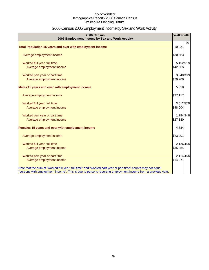# 2006 Census 2005 Employment Income by Sex and Work Activity

| 2006 Census<br>2005 Employment Income by Sex and Work Activity                                              | <b>Walkerville</b> |   |
|-------------------------------------------------------------------------------------------------------------|--------------------|---|
|                                                                                                             |                    | % |
| Total Population 15 years and over with employment income                                                   | 10,021             |   |
| Average employment income                                                                                   | \$30,583           |   |
| Worked full year, full time                                                                                 | 5,15251%           |   |
| Average employment income                                                                                   | \$42,665           |   |
| Worked part year or part time                                                                               | 3,940 39%          |   |
| Average employment income                                                                                   | \$20,200           |   |
| Males 15 years and over with employment income                                                              | 5,318              |   |
| Average employment income                                                                                   | \$37,117           |   |
| Worked full year, full time                                                                                 | 3,012 57%          |   |
| Average employment income                                                                                   | \$48,004           |   |
| Worked part year or part time                                                                               | 1,794 34%          |   |
| Average employment income                                                                                   | \$27,130           |   |
| Females 15 years and over with employment income                                                            | 4,684              |   |
| Average employment income                                                                                   | \$23,201           |   |
| Worked full year, full time                                                                                 | 2,126 45%          |   |
| Average employment income                                                                                   | \$35,084           |   |
| Worked part year or part time                                                                               | 2,114 45%          |   |
| Average employment income                                                                                   | \$14,271           |   |
| Note that the sum of "worked full year, full time" and "worked part year or part time" counts may not equal |                    |   |
| "persons with employment income". This is due to persons reporting employment income from a previous year.  |                    |   |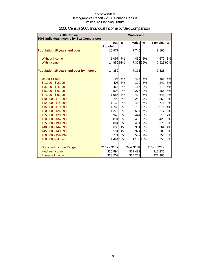| 2006 Census<br>2005 Individual Income by Sex Comparison | <b>Walkerville</b>           |        |              |         |                  |    |
|---------------------------------------------------------|------------------------------|--------|--------------|---------|------------------|----|
|                                                         | Total %<br><b>Population</b> |        | <b>Males</b> | %       | <b>Females</b> % |    |
| <b>Population 15 years and over</b>                     | 15,977                       |        | 7,740        |         | 8,190            |    |
| Without income                                          | 1,097 7%                     |        |              | 430 6%  | 672              | 8% |
| With income                                             | 14,85993%                    |        | 7,32195%     |         | 7,52892%         |    |
| Population 15 years and over by Income                  | 14,859                       |        | 7,321        |         | 7,528            |    |
| <b>Under \$1,000</b>                                    | 798                          | 5%     |              | 418 6%  | 363              | 5% |
| $$1,000 - $2,999$                                       | 408                          | 3%     | 192          | 3%      | 249              | 3% |
| $$3,000 - $4,999$                                       | 464                          | 3%     | 167          | 2%      | 278              | 4% |
| $$5,000 - $6,999$                                       | 598                          | 4%     | 276          | 4%      | 366              | 5% |
| $$7,000 - $9,999$                                       | 1,085 7%                     |        | 414          | 6%      | 643              | 9% |
| $$10,000 - $11,999$                                     |                              | 798 5% | 269          | 4%      | 568              | 8% |
| \$12,000 - \$14,999                                     | 1,130 8%                     |        | 409          | 6%      | <b>711</b>       | 9% |
| \$15,000 - \$19,999                                     | 1,765 12%                    |        |              | 709 10% | 1,071 14%        |    |
| \$20,000 - \$24,999                                     | 1,275 9%                     |        |              | 534 7%  | 677              | 9% |
| \$25,000 - \$29,999                                     | 946                          | 6%     | 444          | 6%      | 518              | 7% |
| \$30,000 - \$34,999                                     | 894                          | 6%     |              | 499 7%  | 423              | 6% |
| \$35,000 - \$39,999                                     | 891                          | 6%     | 484          | 7%      | 375              | 5% |
| \$40,000 - \$44,999                                     | 635                          | 4%     | 331          | 5%      | 264              | 4% |
| \$45,000 - \$49,999                                     | 594                          | 4%     | 374          | 5%      | 203              | 3% |
| \$50,000 - \$59,999                                     | 771                          | 5%     |              | 542 7%  | 255              | 3% |
| \$60,000 and over                                       | 1,494 10%                    |        | 1,155 16%    |         | 350              | 5% |
| Dominant Income Range                                   | \$15K - \$20K                |        | Over \$60K   |         | \$15K - \$20K    |    |
| <b>Median Income</b>                                    | \$20,894                     |        | \$27,482     |         | \$17,236         |    |
| Average Income                                          | \$28,209                     |        | \$34,253     |         | \$22,365         |    |

# 2006 Census 2005 Individual Income by Sex Comparison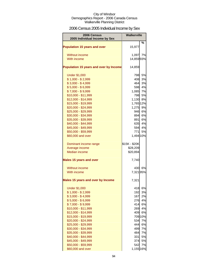# 2006 Census 2005 Individual Income by Sex

| %<br><b>Population 15 years and over</b><br>15,977<br>7%<br><b>Without income</b><br>1,097<br>With income<br>14,85993%<br>Population 15 years and over by Income<br>14,859<br>5%<br><b>Under \$1,000</b><br>798<br>$$1,000 - $2,999$<br>3%<br>408<br>$$3,000 - $4,999$<br>3%<br>464<br>$$5,000 - $6,999$<br>4%<br>598<br>$$7,000 - $9,999$<br>1,085<br>7%<br>\$10,000 - \$11,999<br>798<br>5%<br>\$12,000 - \$14,999<br>8%<br>1,130<br>\$15,000 - \$19,999<br>1,765 12%<br>\$20,000 - \$24,999<br>1,275<br>9%<br>\$25,000 - \$29,999<br>946<br>6%<br>\$30,000 - \$34,999<br>894<br>6%<br>\$35,000 - \$39,999<br>891<br>6%<br>\$40,000 - \$44,999<br>635<br>4%<br>\$45,000 - \$49,999<br>594l<br>4%<br>\$50,000 - \$59,999<br>5%<br>771I<br>\$60,000 and over<br>1,494 10%<br>\$15K - \$20K<br>Dominant income range<br>Average income<br>\$28,209<br><b>Median income</b><br>\$20,894 |
|---------------------------------------------------------------------------------------------------------------------------------------------------------------------------------------------------------------------------------------------------------------------------------------------------------------------------------------------------------------------------------------------------------------------------------------------------------------------------------------------------------------------------------------------------------------------------------------------------------------------------------------------------------------------------------------------------------------------------------------------------------------------------------------------------------------------------------------------------------------------------------------|
|                                                                                                                                                                                                                                                                                                                                                                                                                                                                                                                                                                                                                                                                                                                                                                                                                                                                                       |
|                                                                                                                                                                                                                                                                                                                                                                                                                                                                                                                                                                                                                                                                                                                                                                                                                                                                                       |
|                                                                                                                                                                                                                                                                                                                                                                                                                                                                                                                                                                                                                                                                                                                                                                                                                                                                                       |
|                                                                                                                                                                                                                                                                                                                                                                                                                                                                                                                                                                                                                                                                                                                                                                                                                                                                                       |
|                                                                                                                                                                                                                                                                                                                                                                                                                                                                                                                                                                                                                                                                                                                                                                                                                                                                                       |
|                                                                                                                                                                                                                                                                                                                                                                                                                                                                                                                                                                                                                                                                                                                                                                                                                                                                                       |
|                                                                                                                                                                                                                                                                                                                                                                                                                                                                                                                                                                                                                                                                                                                                                                                                                                                                                       |
|                                                                                                                                                                                                                                                                                                                                                                                                                                                                                                                                                                                                                                                                                                                                                                                                                                                                                       |
|                                                                                                                                                                                                                                                                                                                                                                                                                                                                                                                                                                                                                                                                                                                                                                                                                                                                                       |
|                                                                                                                                                                                                                                                                                                                                                                                                                                                                                                                                                                                                                                                                                                                                                                                                                                                                                       |
|                                                                                                                                                                                                                                                                                                                                                                                                                                                                                                                                                                                                                                                                                                                                                                                                                                                                                       |
|                                                                                                                                                                                                                                                                                                                                                                                                                                                                                                                                                                                                                                                                                                                                                                                                                                                                                       |
|                                                                                                                                                                                                                                                                                                                                                                                                                                                                                                                                                                                                                                                                                                                                                                                                                                                                                       |
|                                                                                                                                                                                                                                                                                                                                                                                                                                                                                                                                                                                                                                                                                                                                                                                                                                                                                       |
|                                                                                                                                                                                                                                                                                                                                                                                                                                                                                                                                                                                                                                                                                                                                                                                                                                                                                       |
|                                                                                                                                                                                                                                                                                                                                                                                                                                                                                                                                                                                                                                                                                                                                                                                                                                                                                       |
|                                                                                                                                                                                                                                                                                                                                                                                                                                                                                                                                                                                                                                                                                                                                                                                                                                                                                       |
|                                                                                                                                                                                                                                                                                                                                                                                                                                                                                                                                                                                                                                                                                                                                                                                                                                                                                       |
|                                                                                                                                                                                                                                                                                                                                                                                                                                                                                                                                                                                                                                                                                                                                                                                                                                                                                       |
|                                                                                                                                                                                                                                                                                                                                                                                                                                                                                                                                                                                                                                                                                                                                                                                                                                                                                       |
|                                                                                                                                                                                                                                                                                                                                                                                                                                                                                                                                                                                                                                                                                                                                                                                                                                                                                       |
|                                                                                                                                                                                                                                                                                                                                                                                                                                                                                                                                                                                                                                                                                                                                                                                                                                                                                       |
|                                                                                                                                                                                                                                                                                                                                                                                                                                                                                                                                                                                                                                                                                                                                                                                                                                                                                       |
| 7,740<br><b>Males 15 years and over</b>                                                                                                                                                                                                                                                                                                                                                                                                                                                                                                                                                                                                                                                                                                                                                                                                                                               |
| 6%<br>Without income<br>430                                                                                                                                                                                                                                                                                                                                                                                                                                                                                                                                                                                                                                                                                                                                                                                                                                                           |
| With income<br>7,32195%                                                                                                                                                                                                                                                                                                                                                                                                                                                                                                                                                                                                                                                                                                                                                                                                                                                               |
| <b>Males 15 years and over by Income</b><br>7,321                                                                                                                                                                                                                                                                                                                                                                                                                                                                                                                                                                                                                                                                                                                                                                                                                                     |
| 418<br>6%<br><b>Under \$1,000</b>                                                                                                                                                                                                                                                                                                                                                                                                                                                                                                                                                                                                                                                                                                                                                                                                                                                     |
| $$1,000 - $2,999$<br>192<br>3%                                                                                                                                                                                                                                                                                                                                                                                                                                                                                                                                                                                                                                                                                                                                                                                                                                                        |
| $$3,000 - $4,999$<br>2%<br>167                                                                                                                                                                                                                                                                                                                                                                                                                                                                                                                                                                                                                                                                                                                                                                                                                                                        |
| $$5,000 - $6,999$<br>4%<br>276                                                                                                                                                                                                                                                                                                                                                                                                                                                                                                                                                                                                                                                                                                                                                                                                                                                        |
| $$7,000 - $9,999$<br>414<br>6%                                                                                                                                                                                                                                                                                                                                                                                                                                                                                                                                                                                                                                                                                                                                                                                                                                                        |
| \$10,000 - \$11,999<br>4%<br>269                                                                                                                                                                                                                                                                                                                                                                                                                                                                                                                                                                                                                                                                                                                                                                                                                                                      |
| \$12,000 - \$14,999<br>409<br>6%                                                                                                                                                                                                                                                                                                                                                                                                                                                                                                                                                                                                                                                                                                                                                                                                                                                      |
| 709 10%<br>\$15,000 - \$19,999                                                                                                                                                                                                                                                                                                                                                                                                                                                                                                                                                                                                                                                                                                                                                                                                                                                        |
| 7%<br>\$20,000 - \$24,999<br>534                                                                                                                                                                                                                                                                                                                                                                                                                                                                                                                                                                                                                                                                                                                                                                                                                                                      |
| \$25,000 - \$29,999<br>444<br>6%                                                                                                                                                                                                                                                                                                                                                                                                                                                                                                                                                                                                                                                                                                                                                                                                                                                      |
| \$30,000 - \$34,999<br>499<br>7%                                                                                                                                                                                                                                                                                                                                                                                                                                                                                                                                                                                                                                                                                                                                                                                                                                                      |
| \$35,000 - \$39,999<br>484<br>7%<br>\$40,000 - \$44,999<br>331<br>5%                                                                                                                                                                                                                                                                                                                                                                                                                                                                                                                                                                                                                                                                                                                                                                                                                  |
| \$45,000 - \$49,999<br>374<br>5%                                                                                                                                                                                                                                                                                                                                                                                                                                                                                                                                                                                                                                                                                                                                                                                                                                                      |
| \$50,000 - \$59,999<br>542<br>7%                                                                                                                                                                                                                                                                                                                                                                                                                                                                                                                                                                                                                                                                                                                                                                                                                                                      |
| \$60,000 and over<br>1,155 16%                                                                                                                                                                                                                                                                                                                                                                                                                                                                                                                                                                                                                                                                                                                                                                                                                                                        |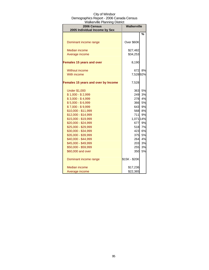| r rainoi rillo i laillillig Diotilot<br><b>2006 Census</b><br>2005 Individual Income by Sex | <b>Walkerville</b> |    |  |
|---------------------------------------------------------------------------------------------|--------------------|----|--|
|                                                                                             |                    | %  |  |
|                                                                                             |                    |    |  |
| Dominant income range                                                                       | Over \$60K         |    |  |
|                                                                                             |                    |    |  |
| <b>Median income</b>                                                                        | \$27,482           |    |  |
| Average income                                                                              | \$34,253           |    |  |
| <b>Females 15 years and over</b>                                                            | 8,190              |    |  |
| <b>Without income</b>                                                                       | 672                | 8% |  |
| With income                                                                                 | 7,52892%           |    |  |
|                                                                                             |                    |    |  |
| Females 15 years and over by Income                                                         | 7,528              |    |  |
| <b>Under \$1,000</b>                                                                        | 363                | 5% |  |
| $$1,000 - $2,999$                                                                           | 249                | 3% |  |
| $$3,000 - $4,999$                                                                           | 278                | 4% |  |
| $$5,000 - $6,999$                                                                           | 366                | 5% |  |
| $$7,000 - $9,999$                                                                           | 643                | 9% |  |
| \$10,000 - \$11,999                                                                         | 568                | 8% |  |
| \$12,000 - \$14,999                                                                         | 711                | 9% |  |
| \$15,000 - \$19,999                                                                         | 1,071 14%          |    |  |
| \$20,000 - \$24,999                                                                         | 677                | 9% |  |
| \$25,000 - \$29,999                                                                         | 518                | 7% |  |
| \$30,000 - \$34,999                                                                         | 423                | 6% |  |
| \$35,000 - \$39,999                                                                         | 375                | 5% |  |
| \$40,000 - \$44,999                                                                         | 264                | 4% |  |
| \$45,000 - \$49,999                                                                         | 203                | 3% |  |
| \$50,000 - \$59,999                                                                         | 255                | 3% |  |
| \$60,000 and over                                                                           | 350                | 5% |  |
| Dominant income range                                                                       | \$15K - \$20K      |    |  |
| <b>Median income</b>                                                                        | \$17,236           |    |  |
| Average income                                                                              | \$22,365           |    |  |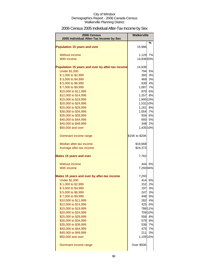# 2006 Census 2005 Individual After-Tax Income by Sex

| 2006 Census                                      | <b>Walkerville</b> |         |
|--------------------------------------------------|--------------------|---------|
| 2005 Individual After-Tax Income by Sex          |                    |         |
| <b>Population 15 years and over</b>              | 15,986             | %       |
| Without income                                   | 1,129              | 7%      |
| With income                                      | 14,83693%          |         |
| Population 15 years and over by after-tax income | 14,836             |         |
| <b>Under \$1,000</b>                             | 794                | 5%      |
| \$1,000 to \$2,999                               | 393                | 3%      |
| \$3,000 to \$4,999                               |                    | 469 3%  |
| \$5,000 to \$6,999                               |                    | 639 4%  |
| \$7,000 to \$9,999                               | 1,087              | 7%      |
| \$10,000 to \$11,999                             |                    | 870 6%  |
| \$12,000 to \$14,999                             | 1,257              | 8%      |
| \$15,000 to \$19,999                             | 1,900 13%          |         |
| \$20,000 to \$24,999                             | 1,531 10%          |         |
| \$25,000 to \$29,999                             | 1,161              | 8%      |
| \$30,000 to \$34,999                             | 1,054 7%           |         |
| \$35,000 to \$39,999                             |                    | 934 6%  |
| \$40,000 to \$44,999                             |                    | 693 5%  |
| \$45,000 to \$49,999                             |                    | 348 2%  |
| \$50,000 and over                                | 1,435 10%          |         |
| Dominant income range                            | \$15K to \$20K     |         |
| Median after-tax income                          | \$19,668           |         |
| Average after-tax income                         | \$24,373           |         |
| <b>Males 15 years and over</b>                   | 7,762              |         |
| Without income                                   | 444                | 6%      |
| With income                                      | 7,29394%           |         |
| Males 15 years and over by after-tax income      | 7,293              |         |
| <b>Under \$1,000</b>                             | 414                | 6%      |
| \$1,000 to \$2,999                               | 152                | 2%      |
| \$3,000 to \$4,999                               |                    | 197 3%  |
| \$5,000 to \$6,999                               |                    | 247 3%  |
| \$7,000 to \$9,999                               |                    | 448 6%  |
| \$10,000 to \$11,999                             | 282                | 4%      |
| \$12,000 to \$14,999                             |                    | 425 6%  |
| \$15,000 to \$19,999                             |                    | 786 11% |
| \$20,000 to \$24,999                             |                    | 709 10% |
| \$25,000 to \$29,999                             | 558                | 8%      |
| \$30,000 to \$34,999                             |                    | 579 8%  |
| \$35,000 to \$39,999                             | 538                | 7%      |
| \$40,000 to \$44,999                             | 475                | 7%      |
| \$45,000 to \$49,999                             | 211<br>1,109 15%   | 3%      |
| \$50,000 and over                                |                    |         |
| Dominant income range                            | Over \$50K         |         |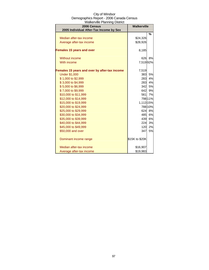| City of Windsor                          |
|------------------------------------------|
| Demographics Report - 2006 Canada Census |
| <b>Walkerville Planning District</b>     |

| <u>anton vino i naimmin</u><br>2006 Census<br>2005 Individual After-Tax Income by Sex | <b>Walkerville</b> |               |
|---------------------------------------------------------------------------------------|--------------------|---------------|
|                                                                                       |                    | $\frac{0}{0}$ |
| Median after-tax income                                                               | \$24,326           |               |
| Average after-tax income                                                              | \$28,926           |               |
| <b>Females 15 years and over</b>                                                      | 8,185              |               |
| Without income                                                                        | 626                | 8%            |
| With income                                                                           | 7,51992%           |               |
| Females 15 years and over by after-tax income                                         | 7,519              |               |
| <b>Under \$1,000</b>                                                                  | 383                | 5%            |
| \$1,000 to \$2,999                                                                    | 283                | 4%            |
| \$3,000 to \$4,999                                                                    | 283                | 4%            |
| \$5,000 to \$6,999                                                                    |                    | 342 5%        |
| \$7,000 to \$9,999                                                                    | 642                | 9%            |
| \$10,000 to \$11,999                                                                  | 561                | 7%            |
| \$12,000 to \$14,999                                                                  |                    | 798 11%       |
| \$15,000 to \$19,999                                                                  | 1,113 15%          |               |
| \$20,000 to \$24,999                                                                  |                    | 788 10%       |
| \$25,000 to \$29,999                                                                  | 624                | 8%            |
| \$30,000 to \$34,999                                                                  | 485                | 6%            |
| \$35,000 to \$39,999                                                                  | 439                | 6%            |
| \$40,000 to \$44,999                                                                  | 224                | 3%            |
| \$45,000 to \$49,999                                                                  | 120                | 2%            |
| \$50,000 and over                                                                     | 347                | 5%            |
| Dominant income range                                                                 | \$15K to \$20K     |               |
| Median after-tax income                                                               | \$16,907           |               |
| Average after-tax income                                                              | \$19,983           |               |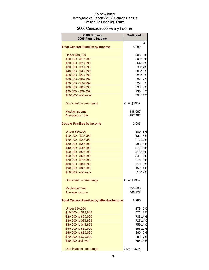# 2006 Census 2005 Family Income

| 2006 Census                                      | <b>Walkerville</b> |         |
|--------------------------------------------------|--------------------|---------|
| 2005 Family Income                               |                    |         |
| <b>Total Census Families by Income</b>           | 5,289              | ℅       |
| <b>Under \$10,000</b>                            | 308                | 6%      |
| \$10,000 - \$19,999                              |                    | 509 10% |
| \$20,000 - \$29,999                              |                    | 664 13% |
| \$30,000 - \$39,999                              |                    | 630 12% |
| \$40,000 - \$49,999                              |                    | 56311%  |
| \$50,000 - \$59,999                              |                    | 529 10% |
| \$60,000 - \$69,999                              | 502                | 9%      |
| \$70,000 - \$79,999                              |                    | 322 6%  |
| \$80,000 - \$89,999                              | 238                | 5%      |
| \$90,000 - \$99,999                              | 230                | 4%      |
| \$100,000 and over                               |                    | 694 13% |
| Dominant income range                            | Over \$100K        |         |
| <b>Median income</b>                             | \$48,587           |         |
| Average income                                   | \$57,487           |         |
| <b>Couple Families by Income</b>                 | 3,608              |         |
| <b>Under \$10,000</b>                            | 180                | 5%      |
| \$10,000 - \$19,999                              | 138                | 4%      |
| \$20,000 - \$29,999                              |                    | 371 10% |
| \$30,000 - \$39,999                              |                    | 48313%  |
| \$40,000 - \$49,999                              |                    | 372 10% |
| \$50,000 - \$59,999                              |                    | 41612%  |
| \$60,000 - \$69,999                              | 341                | 9%      |
| \$70,000 - \$79,999                              | 276                | 8%      |
| \$80,000 - \$89,999                              | 219                | 6%      |
| \$90,000 - \$99,999                              | 150                | 4%      |
| \$100,000 and over                               |                    | 61317%  |
| Dominant income range                            | Over \$100K        |         |
| Median income                                    | \$55,686           |         |
| Average income                                   | \$66,172           |         |
| <b>Total Census Families by after-tax Income</b> | 5,290              |         |
| <b>Under \$10,000</b>                            | 273                | 5%      |
| \$10,000 to \$19,999                             | 471                | 9%      |
| \$20,000 to \$29,999                             |                    | 738 14% |
| \$30,000 to \$39,999                             |                    | 728 14% |
| \$40,000 to \$49,999                             |                    | 759 14% |
| \$50,000 to \$59,999                             |                    | 655 12% |
| \$60,000 to \$69,999                             | 360                | 7%      |
| \$70,000 to \$79,999                             | 388                | 7%      |
| \$80,000 and over                                |                    | 755 14% |
| Dominant income range                            | \$40K - \$50K      |         |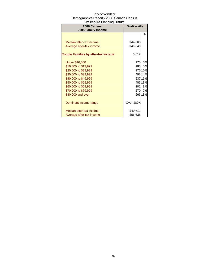| 2006 Census<br>2005 Family Income          | wall.cl ville Lial li lillig District<br><b>Walkerville</b> |         |
|--------------------------------------------|-------------------------------------------------------------|---------|
|                                            |                                                             | %       |
|                                            |                                                             |         |
| Median after-tax income                    | \$44,663                                                    |         |
| Average after-tax income                   | \$49,640                                                    |         |
|                                            |                                                             |         |
| <b>Couple Families by after-tax Income</b> | 3,612                                                       |         |
|                                            |                                                             |         |
| <b>Under \$10,000</b>                      | 175                                                         | 5%      |
| \$10,000 to \$19,999                       | 1831                                                        | 5%      |
| \$20,000 to \$29,999                       |                                                             | 375 10% |
| \$30,000 to \$39,999                       |                                                             | 49314%  |
| \$40,000 to \$49,999                       |                                                             | 537 15% |
| \$50,000 to \$59,999                       |                                                             | 485 13% |
| \$60,000 to \$69,999                       | 302                                                         | 8%      |
| \$70,000 to \$79,999                       | 270                                                         | 7%      |
| \$80,000 and over                          |                                                             | 66318%  |
|                                            |                                                             |         |
| Dominant income range                      | Over \$80K                                                  |         |
|                                            |                                                             |         |
| Median after-tax income                    | \$49,611                                                    |         |
| Average after-tax income                   | \$56,635                                                    |         |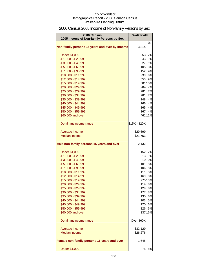# 2006 Census 2005 Income of Non-family Persons by Sex

| 2006 Census                                    | <b>Walkerville</b> |         |
|------------------------------------------------|--------------------|---------|
| 2005 Income of Non-family Persons by Sex       |                    | %       |
| Non-family persons 15 years and over by Income | 3,814              |         |
| <b>Under \$1,000</b>                           | 253                | 7%      |
| $$1,000 - $2,999$                              | 43                 | 1%      |
| $$3,000 - $4,999$                              | 27                 | 1%      |
| $$5,000 - $6,999$                              | 105                | 3%      |
| $$7,000 - $9,999$                              | 152                | 4%      |
| \$10,000 - \$11,999                            |                    | 239 6%  |
| \$12,000 - \$14,999                            | 353                | 9%      |
| \$15,000 - \$19,999                            |                    | 581 15% |
| \$20,000 - \$24,999                            | 284                | 7%      |
| \$25,000 - \$29,999                            | 281                | 7%      |
| \$30,000 - \$34,999                            | 281                | 7%      |
| \$35,000 - \$39,999                            | 148                | 4%      |
| \$40,000 - \$44,999                            | 166                | 4%      |
| \$45,000 - \$49,999                            | 165                | 4%      |
| \$50,000 - \$59,999                            | 167                | 4%      |
| \$60,000 and over                              |                    | 461 12% |
| Dominant income range                          | \$15K - \$20K      |         |
| Average income                                 | \$29,699           |         |
| Median income                                  | \$21,753           |         |
| Male non-family persons 15 years and over      | 2,132              |         |
| <b>Under \$1,000</b>                           | 152                | 7%      |
| $$1,000 - $2,999$                              | 13                 | 1%      |
| $$3,000 - $4,999$                              | 10                 | 0%      |
| $$5,000 - $6,999$                              | 101                | 5%      |
| $$7,000 - $9,999$                              | 106                | 5%      |
| \$10,000 - \$11,999                            | 111                | 5%      |
| \$12,000 - \$14,999                            |                    | 169 8%  |
| \$15,000 - \$19,999                            |                    | 275 13% |
| \$20,000 - \$24,999                            |                    | 119 6%  |
| \$25,000 - \$29,999                            |                    | 129 6%  |
| \$30,000 - \$34,999                            | 177                | 8%      |
| \$35,000 - \$39,999                            |                    | 130 6%  |
| \$40,000 - \$44,999                            |                    | 103 5%  |
| \$45,000 - \$49,999                            |                    | 120 6%  |
| \$50,000 - \$59,999                            | 126                | 6%      |
| \$60,000 and over                              |                    | 337 16% |
| Dominant income range                          | Over \$60K         |         |
| Average income                                 | \$32,129           |         |
| Median income                                  | \$26,276           |         |
| Female non-family persons 15 years and over    | 1,645              |         |
| <b>Under \$1,000</b>                           | 75                 | 5%      |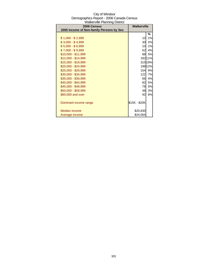| City of Windsor                          |
|------------------------------------------|
| Demographics Report - 2006 Canada Census |
| <b>Walkerville Planning District</b>     |

| 2006 Census                              | <b>Walkerville</b> |         |
|------------------------------------------|--------------------|---------|
| 2005 Income of Non-family Persons by Sex |                    |         |
|                                          |                    | %       |
| $$1,000 - $2,999$                        | 10                 | 1%      |
| $$3,000 - $4,999$                        | 30                 | 2%      |
| $$5,000 - $6,999$                        | 10                 | 1%      |
| \$7,000 - \$9,999                        | 62                 | 4%      |
| \$10,000 - \$11,999                      | 88                 | 5%      |
| $$12,000 - $14,999$                      |                    | 18211%  |
| \$15,000 - \$19,999                      |                    | 315 19% |
| \$20,000 - \$24,999                      |                    | 19812%  |
| \$25,000 - \$29,999                      | 154                | 9%      |
| \$30,000 - \$34,999                      | 122                | 7%      |
| \$35,000 - \$39,999                      | 66                 | 4%      |
| \$40,000 - \$44,999                      | 82                 | 5%      |
| \$45,000 - \$49,999                      | 78                 | 5%      |
| \$50,000 - \$59,999                      | 48                 | 3%      |
| \$60,000 and over                        | 92                 | 6%      |
|                                          |                    |         |
| Dominant income range                    | \$15K - \$20K      |         |
|                                          |                    |         |
| <b>Median income</b>                     | \$20,830           |         |
| Average income                           | \$24,064           |         |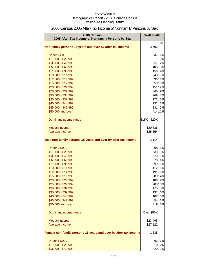| 2006 Census                                                     | <b>Walkerville</b> |         |
|-----------------------------------------------------------------|--------------------|---------|
| 2005 After-Tax Income of Non-family Persons by Sex              |                    | ℅       |
| Non-family persons 15 years and over by after-tax income        | 3,792              |         |
| <b>Under \$1,000</b>                                            | 237                | 6%      |
| $$1,000 - $2,999$                                               | 11                 | 0%      |
| $$3,000 - $4,999$                                               | 57                 | 2%      |
| $$5,000 - $6,999$                                               | 105                | 3%      |
| $$7,000 - $9,999$                                               | 156                | 4%      |
| \$10,000 - \$11,999                                             |                    | 248 7%  |
| \$12,000 - \$14,999                                             |                    | 390 10% |
| \$15,000 - \$19,999                                             |                    | 553 15% |
| \$20,000 - \$24,999                                             |                    | 451 12% |
| \$25,000 - \$29,999                                             |                    | 340 9%  |
| \$30,000 - \$34,999                                             | 269                | 7%      |
| \$35,000 - \$39,999                                             | 173                | 5%      |
| \$40,000 - \$44,999                                             | 131                | 3%      |
| \$45,000 - \$49,999                                             | 131                | 3%      |
| \$50,000 and over                                               |                    | 414 11% |
| Dominant income range                                           | \$15K - \$20K      |         |
| Median income                                                   | \$20,836           |         |
| Average income                                                  | \$25,554           |         |
| Male non-family persons 15 years and over by after-tax income   | 2,114              |         |
| <b>Under \$1,000</b>                                            | 98                 | 5%      |
| $$1,000 - $2,999$                                               | 30                 | 1%      |
| $$3,000 - $4,999$                                               | 20                 | 1%      |
| $$5,000 - $6,999$                                               | 78                 | 4%      |
| $$7,000 - $9,999$                                               | 99                 | 5%      |
| \$10,000 - \$11,999                                             | 112                | 5%      |
| \$12,000 - \$14,999                                             | 191                | 9%      |
| \$15,000 - \$19,999                                             |                    | 289 14% |
| \$20,000 - \$24,999                                             |                    | 186 9%  |
| \$25,000 - \$29,999                                             |                    | 203 10% |
| \$30,000 - \$34,999                                             | 175                | 8%      |
| \$35,000 - \$39,999                                             | 137                | 6%      |
| \$40,000 - \$44,999                                             | 102                | 5%      |
| \$45,000 - \$49,999                                             | 54                 | 3%      |
| \$50,000 and over                                               |                    | 319 15% |
| Dominant income range                                           | Over \$50K         |         |
| Median income                                                   | \$23,495           |         |
| Average income                                                  | \$27,122           |         |
| Female non-family persons 15 years and over by after-tax income | 1,635              |         |
| <b>Under \$1,000</b>                                            | 63                 | 3%      |
| $$1,000 - $2,999$                                               | 0                  | 0%      |
| $$3,000 - $4,999$                                               | 20                 | 1%      |

# 2006 Census 2005 After-Tax Income of Non-family Persons by Sex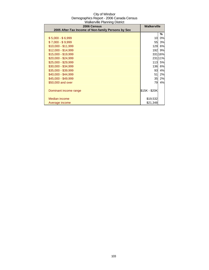| 2006 Census                                        | <b>Walkerville</b> |         |
|----------------------------------------------------|--------------------|---------|
| 2005 After-Tax Income of Non-family Persons by Sex |                    |         |
|                                                    |                    | ℅       |
| $$5,000 - $6,999$                                  | 10                 | 0%      |
| $$7,000 - $9,999$                                  | 55                 | 3%      |
| \$10,000 - \$11,999                                | <b>129</b>         | 6%      |
| $$12,000 - $14,999$                                | 192                | 9%      |
| \$15,000 - \$19,999                                |                    | 33116%  |
| $$20,000 - $24,999$                                |                    | 231 11% |
| \$25,000 - \$29,999                                | 113                | 5%      |
| \$30,000 - \$34,999                                | 136                | 6%      |
| \$35,000 - \$39,999                                | 93                 | 4%      |
| \$40,000 - \$44,999                                | 51                 | 2%      |
| \$45,000 - \$49,999                                | 35                 | 2%      |
| \$50,000 and over                                  | 79                 | 4%      |
|                                                    |                    |         |
| Dominant income range                              | \$15K - \$20K      |         |
|                                                    |                    |         |
| Median income                                      | \$19,532           |         |
| Average income                                     | \$21,348           |         |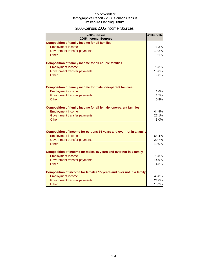### 2006 Census 2005 Income: Sources

| 2006 Census<br>2005 Income: Sources                                 | <b>Walkerville</b> |
|---------------------------------------------------------------------|--------------------|
| <b>Composition of family income for all families</b>                |                    |
| <b>Employment income</b>                                            | 71.3%              |
| Government transfer payments                                        | 19.2%              |
| Other                                                               | 9.1%               |
| <b>Composition of family income for all couple families</b>         |                    |
| <b>Employment income</b>                                            | 73.3%              |
| Government transfer payments                                        | 16.6%              |
| Other                                                               | 9.6%               |
|                                                                     |                    |
| <b>Composition of family income for male lone-parent families</b>   | 1.6%               |
| <b>Employment income</b><br>Government transfer payments            | 1.5%               |
| Other                                                               | 0.8%               |
|                                                                     |                    |
| Composition of family income for all female lone-parent families    |                    |
| <b>Employment income</b>                                            | 44.9%              |
| Government transfer payments                                        | 27.1%              |
| Other                                                               | 3.0%               |
| Composition of income for persons 15 years and over not in a family |                    |
| <b>Employment income</b>                                            | 68.4%              |
| Government transfer payments                                        | 20.7%              |
| <b>Other</b>                                                        | 10.0%              |
|                                                                     |                    |
| Composition of income for males 15 years and over not in a family   |                    |
| <b>Employment income</b>                                            | 73.8%              |
| Government transfer payments                                        | 14.9%              |
| Other                                                               | 4.3%               |
| Composition of income for females 15 years and over not in a family |                    |
| <b>Employment income</b>                                            | 45.8%              |
| Government transfer payments                                        | 21.6%              |
| Other                                                               | 13.2%              |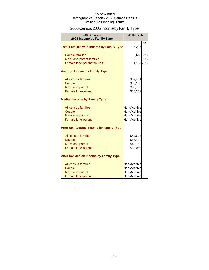# 2006 Census 2005 Income by Family Type

| 2006 Census<br>2005 Income by Family Type        | <b>Walkerville</b> |               |
|--------------------------------------------------|--------------------|---------------|
| <b>Total Families with Income by Family Type</b> | 5,287              | $\frac{0}{0}$ |
| <b>Couple families</b>                           | 3,61368%           |               |
| Male lone-parent families                        | 30                 | 1%            |
| Female lone-parent families                      | 1,10821%           |               |
| <b>Average Income by Family Type</b>             |                    |               |
| All census families                              | \$57,461           |               |
| Couple                                           | \$66,108           |               |
| Male lone-parent                                 | \$50,755           |               |
| Female lone-parent                               | \$35,252           |               |
| <b>Median Income by Family Type</b>              |                    |               |
| All census families                              | Non-Additive       |               |
| Couple                                           | Non-Additive       |               |
| Male lone-parent                                 | Non-Additive       |               |
| Female lone-parent                               | Non-Additive       |               |
| <b>After-tax Average Income by Family Type</b>   |                    |               |
| All census families                              | \$49,635           |               |
| Couple                                           | \$56,482           |               |
| Male lone-parent                                 | \$43,762           |               |
| Female lone-parent                               | \$32,060           |               |
| <b>After-tax Median Income by Family Type</b>    |                    |               |
| All census families                              | Non-Additive       |               |
| Couple                                           | Non-Additive       |               |
| Male lone-parent                                 | Non-Additive       |               |
| Female lone-parent                               | Non-Additive       |               |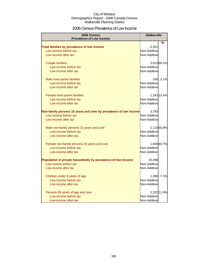### 2006 Census Prevalence of Low Income

| 2006 Census<br><b>Prevalence of Low Income</b>                   | <b>Walkerville</b> |             |
|------------------------------------------------------------------|--------------------|-------------|
|                                                                  |                    | %           |
| Total families by prevalence of low income                       | 5,301              |             |
| Low income before tax                                            | Non-Additive       |             |
| Low income after tax                                             | Non-Additive       |             |
| <b>Couple families</b>                                           |                    | 3,615 68.2% |
| Low income before tax                                            | Non-Additive       |             |
| Low income after tax                                             | Non-Additive       |             |
| Male lone-parent families                                        |                    | 166 3.1%    |
| Low income before tax                                            | Non-Additive       |             |
| Low income after tax                                             | Non-Additive       |             |
| Female lone-parent families                                      |                    | 1,241 23.4% |
| Low income before tax                                            | Non-Additive       |             |
| Low income after tax                                             | Non-Additive       |             |
| Non-family persons 15 years and over by prevalence of low income | 3,793              |             |
| Low income before tax                                            | Non-Additive       |             |
| Low income after tax                                             | Non-Additive       |             |
| Male non-family persons 15 years and over                        |                    | 2,116 55.8% |
| Low income before tax                                            | Non-Additive       |             |
| Low income after tax                                             | Non-Additive       |             |
| Female non-family persons 15 years and over                      |                    | 1,658 43.7% |
| Low income before tax                                            | Non-Additive       |             |
| Low income after tax                                             | Non-Additive       |             |
| Population in private households by prevalence of low income     | 19,498             |             |
| Low income before tax                                            | Non-Additive       |             |
| Low income after tax                                             | Non-Additive       |             |
| Children under 6 years of age                                    | 1,388              | 7.1%        |
| Low income before tax                                            | Non-Additive       |             |
| Low income after tax                                             | Non-Additive       |             |
| Persons 65 years of age and over                                 |                    | 2,322 11.9% |
| Low income before tax                                            | Non-Additive       |             |
| Low income after tax                                             | Non-Additive       |             |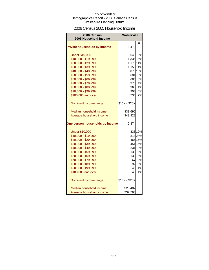### 2006 Census 2005 Household Income

| 2006 Census<br>2005 Household Income | Walkerville   |         |
|--------------------------------------|---------------|---------|
|                                      |               | %       |
| <b>Private households by income</b>  | 8,479         |         |
| <b>Under \$10,000</b>                |               | 649 8%  |
| \$10,000 - \$19,999                  | 1,336 16%     |         |
| \$20,000 - \$29,999                  | 1,178 14%     |         |
| \$30,000 - \$39,999                  | 1,158 14%     |         |
| \$40,000 - \$49,999                  |               | 876 10% |
| \$50,000 - \$59,999                  | 681           | 8%      |
| \$60,000 - \$69,999                  |               | 685 8%  |
| \$70,000 - \$79,999                  |               | 373 4%  |
| \$80,000 - \$89,999                  | 366           | 4%      |
| \$90,000 - \$99,999                  | 303           | 4%      |
| \$100,000 and over                   | 734l          | 9%      |
| Dominant income range                | \$10K - \$20K |         |
| Median household income              | \$38,696      |         |
| Average household income             | \$48,922      |         |
| One person households by income      | 2,874         |         |
| <b>Under \$10,000</b>                |               | 333 12% |
| \$10,000 - \$19,999                  |               | 81328%  |
| \$20,000 - \$29,999                  |               | 466 16% |
| \$30,000 - \$39,999                  |               | 451 16% |
| \$40,000 - \$49,999                  |               | 231 8%  |
| \$50,000 - \$59,999                  |               | 139 5%  |
| \$60,000 - \$69,999                  | 132           | 5%      |
| \$70,000 - \$79,999                  | 67            | 2%      |
| \$80,000 - \$89,999                  | 92            | 3%      |
| \$90,000 - \$99,999                  | 40            | 1%      |
| \$100,000 and over                   | 40            | 1%      |
| Dominant income range                | \$10K - \$20K |         |
| Median household income              | \$25,482      |         |
| Average household income             | \$32,763      |         |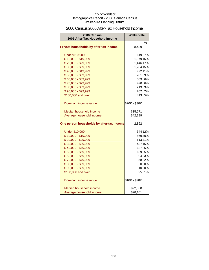### 2006 Census 2005 After-Tax Household Income

| 2006 Census<br>2005 After-Tax Household Income | Walkerville     |         |
|------------------------------------------------|-----------------|---------|
|                                                |                 |         |
| Private households by after-tax income         | 8,489           | %       |
| <b>Under \$10,000</b>                          |                 | 619 7%  |
| \$10,000 - \$19,999                            | 1,379 16%       |         |
| \$20,000 - \$29,999                            | 1,446 17%       |         |
| \$30,000 - \$39,999                            | 1,284 15%       |         |
| \$40,000 - \$49,999                            |                 | 972 11% |
| \$50,000 - \$59,999                            |                 | 781 9%  |
| \$60,000 - \$69,999                            |                 | 539 6%  |
| \$70,000 - \$79,999                            |                 | 470 6%  |
| \$80,000 - \$89,999                            | 213             | 3%      |
| \$90,000 - \$99,999                            | 202             | 2%      |
| \$100,000 and over                             | 413             | 5%      |
| Dominant income range                          | \$20K - \$30K   |         |
| Median household income                        | \$35,571        |         |
| Average household income                       | \$42,199        |         |
| One person households by after-tax income      | 2,892           |         |
| <b>Under \$10,000</b>                          |                 | 344 12% |
| \$10,000 - \$19,999                            |                 | 86930%  |
| \$20,000 - \$29,999                            |                 | 61321%  |
| \$30,000 - \$39,999                            |                 | 437 15% |
| \$40,000 - \$49,999                            |                 | 187 6%  |
| \$50,000 - \$59,999                            |                 | 139 5%  |
| \$60,000 - \$69,999                            | 94              | 3%      |
| \$70,000 - \$79,999                            | 58              | 2%      |
| \$80,000 - \$89,999                            | $\overline{O}$  | 0%      |
| \$90,000 - \$99,999                            | 10 <sup>1</sup> | 0%      |
| \$100,000 and over                             | 25              | 1%      |
| Dominant income range                          | \$10K - \$20K   |         |
| Median household income                        | \$22,860        |         |
| Average household income                       | \$28,101        |         |